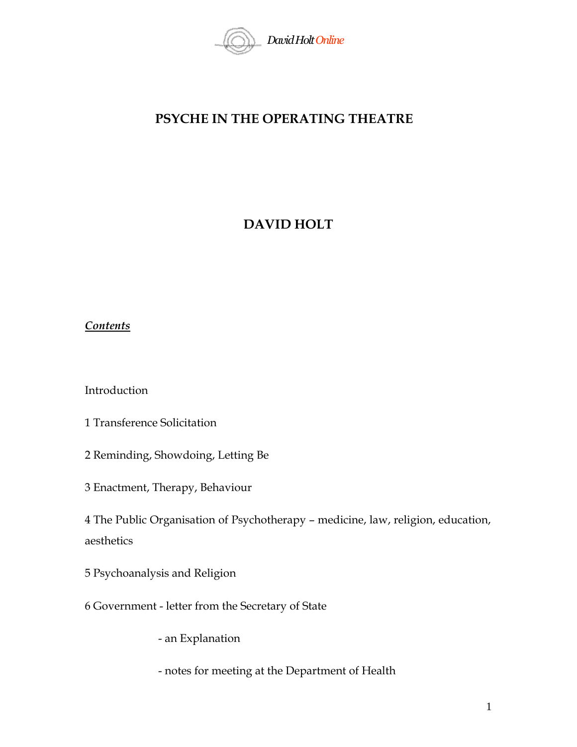

## **PSYCHE IN THE OPERATING THEATRE**

# **DAVID HOLT**

### *Contents*

Introduction

1 Transference Solicitation

2 Reminding, Showdoing, Letting Be

3 Enactment, Therapy, Behaviour

4 The Public Organisation of Psychotherapy – medicine, law, religion, education, aesthetics

5 Psychoanalysis and Religion

6 Government - letter from the Secretary of State

- an Explanation

- notes for meeting at the Department of Health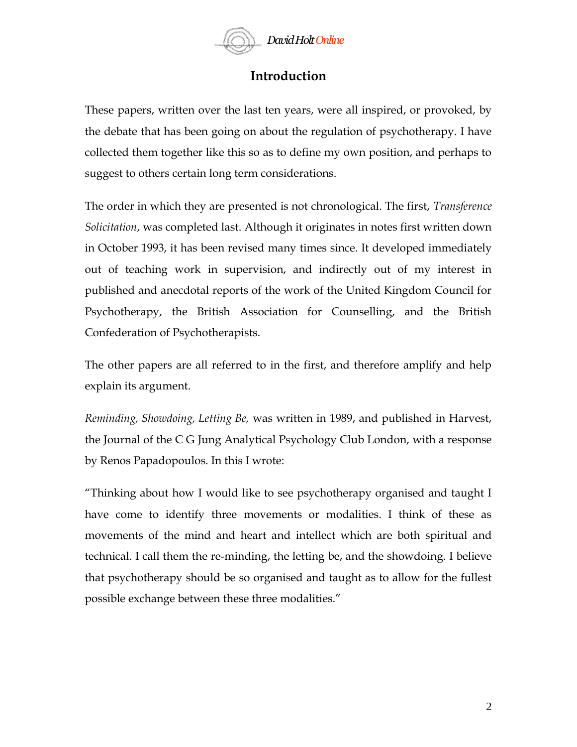

## **Introduction**

These papers, written over the last ten years, were all inspired, or provoked, by the debate that has been going on about the regulation of psychotherapy. I have collected them together like this so as to define my own position, and perhaps to suggest to others certain long term considerations.

The order in which they are presented is not chronological. The first, *Transference Solicitation*, was completed last. Although it originates in notes first written down in October 1993, it has been revised many times since. It developed immediately out of teaching work in supervision, and indirectly out of my interest in published and anecdotal reports of the work of the United Kingdom Council for Psychotherapy, the British Association for Counselling, and the British Confederation of Psychotherapists.

The other papers are all referred to in the first, and therefore amplify and help explain its argument.

*Reminding, Showdoing, Letting Be,* was written in 1989, and published in Harvest, the Journal of the C G Jung Analytical Psychology Club London, with a response by Renos Papadopoulos. In this I wrote:

"Thinking about how I would like to see psychotherapy organised and taught I have come to identify three movements or modalities. I think of these as movements of the mind and heart and intellect which are both spiritual and technical. I call them the re-minding, the letting be, and the showdoing. I believe that psychotherapy should be so organised and taught as to allow for the fullest possible exchange between these three modalities."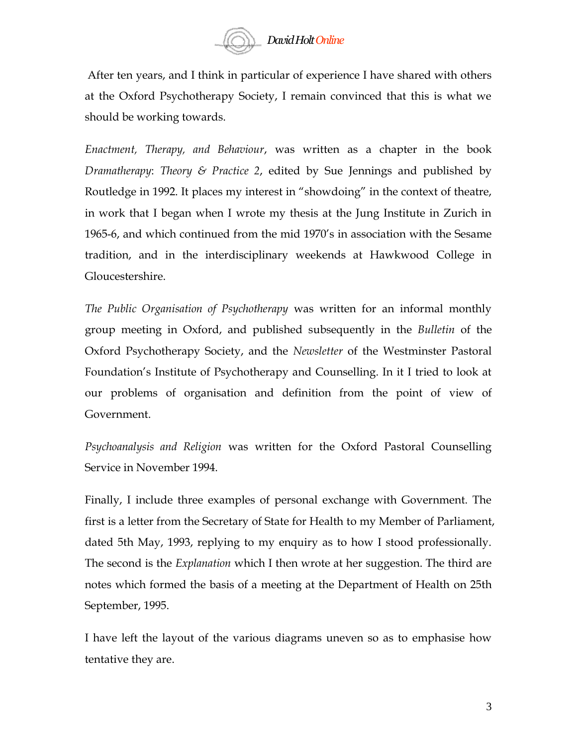

After ten years, and I think in particular of experience I have shared with others at the Oxford Psychotherapy Society, I remain convinced that this is what we should be working towards.

*Enactment, Therapy, and Behaviour*, was written as a chapter in the book *Dramatherapy*: *Theory & Practice 2*, edited by Sue Jennings and published by Routledge in 1992. It places my interest in "showdoing" in the context of theatre, in work that I began when I wrote my thesis at the Jung Institute in Zurich in 1965-6, and which continued from the mid 1970"s in association with the Sesame tradition, and in the interdisciplinary weekends at Hawkwood College in Gloucestershire.

*The Public Organisation of Psychotherapy* was written for an informal monthly group meeting in Oxford, and published subsequently in the *Bulletin* of the Oxford Psychotherapy Society, and the *Newsletter* of the Westminster Pastoral Foundation"s Institute of Psychotherapy and Counselling. In it I tried to look at our problems of organisation and definition from the point of view of Government.

*Psychoanalysis and Religion* was written for the Oxford Pastoral Counselling Service in November 1994.

Finally, I include three examples of personal exchange with Government. The first is a letter from the Secretary of State for Health to my Member of Parliament, dated 5th May, 1993, replying to my enquiry as to how I stood professionally. The second is the *Explanation* which I then wrote at her suggestion. The third are notes which formed the basis of a meeting at the Department of Health on 25th September, 1995.

I have left the layout of the various diagrams uneven so as to emphasise how tentative they are.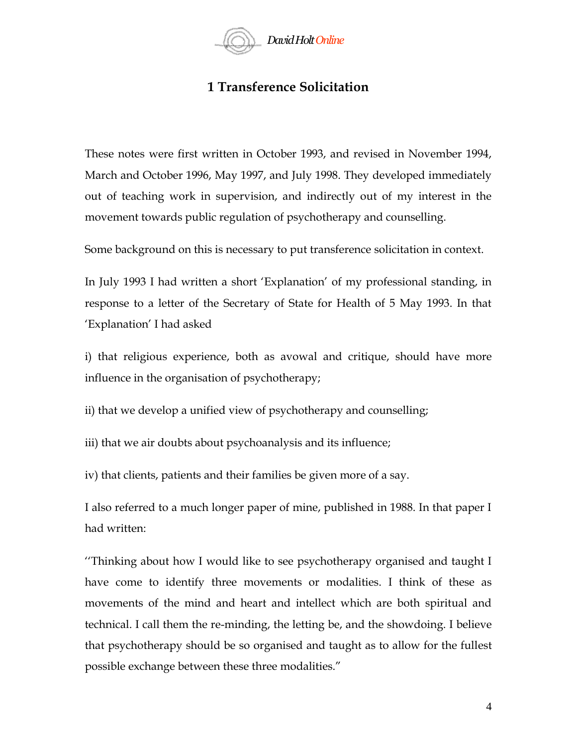

## **1 Transference Solicitation**

These notes were first written in October 1993, and revised in November 1994, March and October 1996, May 1997, and July 1998. They developed immediately out of teaching work in supervision, and indirectly out of my interest in the movement towards public regulation of psychotherapy and counselling.

Some background on this is necessary to put transference solicitation in context.

In July 1993 I had written a short "Explanation" of my professional standing, in response to a letter of the Secretary of State for Health of 5 May 1993. In that 'Explanation' I had asked

i) that religious experience, both as avowal and critique, should have more influence in the organisation of psychotherapy;

ii) that we develop a unified view of psychotherapy and counselling;

iii) that we air doubts about psychoanalysis and its influence;

iv) that clients, patients and their families be given more of a say.

I also referred to a much longer paper of mine, published in 1988. In that paper I had written:

""Thinking about how I would like to see psychotherapy organised and taught I have come to identify three movements or modalities. I think of these as movements of the mind and heart and intellect which are both spiritual and technical. I call them the re-minding, the letting be, and the showdoing. I believe that psychotherapy should be so organised and taught as to allow for the fullest possible exchange between these three modalities."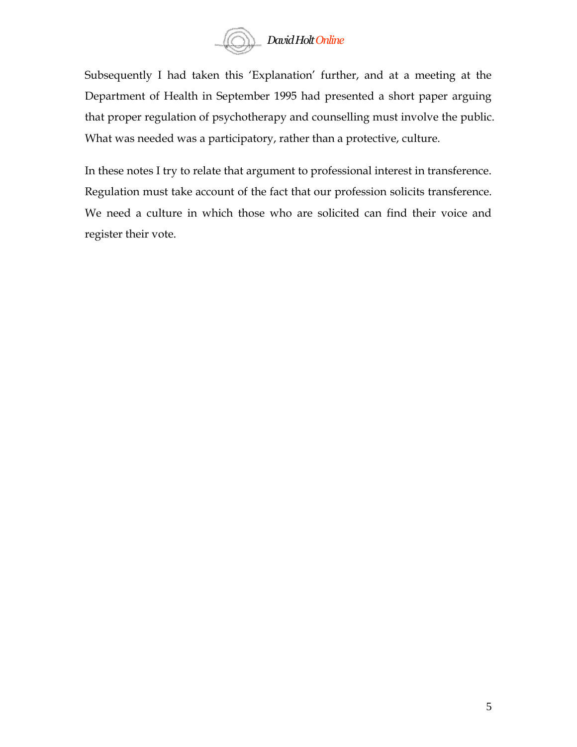

Subsequently I had taken this 'Explanation' further, and at a meeting at the Department of Health in September 1995 had presented a short paper arguing that proper regulation of psychotherapy and counselling must involve the public. What was needed was a participatory, rather than a protective, culture.

In these notes I try to relate that argument to professional interest in transference. Regulation must take account of the fact that our profession solicits transference. We need a culture in which those who are solicited can find their voice and register their vote.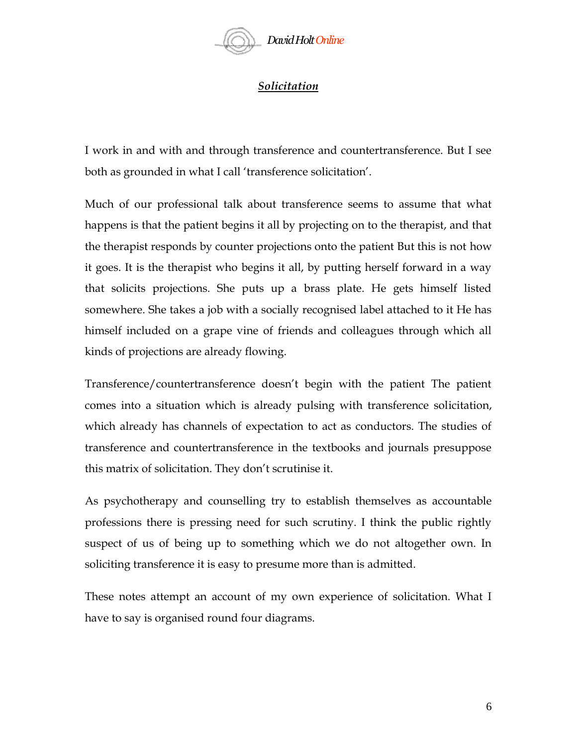

## *Solicitation*

I work in and with and through transference and countertransference. But I see both as grounded in what I call 'transference solicitation'.

Much of our professional talk about transference seems to assume that what happens is that the patient begins it all by projecting on to the therapist, and that the therapist responds by counter projections onto the patient But this is not how it goes. It is the therapist who begins it all, by putting herself forward in a way that solicits projections. She puts up a brass plate. He gets himself listed somewhere. She takes a job with a socially recognised label attached to it He has himself included on a grape vine of friends and colleagues through which all kinds of projections are already flowing.

Transference/countertransference doesn"t begin with the patient The patient comes into a situation which is already pulsing with transference solicitation, which already has channels of expectation to act as conductors. The studies of transference and countertransference in the textbooks and journals presuppose this matrix of solicitation. They don't scrutinise it.

As psychotherapy and counselling try to establish themselves as accountable professions there is pressing need for such scrutiny. I think the public rightly suspect of us of being up to something which we do not altogether own. In soliciting transference it is easy to presume more than is admitted.

These notes attempt an account of my own experience of solicitation. What I have to say is organised round four diagrams.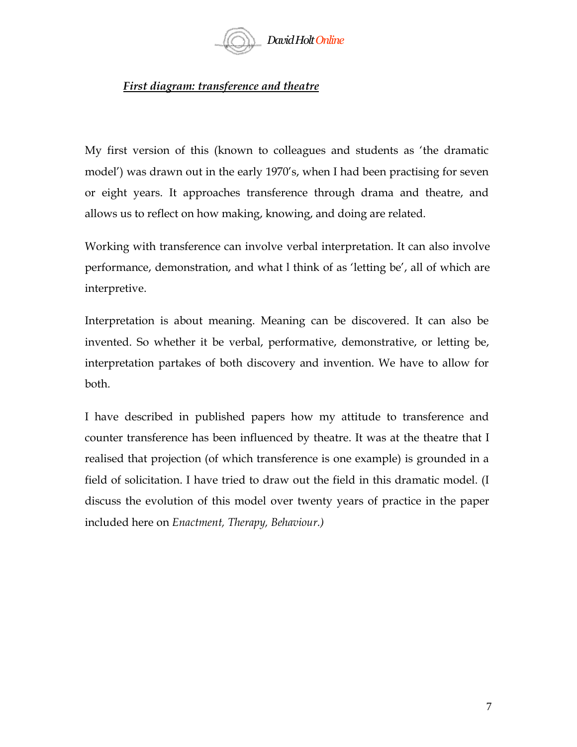

## *First diagram: transference and theatre*

My first version of this (known to colleagues and students as "the dramatic model') was drawn out in the early 1970's, when I had been practising for seven or eight years. It approaches transference through drama and theatre, and allows us to reflect on how making, knowing, and doing are related.

Working with transference can involve verbal interpretation. It can also involve performance, demonstration, and what l think of as "letting be", all of which are interpretive.

Interpretation is about meaning. Meaning can be discovered. It can also be invented. So whether it be verbal, performative, demonstrative, or letting be, interpretation partakes of both discovery and invention. We have to allow for both.

I have described in published papers how my attitude to transference and counter transference has been influenced by theatre. It was at the theatre that I realised that projection (of which transference is one example) is grounded in a field of solicitation. I have tried to draw out the field in this dramatic model. (I discuss the evolution of this model over twenty years of practice in the paper included here on *Enactment, Therapy, Behaviour.)*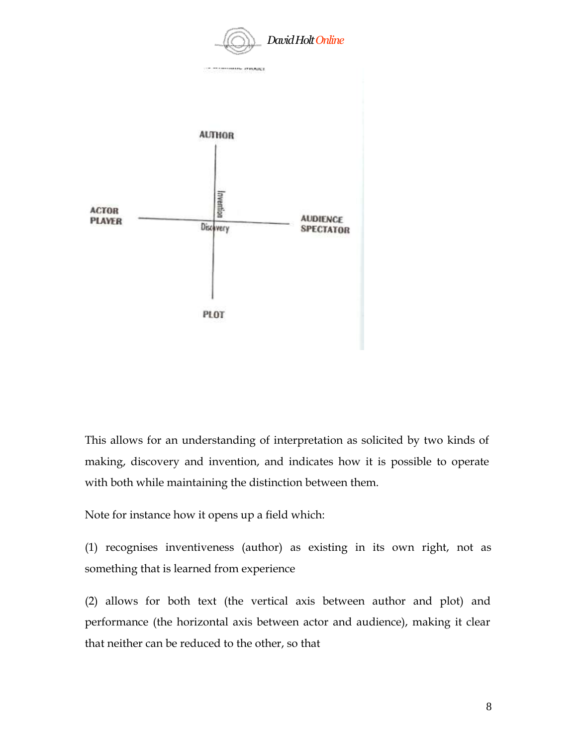

This allows for an understanding of interpretation as solicited by two kinds of making, discovery and invention, and indicates how it is possible to operate with both while maintaining the distinction between them.

Note for instance how it opens up a field which:

(1) recognises inventiveness (author) as existing in its own right, not as something that is learned from experience

(2) allows for both text (the vertical axis between author and plot) and performance (the horizontal axis between actor and audience), making it clear that neither can be reduced to the other, so that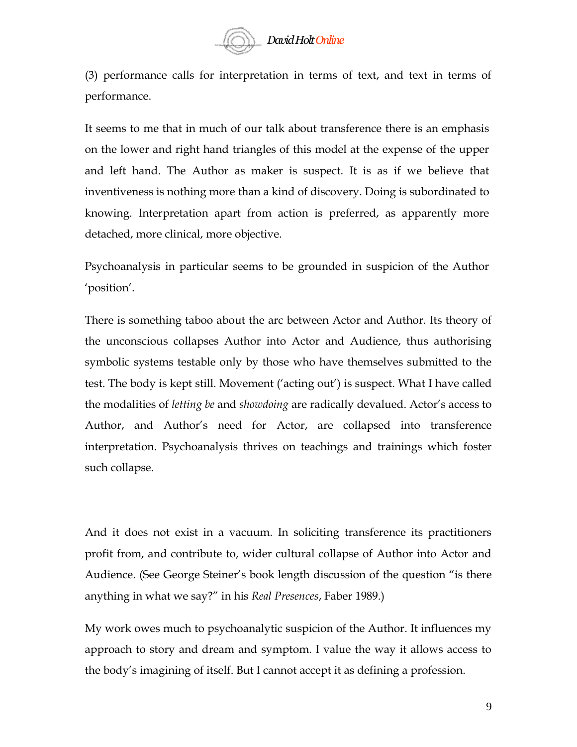

(3) performance calls for interpretation in terms of text, and text in terms of performance.

It seems to me that in much of our talk about transference there is an emphasis on the lower and right hand triangles of this model at the expense of the upper and left hand. The Author as maker is suspect. It is as if we believe that inventiveness is nothing more than a kind of discovery. Doing is subordinated to knowing. Interpretation apart from action is preferred, as apparently more detached, more clinical, more objective.

Psychoanalysis in particular seems to be grounded in suspicion of the Author 'position'.

There is something taboo about the arc between Actor and Author. Its theory of the unconscious collapses Author into Actor and Audience, thus authorising symbolic systems testable only by those who have themselves submitted to the test. The body is kept still. Movement ("acting out") is suspect. What I have called the modalities of *letting be* and *showdoing* are radically devalued. Actor"s access to Author, and Author's need for Actor, are collapsed into transference interpretation. Psychoanalysis thrives on teachings and trainings which foster such collapse.

And it does not exist in a vacuum. In soliciting transference its practitioners profit from, and contribute to, wider cultural collapse of Author into Actor and Audience. (See George Steiner"s book length discussion of the question "is there anything in what we say?" in his *Real Presences*, Faber 1989.)

My work owes much to psychoanalytic suspicion of the Author. It influences my approach to story and dream and symptom. I value the way it allows access to the body"s imagining of itself. But I cannot accept it as defining a profession.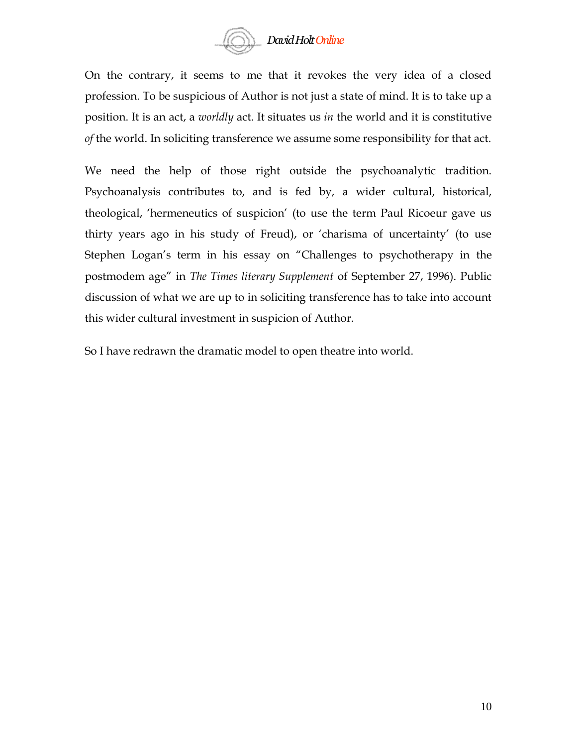

On the contrary, it seems to me that it revokes the very idea of a closed profession. To be suspicious of Author is not just a state of mind. It is to take up a position. It is an act, a *worldly* act. It situates us *in* the world and it is constitutive *of* the world. In soliciting transference we assume some responsibility for that act.

We need the help of those right outside the psychoanalytic tradition. Psychoanalysis contributes to, and is fed by, a wider cultural, historical, theological, "hermeneutics of suspicion" (to use the term Paul Ricoeur gave us thirty years ago in his study of Freud), or "charisma of uncertainty" (to use Stephen Logan's term in his essay on "Challenges to psychotherapy in the postmodem age" in *The Times literary Supplement* of September 27, 1996). Public discussion of what we are up to in soliciting transference has to take into account this wider cultural investment in suspicion of Author.

So I have redrawn the dramatic model to open theatre into world.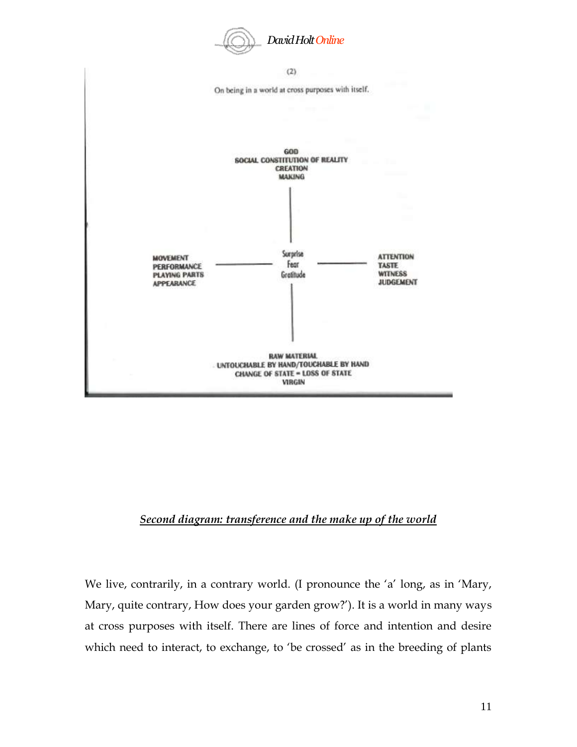

#### *Second diagram: transference and the make up of the world*

We live, contrarily, in a contrary world. (I pronounce the 'a' long, as in 'Mary, Mary, quite contrary, How does your garden grow?"). It is a world in many ways at cross purposes with itself. There are lines of force and intention and desire which need to interact, to exchange, to 'be crossed' as in the breeding of plants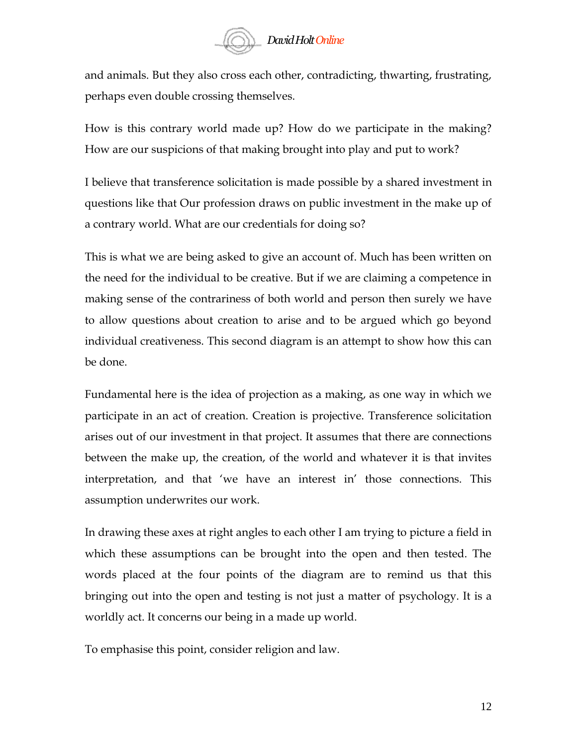

and animals. But they also cross each other, contradicting, thwarting, frustrating, perhaps even double crossing themselves.

How is this contrary world made up? How do we participate in the making? How are our suspicions of that making brought into play and put to work?

I believe that transference solicitation is made possible by a shared investment in questions like that Our profession draws on public investment in the make up of a contrary world. What are our credentials for doing so?

This is what we are being asked to give an account of. Much has been written on the need for the individual to be creative. But if we are claiming a competence in making sense of the contrariness of both world and person then surely we have to allow questions about creation to arise and to be argued which go beyond individual creativeness. This second diagram is an attempt to show how this can be done.

Fundamental here is the idea of projection as a making, as one way in which we participate in an act of creation. Creation is projective. Transference solicitation arises out of our investment in that project. It assumes that there are connections between the make up, the creation, of the world and whatever it is that invites interpretation, and that "we have an interest in" those connections. This assumption underwrites our work.

In drawing these axes at right angles to each other I am trying to picture a field in which these assumptions can be brought into the open and then tested. The words placed at the four points of the diagram are to remind us that this bringing out into the open and testing is not just a matter of psychology. It is a worldly act. It concerns our being in a made up world.

To emphasise this point, consider religion and law.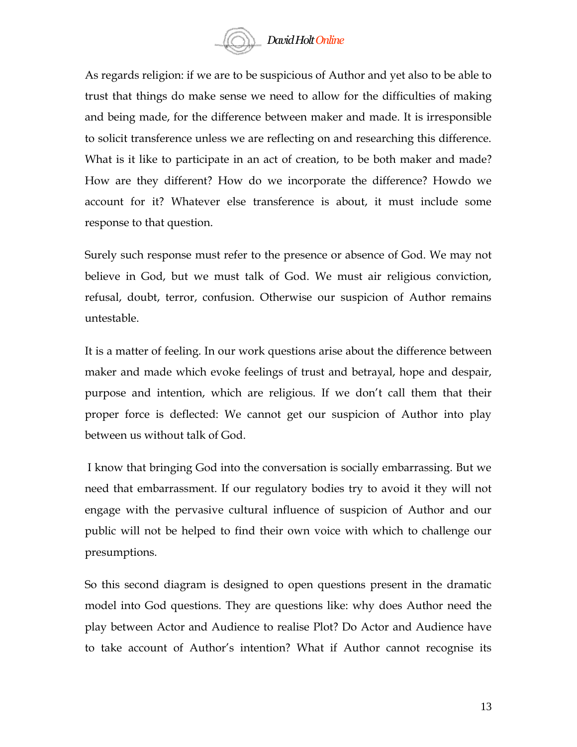

As regards religion: if we are to be suspicious of Author and yet also to be able to trust that things do make sense we need to allow for the difficulties of making and being made, for the difference between maker and made. It is irresponsible to solicit transference unless we are reflecting on and researching this difference. What is it like to participate in an act of creation, to be both maker and made? How are they different? How do we incorporate the difference? Howdo we account for it? Whatever else transference is about, it must include some response to that question.

Surely such response must refer to the presence or absence of God. We may not believe in God, but we must talk of God. We must air religious conviction, refusal, doubt, terror, confusion. Otherwise our suspicion of Author remains untestable.

It is a matter of feeling. In our work questions arise about the difference between maker and made which evoke feelings of trust and betrayal, hope and despair, purpose and intention, which are religious. If we don"t call them that their proper force is deflected: We cannot get our suspicion of Author into play between us without talk of God.

I know that bringing God into the conversation is socially embarrassing. But we need that embarrassment. If our regulatory bodies try to avoid it they will not engage with the pervasive cultural influence of suspicion of Author and our public will not be helped to find their own voice with which to challenge our presumptions.

So this second diagram is designed to open questions present in the dramatic model into God questions. They are questions like: why does Author need the play between Actor and Audience to realise Plot? Do Actor and Audience have to take account of Author"s intention? What if Author cannot recognise its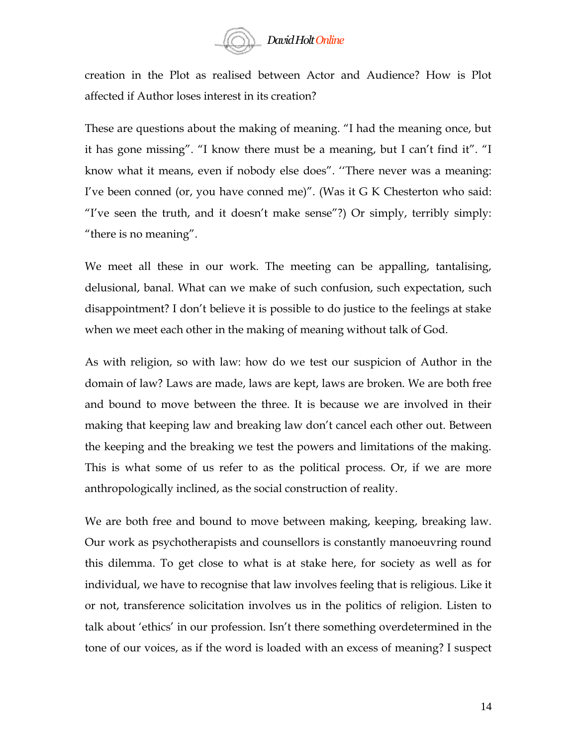

creation in the Plot as realised between Actor and Audience? How is Plot affected if Author loses interest in its creation?

These are questions about the making of meaning. "I had the meaning once, but it has gone missing". "I know there must be a meaning, but I can"t find it". "I know what it means, even if nobody else does". ""There never was a meaning: I've been conned (or, you have conned me)". (Was it G K Chesterton who said: "I've seen the truth, and it doesn't make sense"?) Or simply, terribly simply: "there is no meaning".

We meet all these in our work. The meeting can be appalling, tantalising, delusional, banal. What can we make of such confusion, such expectation, such disappointment? I don"t believe it is possible to do justice to the feelings at stake when we meet each other in the making of meaning without talk of God.

As with religion, so with law: how do we test our suspicion of Author in the domain of law? Laws are made, laws are kept, laws are broken. We are both free and bound to move between the three. It is because we are involved in their making that keeping law and breaking law don"t cancel each other out. Between the keeping and the breaking we test the powers and limitations of the making. This is what some of us refer to as the political process. Or, if we are more anthropologically inclined, as the social construction of reality.

We are both free and bound to move between making, keeping, breaking law. Our work as psychotherapists and counsellors is constantly manoeuvring round this dilemma. To get close to what is at stake here, for society as well as for individual, we have to recognise that law involves feeling that is religious. Like it or not, transference solicitation involves us in the politics of religion. Listen to talk about 'ethics' in our profession. Isn't there something overdetermined in the tone of our voices, as if the word is loaded with an excess of meaning? I suspect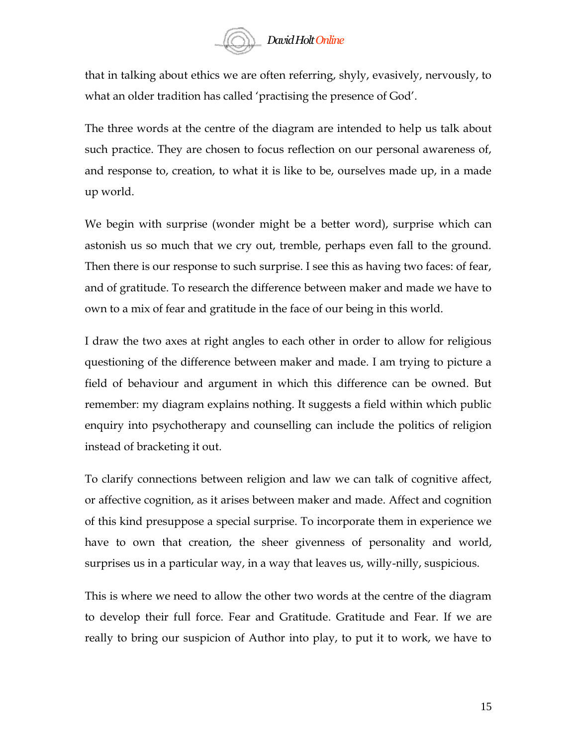

that in talking about ethics we are often referring, shyly, evasively, nervously, to what an older tradition has called 'practising the presence of God'.

The three words at the centre of the diagram are intended to help us talk about such practice. They are chosen to focus reflection on our personal awareness of, and response to, creation, to what it is like to be, ourselves made up, in a made up world.

We begin with surprise (wonder might be a better word), surprise which can astonish us so much that we cry out, tremble, perhaps even fall to the ground. Then there is our response to such surprise. I see this as having two faces: of fear, and of gratitude. To research the difference between maker and made we have to own to a mix of fear and gratitude in the face of our being in this world.

I draw the two axes at right angles to each other in order to allow for religious questioning of the difference between maker and made. I am trying to picture a field of behaviour and argument in which this difference can be owned. But remember: my diagram explains nothing. It suggests a field within which public enquiry into psychotherapy and counselling can include the politics of religion instead of bracketing it out.

To clarify connections between religion and law we can talk of cognitive affect, or affective cognition, as it arises between maker and made. Affect and cognition of this kind presuppose a special surprise. To incorporate them in experience we have to own that creation, the sheer givenness of personality and world, surprises us in a particular way, in a way that leaves us, willy-nilly, suspicious.

This is where we need to allow the other two words at the centre of the diagram to develop their full force. Fear and Gratitude. Gratitude and Fear. If we are really to bring our suspicion of Author into play, to put it to work, we have to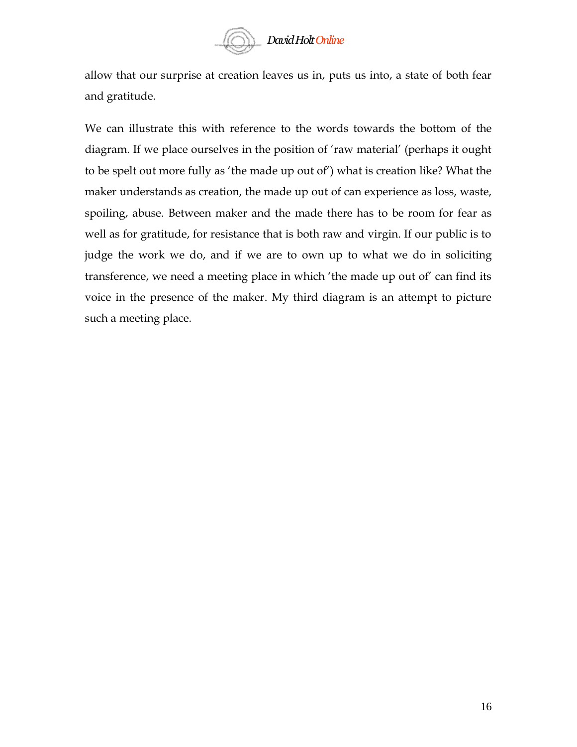

allow that our surprise at creation leaves us in, puts us into, a state of both fear and gratitude.

We can illustrate this with reference to the words towards the bottom of the diagram. If we place ourselves in the position of "raw material" (perhaps it ought to be spelt out more fully as "the made up out of") what is creation like? What the maker understands as creation, the made up out of can experience as loss, waste, spoiling, abuse. Between maker and the made there has to be room for fear as well as for gratitude, for resistance that is both raw and virgin. If our public is to judge the work we do, and if we are to own up to what we do in soliciting transference, we need a meeting place in which 'the made up out of' can find its voice in the presence of the maker. My third diagram is an attempt to picture such a meeting place.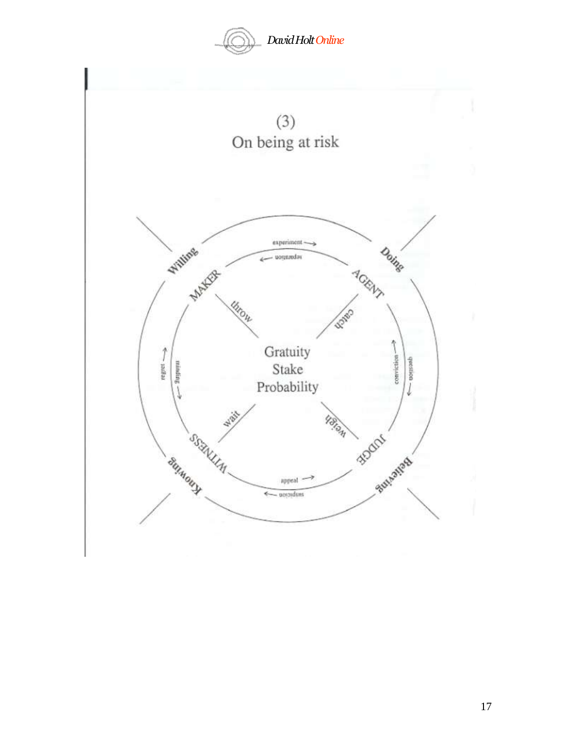

# *[David Holt Online](http://davidholtonline.com/)*

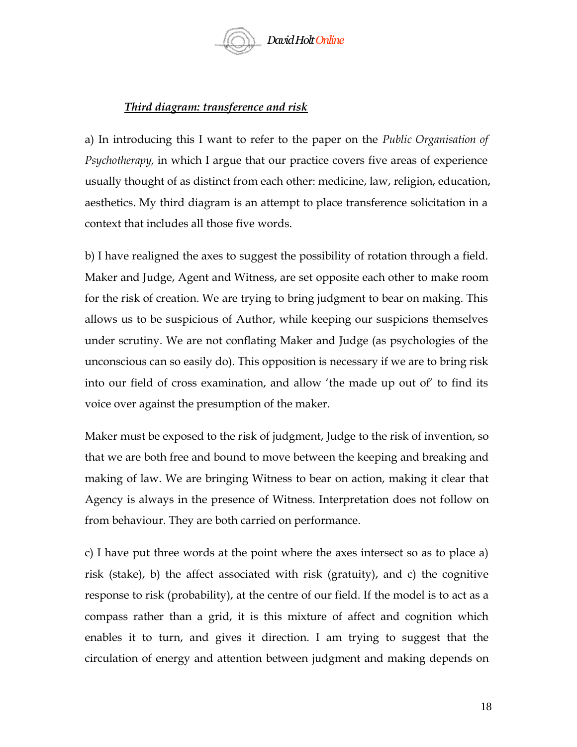

## *Third diagram: transference and risk*

a) In introducing this I want to refer to the paper on the *Public Organisation of Psychotherapy,* in which I argue that our practice covers five areas of experience usually thought of as distinct from each other: medicine, law, religion, education, aesthetics. My third diagram is an attempt to place transference solicitation in a context that includes all those five words.

b) I have realigned the axes to suggest the possibility of rotation through a field. Maker and Judge, Agent and Witness, are set opposite each other to make room for the risk of creation. We are trying to bring judgment to bear on making. This allows us to be suspicious of Author, while keeping our suspicions themselves under scrutiny. We are not conflating Maker and Judge (as psychologies of the unconscious can so easily do). This opposition is necessary if we are to bring risk into our field of cross examination, and allow "the made up out of" to find its voice over against the presumption of the maker.

Maker must be exposed to the risk of judgment, Judge to the risk of invention, so that we are both free and bound to move between the keeping and breaking and making of law. We are bringing Witness to bear on action, making it clear that Agency is always in the presence of Witness. Interpretation does not follow on from behaviour. They are both carried on performance.

c) I have put three words at the point where the axes intersect so as to place a) risk (stake), b) the affect associated with risk (gratuity), and c) the cognitive response to risk (probability), at the centre of our field. If the model is to act as a compass rather than a grid, it is this mixture of affect and cognition which enables it to turn, and gives it direction. I am trying to suggest that the circulation of energy and attention between judgment and making depends on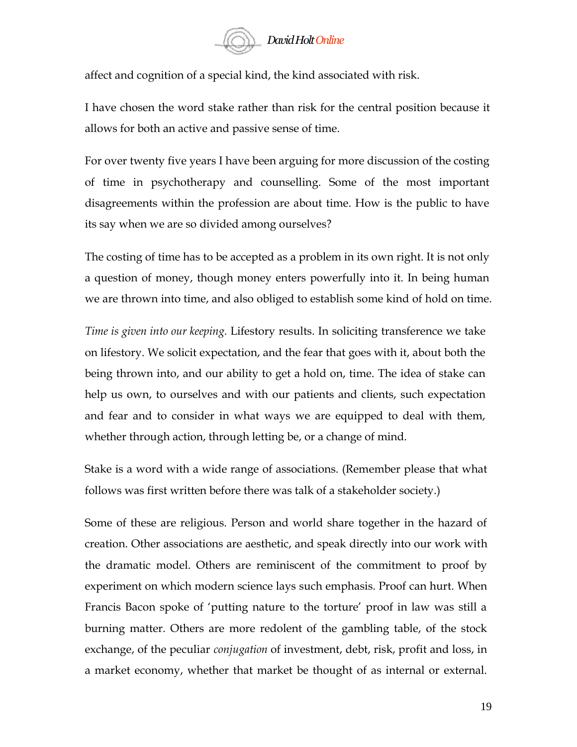

affect and cognition of a special kind, the kind associated with risk.

I have chosen the word stake rather than risk for the central position because it allows for both an active and passive sense of time.

For over twenty five years I have been arguing for more discussion of the costing of time in psychotherapy and counselling. Some of the most important disagreements within the profession are about time. How is the public to have its say when we are so divided among ourselves?

The costing of time has to be accepted as a problem in its own right. It is not only a question of money, though money enters powerfully into it. In being human we are thrown into time, and also obliged to establish some kind of hold on time.

*Time is given into our keeping.* Lifestory results. In soliciting transference we take on lifestory. We solicit expectation, and the fear that goes with it, about both the being thrown into, and our ability to get a hold on, time. The idea of stake can help us own, to ourselves and with our patients and clients, such expectation and fear and to consider in what ways we are equipped to deal with them, whether through action, through letting be, or a change of mind.

Stake is a word with a wide range of associations. (Remember please that what follows was first written before there was talk of a stakeholder society.)

Some of these are religious. Person and world share together in the hazard of creation. Other associations are aesthetic, and speak directly into our work with the dramatic model. Others are reminiscent of the commitment to proof by experiment on which modern science lays such emphasis. Proof can hurt. When Francis Bacon spoke of 'putting nature to the torture' proof in law was still a burning matter. Others are more redolent of the gambling table, of the stock exchange, of the peculiar *conjugation* of investment, debt, risk, profit and loss, in a market economy, whether that market be thought of as internal or external.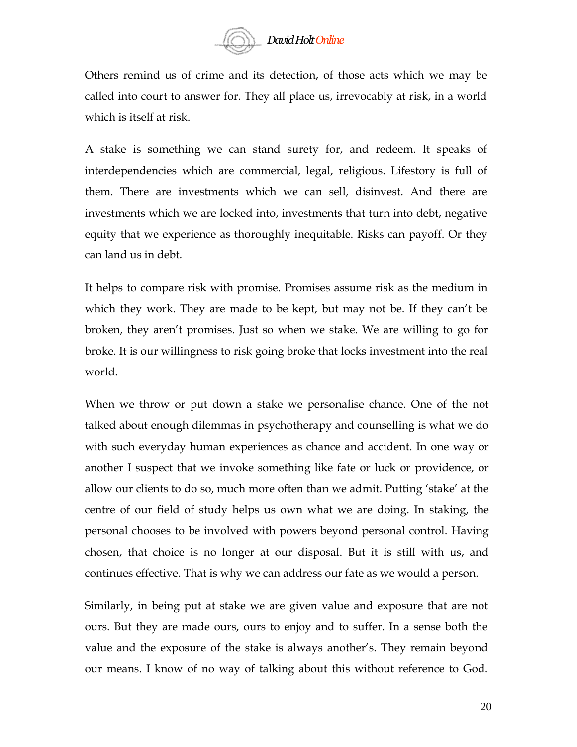

Others remind us of crime and its detection, of those acts which we may be called into court to answer for. They all place us, irrevocably at risk, in a world which is itself at risk.

A stake is something we can stand surety for, and redeem. It speaks of interdependencies which are commercial, legal, religious. Lifestory is full of them. There are investments which we can sell, disinvest. And there are investments which we are locked into, investments that turn into debt, negative equity that we experience as thoroughly inequitable. Risks can payoff. Or they can land us in debt.

It helps to compare risk with promise. Promises assume risk as the medium in which they work. They are made to be kept, but may not be. If they can't be broken, they aren"t promises. Just so when we stake. We are willing to go for broke. It is our willingness to risk going broke that locks investment into the real world.

When we throw or put down a stake we personalise chance. One of the not talked about enough dilemmas in psychotherapy and counselling is what we do with such everyday human experiences as chance and accident. In one way or another I suspect that we invoke something like fate or luck or providence, or allow our clients to do so, much more often than we admit. Putting "stake" at the centre of our field of study helps us own what we are doing. In staking, the personal chooses to be involved with powers beyond personal control. Having chosen, that choice is no longer at our disposal. But it is still with us, and continues effective. That is why we can address our fate as we would a person.

Similarly, in being put at stake we are given value and exposure that are not ours. But they are made ours, ours to enjoy and to suffer. In a sense both the value and the exposure of the stake is always another's. They remain beyond our means. I know of no way of talking about this without reference to God.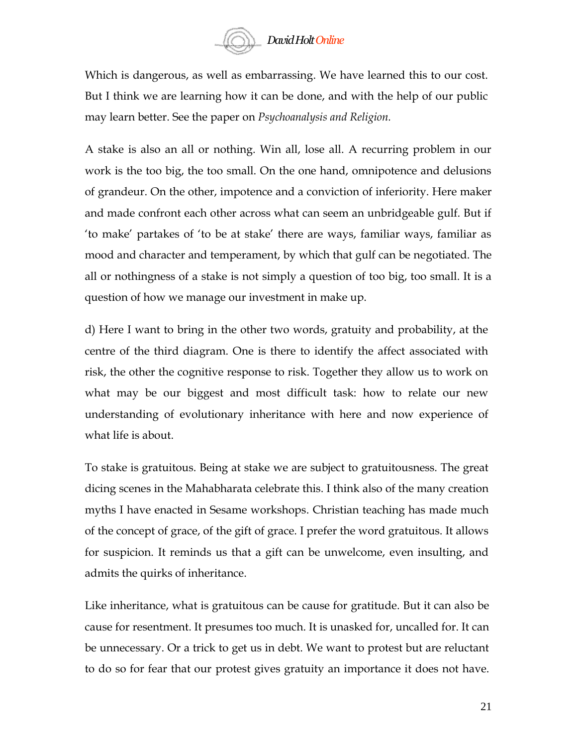

Which is dangerous, as well as embarrassing. We have learned this to our cost. But I think we are learning how it can be done, and with the help of our public may learn better. See the paper on *Psychoanalysis and Religion.*

A stake is also an all or nothing. Win all, lose all. A recurring problem in our work is the too big, the too small. On the one hand, omnipotence and delusions of grandeur. On the other, impotence and a conviction of inferiority. Here maker and made confront each other across what can seem an unbridgeable gulf. But if "to make" partakes of "to be at stake" there are ways, familiar ways, familiar as mood and character and temperament, by which that gulf can be negotiated. The all or nothingness of a stake is not simply a question of too big, too small. It is a question of how we manage our investment in make up.

d) Here I want to bring in the other two words, gratuity and probability, at the centre of the third diagram. One is there to identify the affect associated with risk, the other the cognitive response to risk. Together they allow us to work on what may be our biggest and most difficult task: how to relate our new understanding of evolutionary inheritance with here and now experience of what life is about.

To stake is gratuitous. Being at stake we are subject to gratuitousness. The great dicing scenes in the Mahabharata celebrate this. I think also of the many creation myths I have enacted in Sesame workshops. Christian teaching has made much of the concept of grace, of the gift of grace. I prefer the word gratuitous. It allows for suspicion. It reminds us that a gift can be unwelcome, even insulting, and admits the quirks of inheritance.

Like inheritance, what is gratuitous can be cause for gratitude. But it can also be cause for resentment. It presumes too much. It is unasked for, uncalled for. It can be unnecessary. Or a trick to get us in debt. We want to protest but are reluctant to do so for fear that our protest gives gratuity an importance it does not have.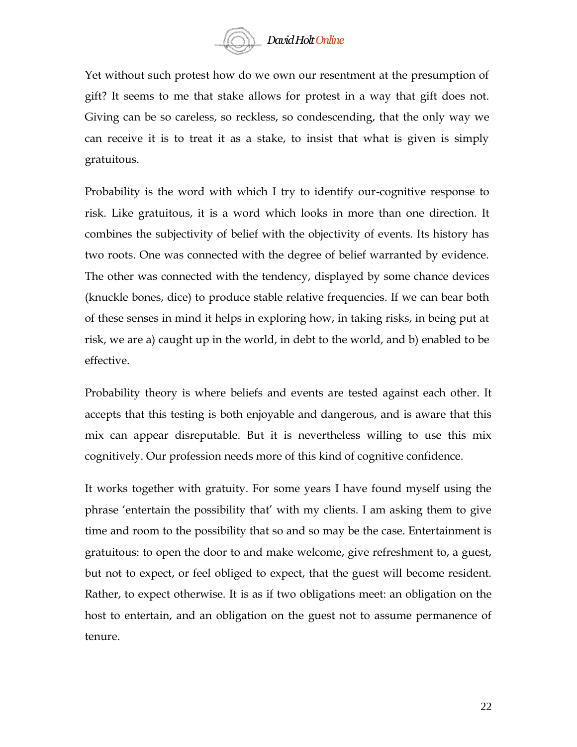

Yet without such protest how do we own our resentment at the presumption of gift? It seems to me that stake allows for protest in a way that gift does not. Giving can be so careless, so reckless, so condescending, that the only way we can receive it is to treat it as a stake, to insist that what is given is simply gratuitous.

Probability is the word with which I try to identify our-cognitive response to risk. Like gratuitous, it is a word which looks in more than one direction. It combines the subjectivity of belief with the objectivity of events. Its history has two roots. One was connected with the degree of belief warranted by evidence. The other was connected with the tendency, displayed by some chance devices (knuckle bones, dice) to produce stable relative frequencies. If we can bear both of these senses in mind it helps in exploring how, in taking risks, in being put at risk, we are a) caught up in the world, in debt to the world, and b) enabled to be effective.

Probability theory is where beliefs and events are tested against each other. It accepts that this testing is both enjoyable and dangerous, and is aware that this mix can appear disreputable. But it is nevertheless willing to use this mix cognitively. Our profession needs more of this kind of cognitive confidence.

It works together with gratuity. For some years I have found myself using the phrase "entertain the possibility that" with my clients. I am asking them to give time and room to the possibility that so and so may be the case. Entertainment is gratuitous: to open the door to and make welcome, give refreshment to, a guest, but not to expect, or feel obliged to expect, that the guest will become resident. Rather, to expect otherwise. It is as if two obligations meet: an obligation on the host to entertain, and an obligation on the guest not to assume permanence of tenure.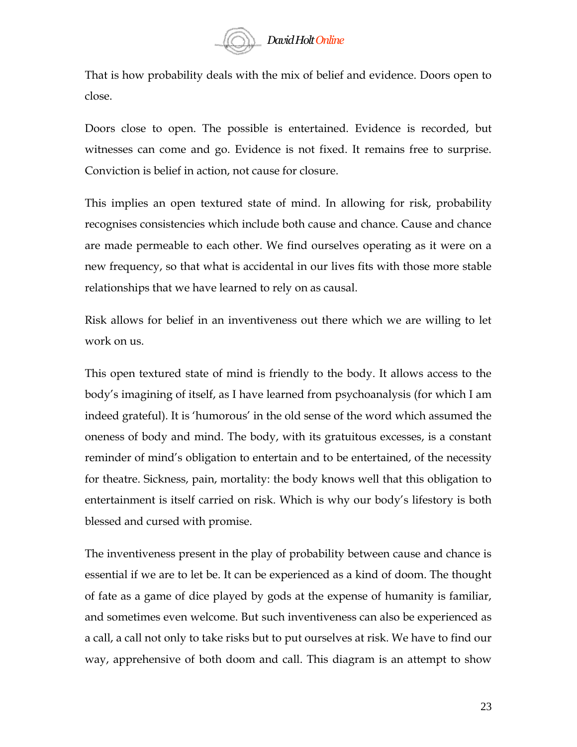

That is how probability deals with the mix of belief and evidence. Doors open to close.

Doors close to open. The possible is entertained. Evidence is recorded, but witnesses can come and go. Evidence is not fixed. It remains free to surprise. Conviction is belief in action, not cause for closure.

This implies an open textured state of mind. In allowing for risk, probability recognises consistencies which include both cause and chance. Cause and chance are made permeable to each other. We find ourselves operating as it were on a new frequency, so that what is accidental in our lives fits with those more stable relationships that we have learned to rely on as causal.

Risk allows for belief in an inventiveness out there which we are willing to let work on us.

This open textured state of mind is friendly to the body. It allows access to the body"s imagining of itself, as I have learned from psychoanalysis (for which I am indeed grateful). It is 'humorous' in the old sense of the word which assumed the oneness of body and mind. The body, with its gratuitous excesses, is a constant reminder of mind"s obligation to entertain and to be entertained, of the necessity for theatre. Sickness, pain, mortality: the body knows well that this obligation to entertainment is itself carried on risk. Which is why our body"s lifestory is both blessed and cursed with promise.

The inventiveness present in the play of probability between cause and chance is essential if we are to let be. It can be experienced as a kind of doom. The thought of fate as a game of dice played by gods at the expense of humanity is familiar, and sometimes even welcome. But such inventiveness can also be experienced as a call, a call not only to take risks but to put ourselves at risk. We have to find our way, apprehensive of both doom and call. This diagram is an attempt to show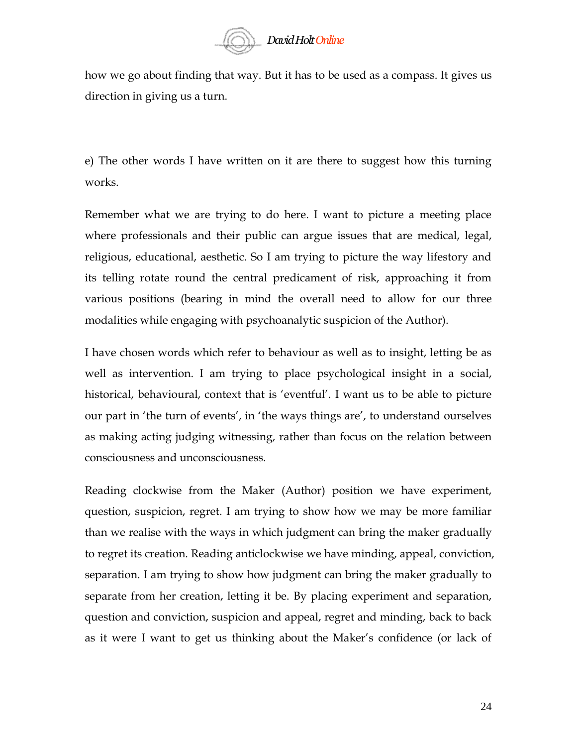

how we go about finding that way. But it has to be used as a compass. It gives us direction in giving us a turn.

e) The other words I have written on it are there to suggest how this turning works.

Remember what we are trying to do here. I want to picture a meeting place where professionals and their public can argue issues that are medical, legal, religious, educational, aesthetic. So I am trying to picture the way lifestory and its telling rotate round the central predicament of risk, approaching it from various positions (bearing in mind the overall need to allow for our three modalities while engaging with psychoanalytic suspicion of the Author).

I have chosen words which refer to behaviour as well as to insight, letting be as well as intervention. I am trying to place psychological insight in a social, historical, behavioural, context that is 'eventful'. I want us to be able to picture our part in 'the turn of events', in 'the ways things are', to understand ourselves as making acting judging witnessing, rather than focus on the relation between consciousness and unconsciousness.

Reading clockwise from the Maker (Author) position we have experiment, question, suspicion, regret. I am trying to show how we may be more familiar than we realise with the ways in which judgment can bring the maker gradually to regret its creation. Reading anticlockwise we have minding, appeal, conviction, separation. I am trying to show how judgment can bring the maker gradually to separate from her creation, letting it be. By placing experiment and separation, question and conviction, suspicion and appeal, regret and minding, back to back as it were I want to get us thinking about the Maker"s confidence (or lack of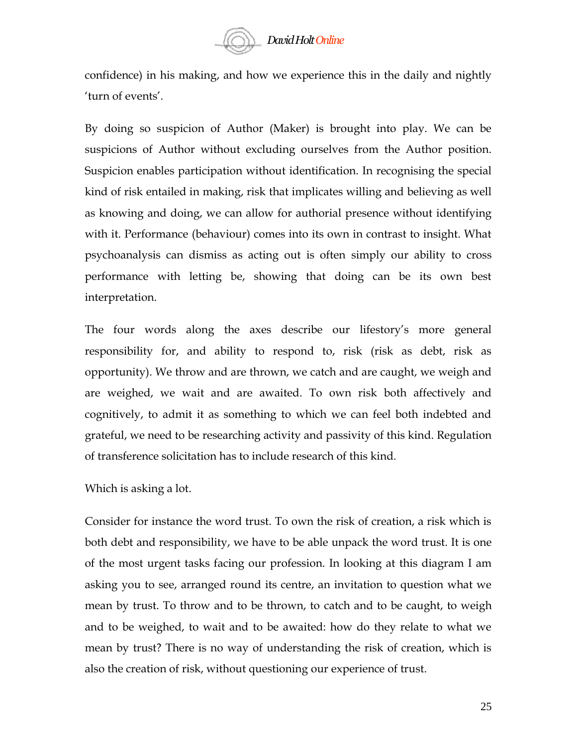

confidence) in his making, and how we experience this in the daily and nightly 'turn of events'.

By doing so suspicion of Author (Maker) is brought into play. We can be suspicions of Author without excluding ourselves from the Author position. Suspicion enables participation without identification. In recognising the special kind of risk entailed in making, risk that implicates willing and believing as well as knowing and doing, we can allow for authorial presence without identifying with it. Performance (behaviour) comes into its own in contrast to insight. What psychoanalysis can dismiss as acting out is often simply our ability to cross performance with letting be, showing that doing can be its own best interpretation.

The four words along the axes describe our lifestory's more general responsibility for, and ability to respond to, risk (risk as debt, risk as opportunity). We throw and are thrown, we catch and are caught, we weigh and are weighed, we wait and are awaited. To own risk both affectively and cognitively, to admit it as something to which we can feel both indebted and grateful, we need to be researching activity and passivity of this kind. Regulation of transference solicitation has to include research of this kind.

#### Which is asking a lot.

Consider for instance the word trust. To own the risk of creation, a risk which is both debt and responsibility, we have to be able unpack the word trust. It is one of the most urgent tasks facing our profession. In looking at this diagram I am asking you to see, arranged round its centre, an invitation to question what we mean by trust. To throw and to be thrown, to catch and to be caught, to weigh and to be weighed, to wait and to be awaited: how do they relate to what we mean by trust? There is no way of understanding the risk of creation, which is also the creation of risk, without questioning our experience of trust.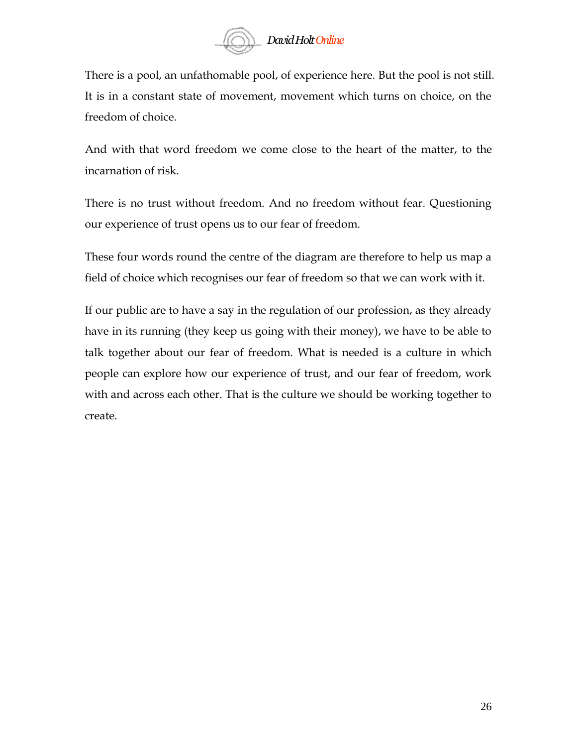

There is a pool, an unfathomable pool, of experience here. But the pool is not still. It is in a constant state of movement, movement which turns on choice, on the freedom of choice.

And with that word freedom we come close to the heart of the matter, to the incarnation of risk.

There is no trust without freedom. And no freedom without fear. Questioning our experience of trust opens us to our fear of freedom.

These four words round the centre of the diagram are therefore to help us map a field of choice which recognises our fear of freedom so that we can work with it.

If our public are to have a say in the regulation of our profession, as they already have in its running (they keep us going with their money), we have to be able to talk together about our fear of freedom. What is needed is a culture in which people can explore how our experience of trust, and our fear of freedom, work with and across each other. That is the culture we should be working together to create.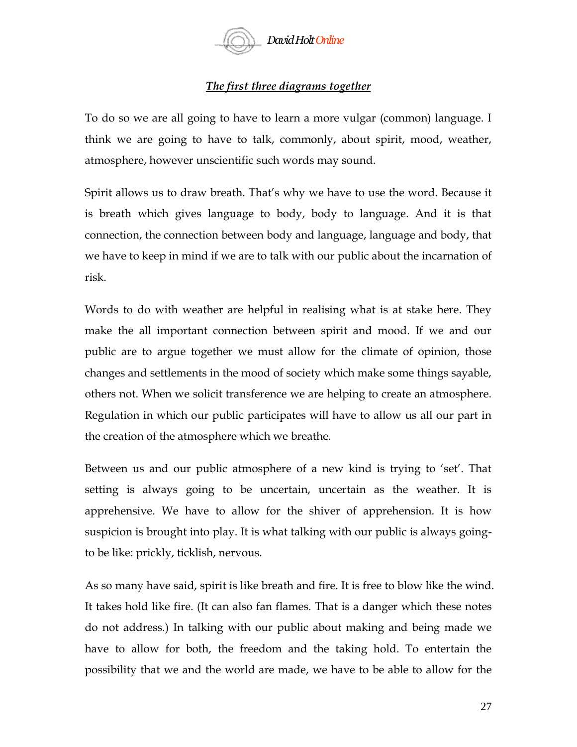

## *The first three diagrams together*

To do so we are all going to have to learn a more vulgar (common) language. I think we are going to have to talk, commonly, about spirit, mood, weather, atmosphere, however unscientific such words may sound.

Spirit allows us to draw breath. That's why we have to use the word. Because it is breath which gives language to body, body to language. And it is that connection, the connection between body and language, language and body, that we have to keep in mind if we are to talk with our public about the incarnation of risk.

Words to do with weather are helpful in realising what is at stake here. They make the all important connection between spirit and mood. If we and our public are to argue together we must allow for the climate of opinion, those changes and settlements in the mood of society which make some things sayable, others not. When we solicit transference we are helping to create an atmosphere. Regulation in which our public participates will have to allow us all our part in the creation of the atmosphere which we breathe.

Between us and our public atmosphere of a new kind is trying to 'set'. That setting is always going to be uncertain, uncertain as the weather. It is apprehensive. We have to allow for the shiver of apprehension. It is how suspicion is brought into play. It is what talking with our public is always goingto be like: prickly, ticklish, nervous.

As so many have said, spirit is like breath and fire. It is free to blow like the wind. It takes hold like fire. (It can also fan flames. That is a danger which these notes do not address.) In talking with our public about making and being made we have to allow for both, the freedom and the taking hold. To entertain the possibility that we and the world are made, we have to be able to allow for the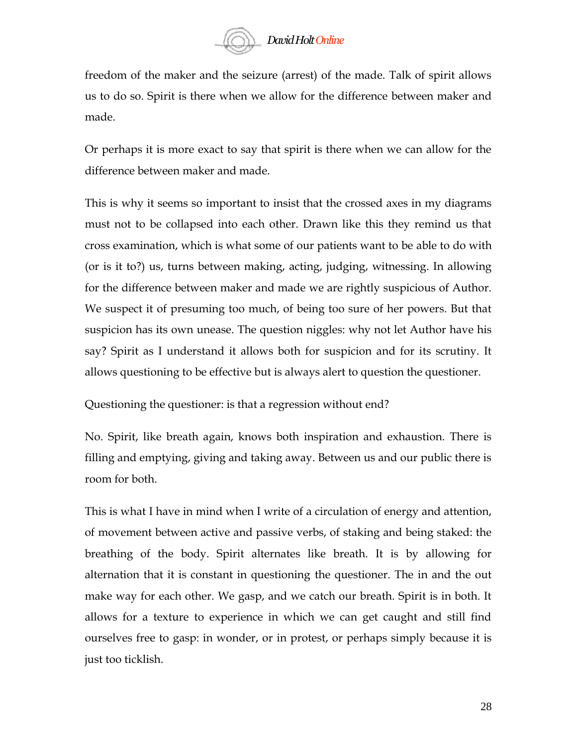

freedom of the maker and the seizure (arrest) of the made. Talk of spirit allows us to do so. Spirit is there when we allow for the difference between maker and made.

Or perhaps it is more exact to say that spirit is there when we can allow for the difference between maker and made.

This is why it seems so important to insist that the crossed axes in my diagrams must not to be collapsed into each other. Drawn like this they remind us that cross examination, which is what some of our patients want to be able to do with (or is it to?) us, turns between making, acting, judging, witnessing. In allowing for the difference between maker and made we are rightly suspicious of Author. We suspect it of presuming too much, of being too sure of her powers. But that suspicion has its own unease. The question niggles: why not let Author have his say? Spirit as I understand it allows both for suspicion and for its scrutiny. It allows questioning to be effective but is always alert to question the questioner.

Questioning the questioner: is that a regression without end?

No. Spirit, like breath again, knows both inspiration and exhaustion. There is filling and emptying, giving and taking away. Between us and our public there is room for both.

This is what I have in mind when I write of a circulation of energy and attention, of movement between active and passive verbs, of staking and being staked: the breathing of the body. Spirit alternates like breath. It is by allowing for alternation that it is constant in questioning the questioner. The in and the out make way for each other. We gasp, and we catch our breath. Spirit is in both. It allows for a texture to experience in which we can get caught and still find ourselves free to gasp: in wonder, or in protest, or perhaps simply because it is just too ticklish.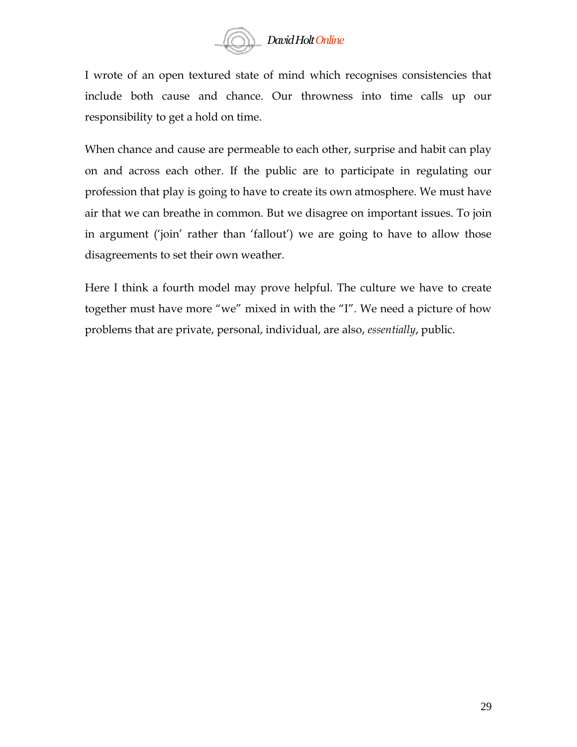

I wrote of an open textured state of mind which recognises consistencies that include both cause and chance. Our throwness into time calls up our responsibility to get a hold on time.

When chance and cause are permeable to each other, surprise and habit can play on and across each other. If the public are to participate in regulating our profession that play is going to have to create its own atmosphere. We must have air that we can breathe in common. But we disagree on important issues. To join in argument ('join' rather than 'fallout') we are going to have to allow those disagreements to set their own weather.

Here I think a fourth model may prove helpful. The culture we have to create together must have more "we" mixed in with the "I". We need a picture of how problems that are private, personal, individual, are also, *essentially*, public.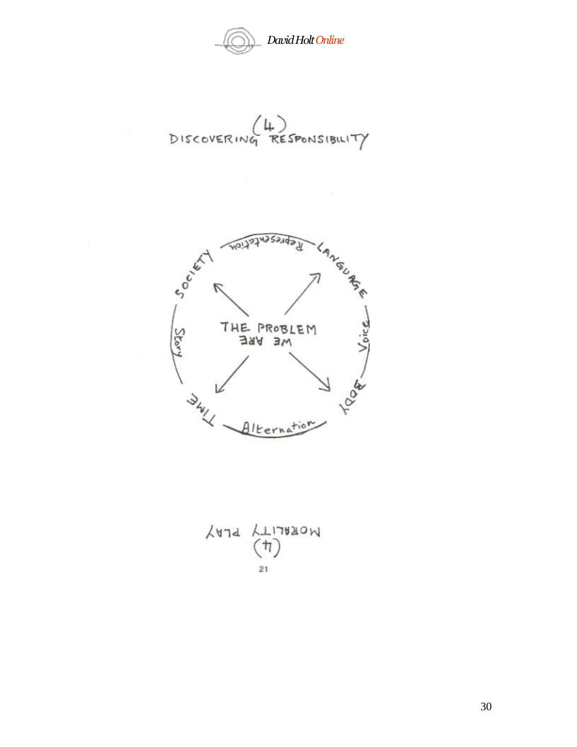





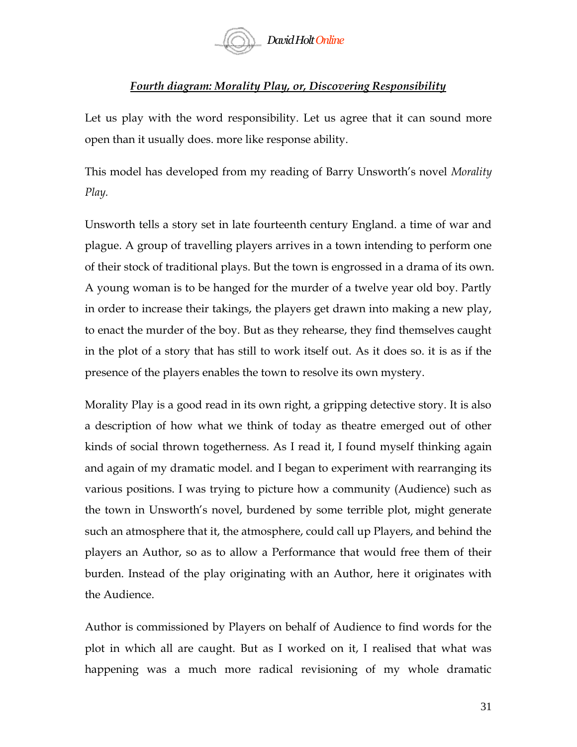

## *Fourth diagram: Morality Play, or, Discovering Responsibility*

Let us play with the word responsibility. Let us agree that it can sound more open than it usually does. more like response ability.

This model has developed from my reading of Barry Unsworth"s novel *Morality Play.*

Unsworth tells a story set in late fourteenth century England. a time of war and plague. A group of travelling players arrives in a town intending to perform one of their stock of traditional plays. But the town is engrossed in a drama of its own. A young woman is to be hanged for the murder of a twelve year old boy. Partly in order to increase their takings, the players get drawn into making a new play, to enact the murder of the boy. But as they rehearse, they find themselves caught in the plot of a story that has still to work itself out. As it does so. it is as if the presence of the players enables the town to resolve its own mystery.

Morality Play is a good read in its own right, a gripping detective story. It is also a description of how what we think of today as theatre emerged out of other kinds of social thrown togetherness. As I read it, I found myself thinking again and again of my dramatic model. and I began to experiment with rearranging its various positions. I was trying to picture how a community (Audience) such as the town in Unsworth"s novel, burdened by some terrible plot, might generate such an atmosphere that it, the atmosphere, could call up Players, and behind the players an Author, so as to allow a Performance that would free them of their burden. Instead of the play originating with an Author, here it originates with the Audience.

Author is commissioned by Players on behalf of Audience to find words for the plot in which all are caught. But as I worked on it, I realised that what was happening was a much more radical revisioning of my whole dramatic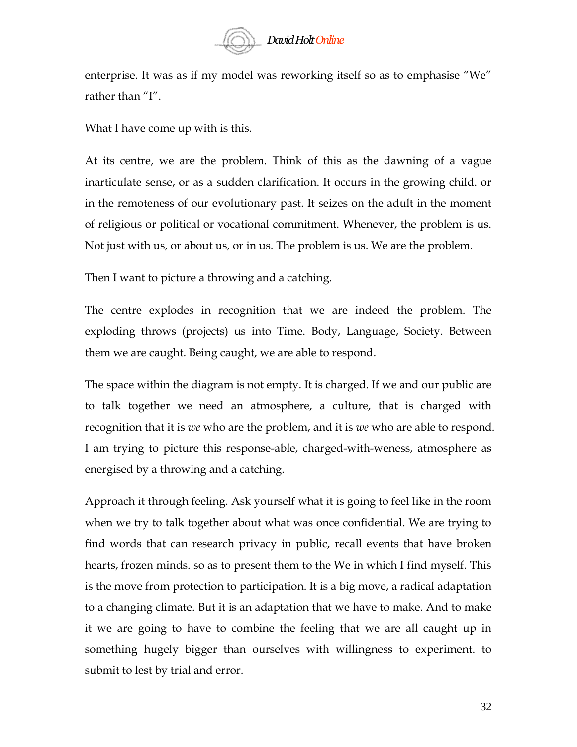

enterprise. It was as if my model was reworking itself so as to emphasise "We" rather than "I".

What I have come up with is this.

At its centre, we are the problem. Think of this as the dawning of a vague inarticulate sense, or as a sudden clarification. It occurs in the growing child. or in the remoteness of our evolutionary past. It seizes on the adult in the moment of religious or political or vocational commitment. Whenever, the problem is us. Not just with us, or about us, or in us. The problem is us. We are the problem.

Then I want to picture a throwing and a catching.

The centre explodes in recognition that we are indeed the problem. The exploding throws (projects) us into Time. Body, Language, Society. Between them we are caught. Being caught, we are able to respond.

The space within the diagram is not empty. It is charged. If we and our public are to talk together we need an atmosphere, a culture, that is charged with recognition that it is *we* who are the problem, and it is *we* who are able to respond. I am trying to picture this response-able, charged-with-weness, atmosphere as energised by a throwing and a catching.

Approach it through feeling. Ask yourself what it is going to feel like in the room when we try to talk together about what was once confidential. We are trying to find words that can research privacy in public, recall events that have broken hearts, frozen minds. so as to present them to the We in which I find myself. This is the move from protection to participation. It is a big move, a radical adaptation to a changing climate. But it is an adaptation that we have to make. And to make it we are going to have to combine the feeling that we are all caught up in something hugely bigger than ourselves with willingness to experiment. to submit to lest by trial and error.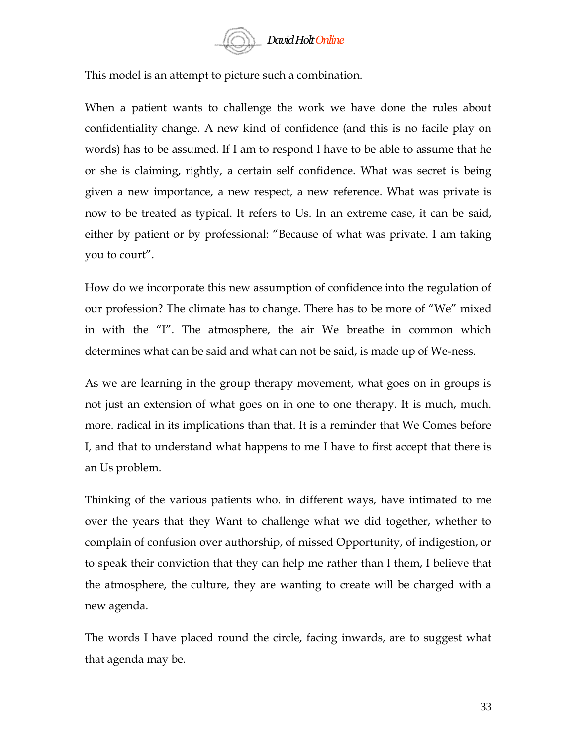

This model is an attempt to picture such a combination.

When a patient wants to challenge the work we have done the rules about confidentiality change. A new kind of confidence (and this is no facile play on words) has to be assumed. If I am to respond I have to be able to assume that he or she is claiming, rightly, a certain self confidence. What was secret is being given a new importance, a new respect, a new reference. What was private is now to be treated as typical. It refers to Us. In an extreme case, it can be said, either by patient or by professional: "Because of what was private. I am taking you to court".

How do we incorporate this new assumption of confidence into the regulation of our profession? The climate has to change. There has to be more of "We" mixed in with the "I". The atmosphere, the air We breathe in common which determines what can be said and what can not be said, is made up of We-ness.

As we are learning in the group therapy movement, what goes on in groups is not just an extension of what goes on in one to one therapy. It is much, much. more. radical in its implications than that. It is a reminder that We Comes before I, and that to understand what happens to me I have to first accept that there is an Us problem.

Thinking of the various patients who. in different ways, have intimated to me over the years that they Want to challenge what we did together, whether to complain of confusion over authorship, of missed Opportunity, of indigestion, or to speak their conviction that they can help me rather than I them, I believe that the atmosphere, the culture, they are wanting to create will be charged with a new agenda.

The words I have placed round the circle, facing inwards, are to suggest what that agenda may be.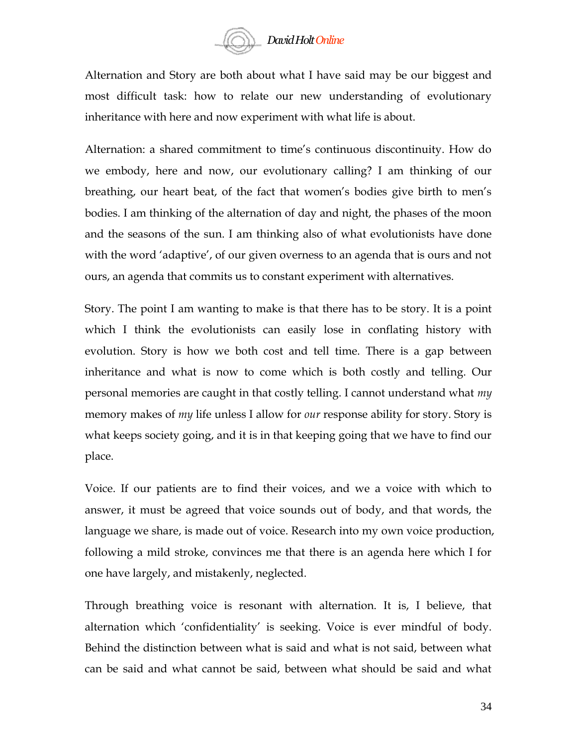

Alternation and Story are both about what I have said may be our biggest and most difficult task: how to relate our new understanding of evolutionary inheritance with here and now experiment with what life is about.

Alternation: a shared commitment to time's continuous discontinuity. How do we embody, here and now, our evolutionary calling? I am thinking of our breathing, our heart beat, of the fact that women's bodies give birth to men's bodies. I am thinking of the alternation of day and night, the phases of the moon and the seasons of the sun. I am thinking also of what evolutionists have done with the word 'adaptive', of our given overness to an agenda that is ours and not ours, an agenda that commits us to constant experiment with alternatives.

Story. The point I am wanting to make is that there has to be story. It is a point which I think the evolutionists can easily lose in conflating history with evolution. Story is how we both cost and tell time. There is a gap between inheritance and what is now to come which is both costly and telling. Our personal memories are caught in that costly telling. I cannot understand what *my* memory makes of *my* life unless I allow for *our* response ability for story. Story is what keeps society going, and it is in that keeping going that we have to find our place.

Voice. If our patients are to find their voices, and we a voice with which to answer, it must be agreed that voice sounds out of body, and that words, the language we share, is made out of voice. Research into my own voice production, following a mild stroke, convinces me that there is an agenda here which I for one have largely, and mistakenly, neglected.

Through breathing voice is resonant with alternation. It is, I believe, that alternation which "confidentiality" is seeking. Voice is ever mindful of body. Behind the distinction between what is said and what is not said, between what can be said and what cannot be said, between what should be said and what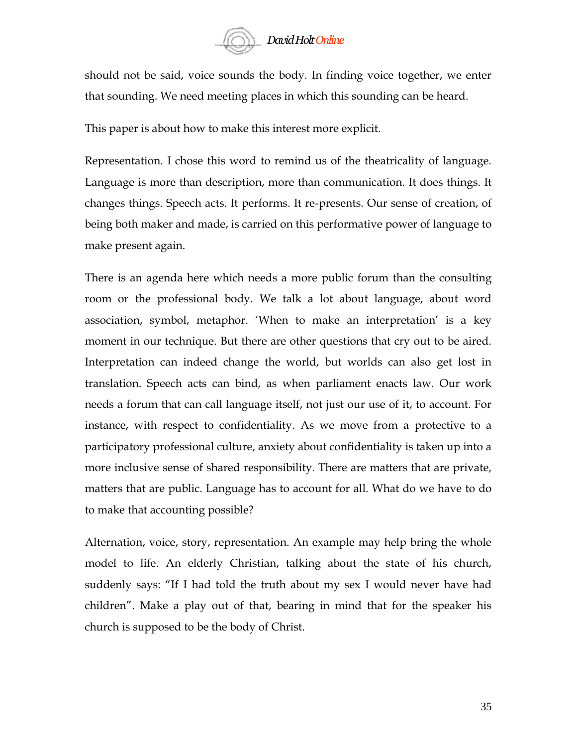

should not be said, voice sounds the body. In finding voice together, we enter that sounding. We need meeting places in which this sounding can be heard.

This paper is about how to make this interest more explicit.

Representation. I chose this word to remind us of the theatricality of language. Language is more than description, more than communication. It does things. It changes things. Speech acts. It performs. It re-presents. Our sense of creation, of being both maker and made, is carried on this performative power of language to make present again.

There is an agenda here which needs a more public forum than the consulting room or the professional body. We talk a lot about language, about word association, symbol, metaphor. "When to make an interpretation" is a key moment in our technique. But there are other questions that cry out to be aired. Interpretation can indeed change the world, but worlds can also get lost in translation. Speech acts can bind, as when parliament enacts law. Our work needs a forum that can call language itself, not just our use of it, to account. For instance, with respect to confidentiality. As we move from a protective to a participatory professional culture, anxiety about confidentiality is taken up into a more inclusive sense of shared responsibility. There are matters that are private, matters that are public. Language has to account for all. What do we have to do to make that accounting possible?

Alternation, voice, story, representation. An example may help bring the whole model to life. An elderly Christian, talking about the state of his church, suddenly says: "If I had told the truth about my sex I would never have had children". Make a play out of that, bearing in mind that for the speaker his church is supposed to be the body of Christ.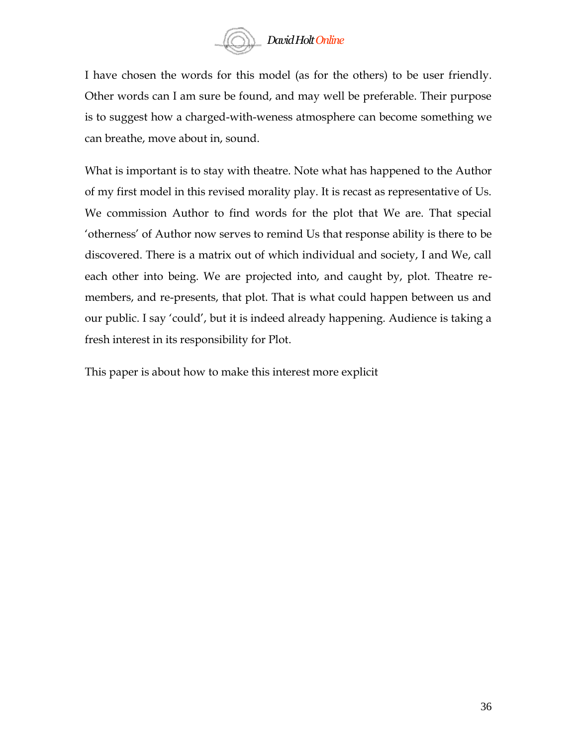

I have chosen the words for this model (as for the others) to be user friendly. Other words can I am sure be found, and may well be preferable. Their purpose is to suggest how a charged-with-weness atmosphere can become something we can breathe, move about in, sound.

What is important is to stay with theatre. Note what has happened to the Author of my first model in this revised morality play. It is recast as representative of Us. We commission Author to find words for the plot that We are. That special "otherness" of Author now serves to remind Us that response ability is there to be discovered. There is a matrix out of which individual and society, I and We, call each other into being. We are projected into, and caught by, plot. Theatre remembers, and re-presents, that plot. That is what could happen between us and our public. I say 'could', but it is indeed already happening. Audience is taking a fresh interest in its responsibility for Plot.

This paper is about how to make this interest more explicit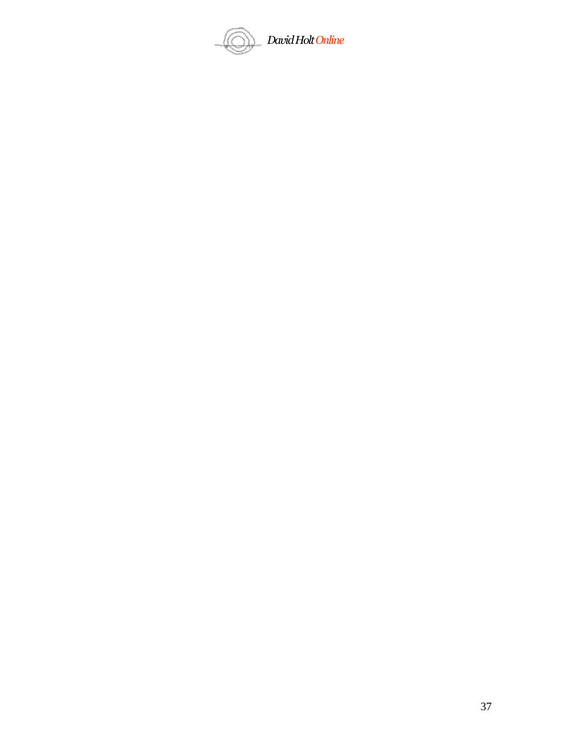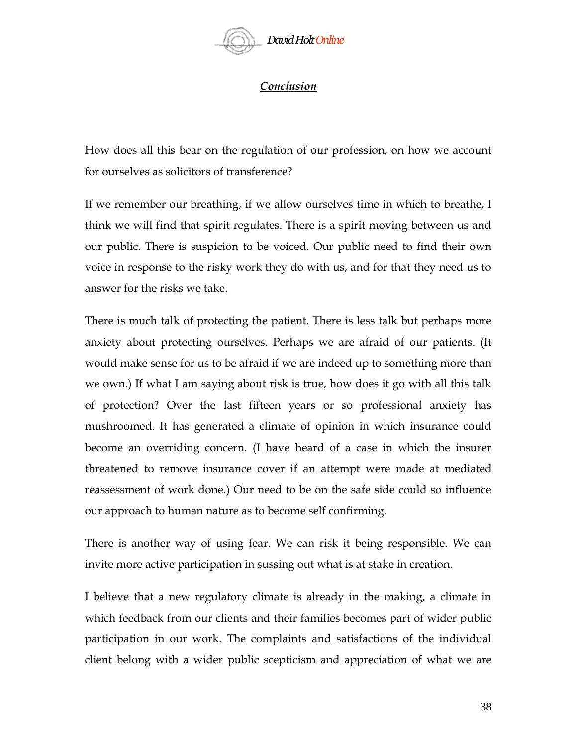

### *Conclusion*

How does all this bear on the regulation of our profession, on how we account for ourselves as solicitors of transference?

If we remember our breathing, if we allow ourselves time in which to breathe, I think we will find that spirit regulates. There is a spirit moving between us and our public. There is suspicion to be voiced. Our public need to find their own voice in response to the risky work they do with us, and for that they need us to answer for the risks we take.

There is much talk of protecting the patient. There is less talk but perhaps more anxiety about protecting ourselves. Perhaps we are afraid of our patients. (It would make sense for us to be afraid if we are indeed up to something more than we own.) If what I am saying about risk is true, how does it go with all this talk of protection? Over the last fifteen years or so professional anxiety has mushroomed. It has generated a climate of opinion in which insurance could become an overriding concern. (I have heard of a case in which the insurer threatened to remove insurance cover if an attempt were made at mediated reassessment of work done.) Our need to be on the safe side could so influence our approach to human nature as to become self confirming.

There is another way of using fear. We can risk it being responsible. We can invite more active participation in sussing out what is at stake in creation.

I believe that a new regulatory climate is already in the making, a climate in which feedback from our clients and their families becomes part of wider public participation in our work. The complaints and satisfactions of the individual client belong with a wider public scepticism and appreciation of what we are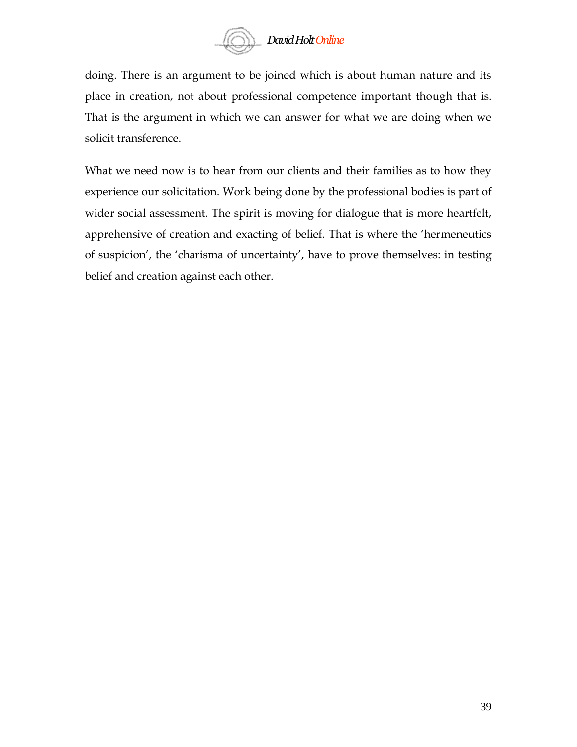

doing. There is an argument to be joined which is about human nature and its place in creation, not about professional competence important though that is. That is the argument in which we can answer for what we are doing when we solicit transference.

What we need now is to hear from our clients and their families as to how they experience our solicitation. Work being done by the professional bodies is part of wider social assessment. The spirit is moving for dialogue that is more heartfelt, apprehensive of creation and exacting of belief. That is where the "hermeneutics of suspicion", the "charisma of uncertainty", have to prove themselves: in testing belief and creation against each other.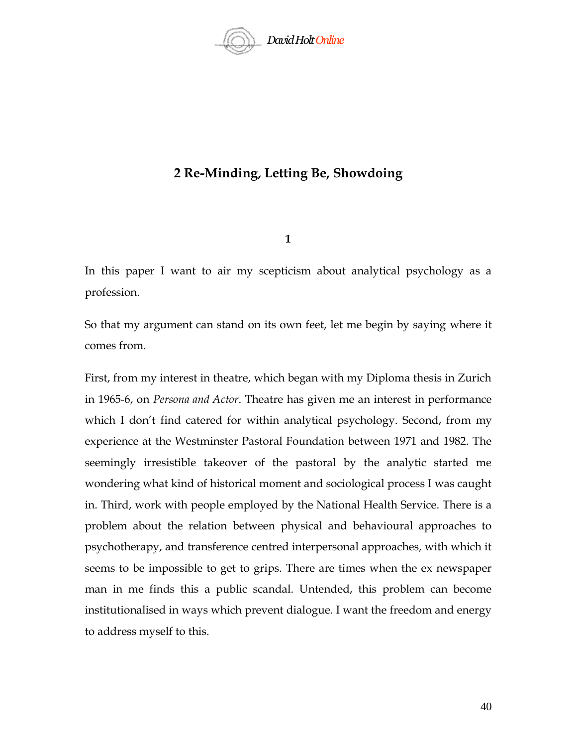

# **2 Re-Minding, Letting Be, Showdoing**

**1**

In this paper I want to air my scepticism about analytical psychology as a profession.

So that my argument can stand on its own feet, let me begin by saying where it comes from.

First, from my interest in theatre, which began with my Diploma thesis in Zurich in 1965-6, on *Persona and Actor*. Theatre has given me an interest in performance which I don't find catered for within analytical psychology. Second, from my experience at the Westminster Pastoral Foundation between 1971 and 1982. The seemingly irresistible takeover of the pastoral by the analytic started me wondering what kind of historical moment and sociological process I was caught in. Third, work with people employed by the National Health Service. There is a problem about the relation between physical and behavioural approaches to psychotherapy, and transference centred interpersonal approaches, with which it seems to be impossible to get to grips. There are times when the ex newspaper man in me finds this a public scandal. Untended, this problem can become institutionalised in ways which prevent dialogue. I want the freedom and energy to address myself to this.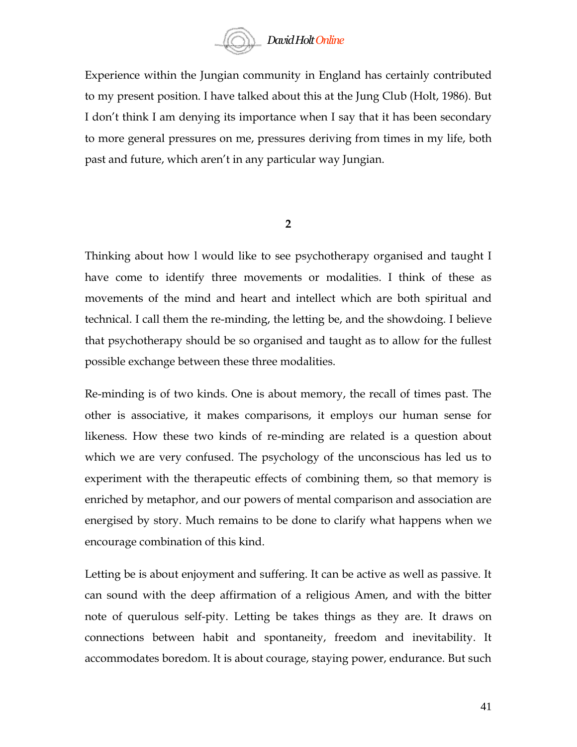

Experience within the Jungian community in England has certainly contributed to my present position. I have talked about this at the Jung Club (Holt, 1986). But I don't think I am denying its importance when I say that it has been secondary to more general pressures on me, pressures deriving from times in my life, both past and future, which aren"t in any particular way Jungian.

**2**

Thinking about how l would like to see psychotherapy organised and taught I have come to identify three movements or modalities. I think of these as movements of the mind and heart and intellect which are both spiritual and technical. I call them the re-minding, the letting be, and the showdoing. I believe that psychotherapy should be so organised and taught as to allow for the fullest possible exchange between these three modalities.

Re-minding is of two kinds. One is about memory, the recall of times past. The other is associative, it makes comparisons, it employs our human sense for likeness. How these two kinds of re-minding are related is a question about which we are very confused. The psychology of the unconscious has led us to experiment with the therapeutic effects of combining them, so that memory is enriched by metaphor, and our powers of mental comparison and association are energised by story. Much remains to be done to clarify what happens when we encourage combination of this kind.

Letting be is about enjoyment and suffering. It can be active as well as passive. It can sound with the deep affirmation of a religious Amen, and with the bitter note of querulous self-pity. Letting be takes things as they are. It draws on connections between habit and spontaneity, freedom and inevitability. It accommodates boredom. It is about courage, staying power, endurance. But such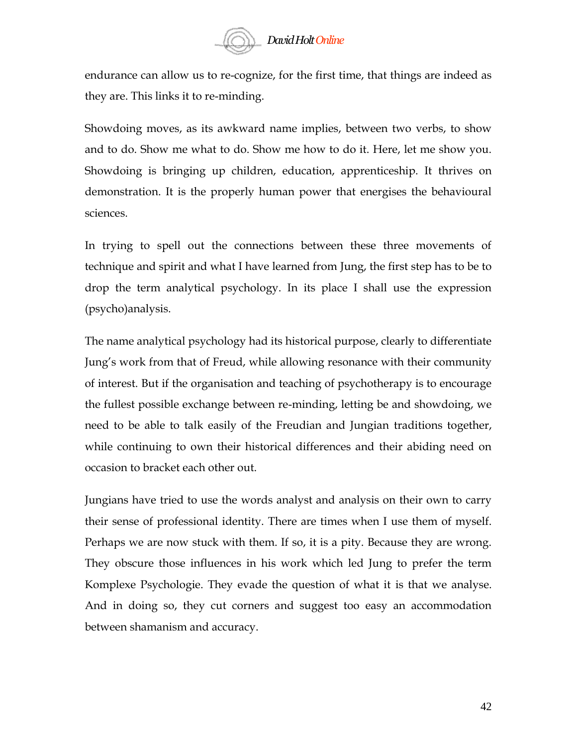

endurance can allow us to re-cognize, for the first time, that things are indeed as they are. This links it to re-minding.

Showdoing moves, as its awkward name implies, between two verbs, to show and to do. Show me what to do. Show me how to do it. Here, let me show you. Showdoing is bringing up children, education, apprenticeship. It thrives on demonstration. It is the properly human power that energises the behavioural sciences.

In trying to spell out the connections between these three movements of technique and spirit and what I have learned from Jung, the first step has to be to drop the term analytical psychology. In its place I shall use the expression (psycho)analysis.

The name analytical psychology had its historical purpose, clearly to differentiate Jung's work from that of Freud, while allowing resonance with their community of interest. But if the organisation and teaching of psychotherapy is to encourage the fullest possible exchange between re-minding, letting be and showdoing, we need to be able to talk easily of the Freudian and Jungian traditions together, while continuing to own their historical differences and their abiding need on occasion to bracket each other out.

Jungians have tried to use the words analyst and analysis on their own to carry their sense of professional identity. There are times when I use them of myself. Perhaps we are now stuck with them. If so, it is a pity. Because they are wrong. They obscure those influences in his work which led Jung to prefer the term Komplexe Psychologie. They evade the question of what it is that we analyse. And in doing so, they cut corners and suggest too easy an accommodation between shamanism and accuracy.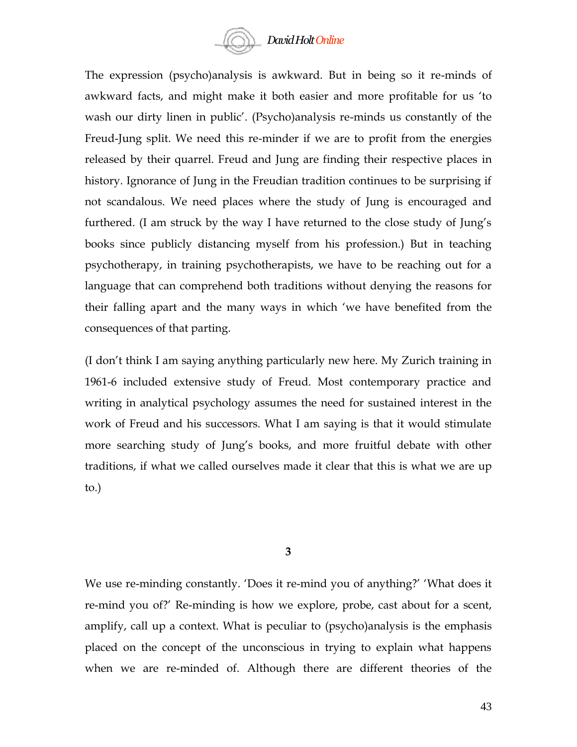

The expression (psycho)analysis is awkward. But in being so it re-minds of awkward facts, and might make it both easier and more profitable for us "to wash our dirty linen in public'. (Psycho)analysis re-minds us constantly of the Freud-Jung split. We need this re-minder if we are to profit from the energies released by their quarrel. Freud and Jung are finding their respective places in history. Ignorance of Jung in the Freudian tradition continues to be surprising if not scandalous. We need places where the study of Jung is encouraged and furthered. (I am struck by the way I have returned to the close study of Jung's books since publicly distancing myself from his profession.) But in teaching psychotherapy, in training psychotherapists, we have to be reaching out for a language that can comprehend both traditions without denying the reasons for their falling apart and the many ways in which "we have benefited from the consequences of that parting.

(I don"t think I am saying anything particularly new here. My Zurich training in 1961-6 included extensive study of Freud. Most contemporary practice and writing in analytical psychology assumes the need for sustained interest in the work of Freud and his successors. What I am saying is that it would stimulate more searching study of Jung's books, and more fruitful debate with other traditions, if what we called ourselves made it clear that this is what we are up to.)

**3**

We use re-minding constantly. 'Does it re-mind you of anything?' 'What does it re-mind you of?" Re-minding is how we explore, probe, cast about for a scent, amplify, call up a context. What is peculiar to (psycho)analysis is the emphasis placed on the concept of the unconscious in trying to explain what happens when we are re-minded of. Although there are different theories of the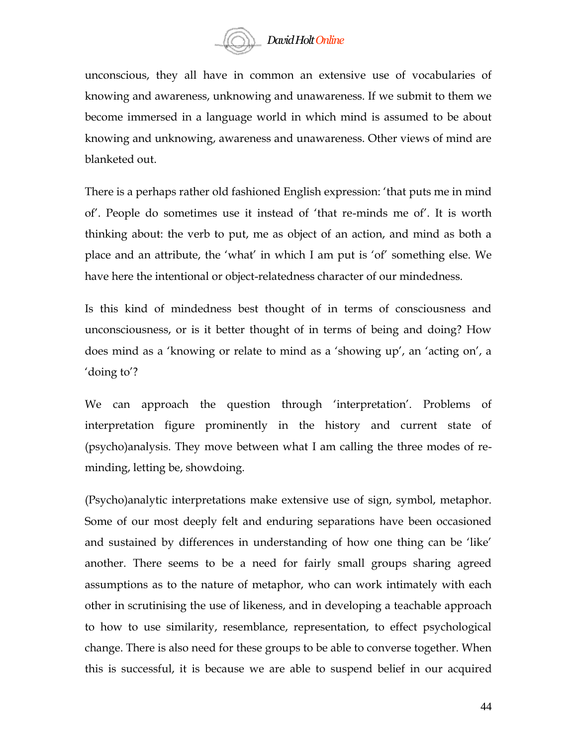

unconscious, they all have in common an extensive use of vocabularies of knowing and awareness, unknowing and unawareness. If we submit to them we become immersed in a language world in which mind is assumed to be about knowing and unknowing, awareness and unawareness. Other views of mind are blanketed out.

There is a perhaps rather old fashioned English expression: "that puts me in mind of". People do sometimes use it instead of "that re-minds me of". It is worth thinking about: the verb to put, me as object of an action, and mind as both a place and an attribute, the "what" in which I am put is "of" something else. We have here the intentional or object-relatedness character of our mindedness.

Is this kind of mindedness best thought of in terms of consciousness and unconsciousness, or is it better thought of in terms of being and doing? How does mind as a "knowing or relate to mind as a "showing up", an "acting on", a 'doing to'?

We can approach the question through 'interpretation'. Problems of interpretation figure prominently in the history and current state of (psycho)analysis. They move between what I am calling the three modes of reminding, letting be, showdoing.

(Psycho)analytic interpretations make extensive use of sign, symbol, metaphor. Some of our most deeply felt and enduring separations have been occasioned and sustained by differences in understanding of how one thing can be "like" another. There seems to be a need for fairly small groups sharing agreed assumptions as to the nature of metaphor, who can work intimately with each other in scrutinising the use of likeness, and in developing a teachable approach to how to use similarity, resemblance, representation, to effect psychological change. There is also need for these groups to be able to converse together. When this is successful, it is because we are able to suspend belief in our acquired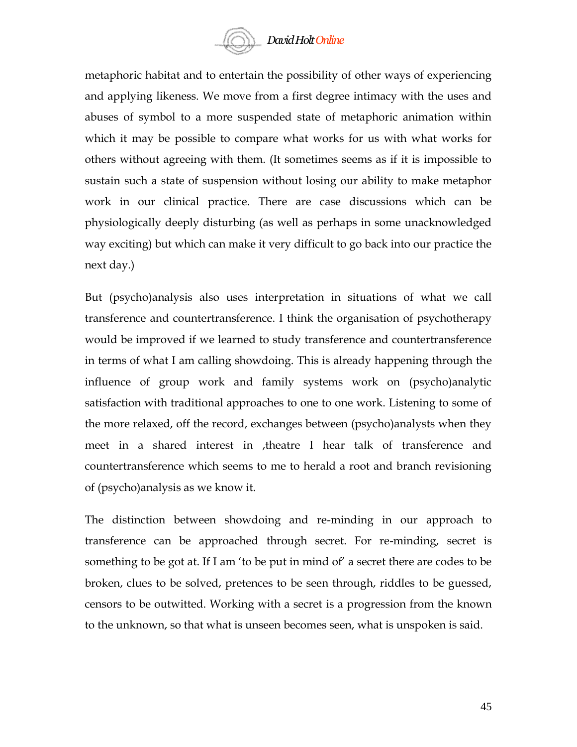

metaphoric habitat and to entertain the possibility of other ways of experiencing and applying likeness. We move from a first degree intimacy with the uses and abuses of symbol to a more suspended state of metaphoric animation within which it may be possible to compare what works for us with what works for others without agreeing with them. (It sometimes seems as if it is impossible to sustain such a state of suspension without losing our ability to make metaphor work in our clinical practice. There are case discussions which can be physiologically deeply disturbing (as well as perhaps in some unacknowledged way exciting) but which can make it very difficult to go back into our practice the next day.)

But (psycho)analysis also uses interpretation in situations of what we call transference and countertransference. I think the organisation of psychotherapy would be improved if we learned to study transference and countertransference in terms of what I am calling showdoing. This is already happening through the influence of group work and family systems work on (psycho)analytic satisfaction with traditional approaches to one to one work. Listening to some of the more relaxed, off the record, exchanges between (psycho)analysts when they meet in a shared interest in ,theatre I hear talk of transference and countertransference which seems to me to herald a root and branch revisioning of (psycho)analysis as we know it.

The distinction between showdoing and re-minding in our approach to transference can be approached through secret. For re-minding, secret is something to be got at. If I am 'to be put in mind of' a secret there are codes to be broken, clues to be solved, pretences to be seen through, riddles to be guessed, censors to be outwitted. Working with a secret is a progression from the known to the unknown, so that what is unseen becomes seen, what is unspoken is said.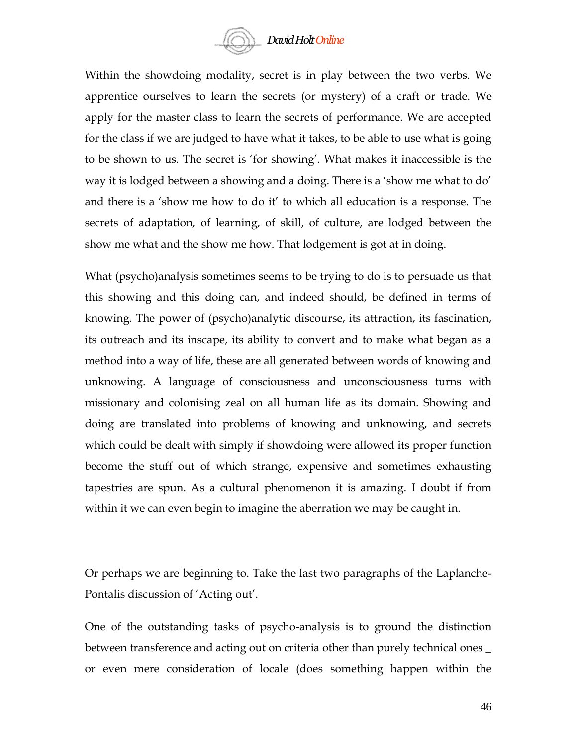

Within the showdoing modality, secret is in play between the two verbs. We apprentice ourselves to learn the secrets (or mystery) of a craft or trade. We apply for the master class to learn the secrets of performance. We are accepted for the class if we are judged to have what it takes, to be able to use what is going to be shown to us. The secret is "for showing". What makes it inaccessible is the way it is lodged between a showing and a doing. There is a 'show me what to do' and there is a 'show me how to do it' to which all education is a response. The secrets of adaptation, of learning, of skill, of culture, are lodged between the show me what and the show me how. That lodgement is got at in doing.

What (psycho)analysis sometimes seems to be trying to do is to persuade us that this showing and this doing can, and indeed should, be defined in terms of knowing. The power of (psycho)analytic discourse, its attraction, its fascination, its outreach and its inscape, its ability to convert and to make what began as a method into a way of life, these are all generated between words of knowing and unknowing. A language of consciousness and unconsciousness turns with missionary and colonising zeal on all human life as its domain. Showing and doing are translated into problems of knowing and unknowing, and secrets which could be dealt with simply if showdoing were allowed its proper function become the stuff out of which strange, expensive and sometimes exhausting tapestries are spun. As a cultural phenomenon it is amazing. I doubt if from within it we can even begin to imagine the aberration we may be caught in.

Or perhaps we are beginning to. Take the last two paragraphs of the Laplanche-Pontalis discussion of 'Acting out'.

One of the outstanding tasks of psycho-analysis is to ground the distinction between transference and acting out on criteria other than purely technical ones  $\overline{\phantom{a}}$ or even mere consideration of locale (does something happen within the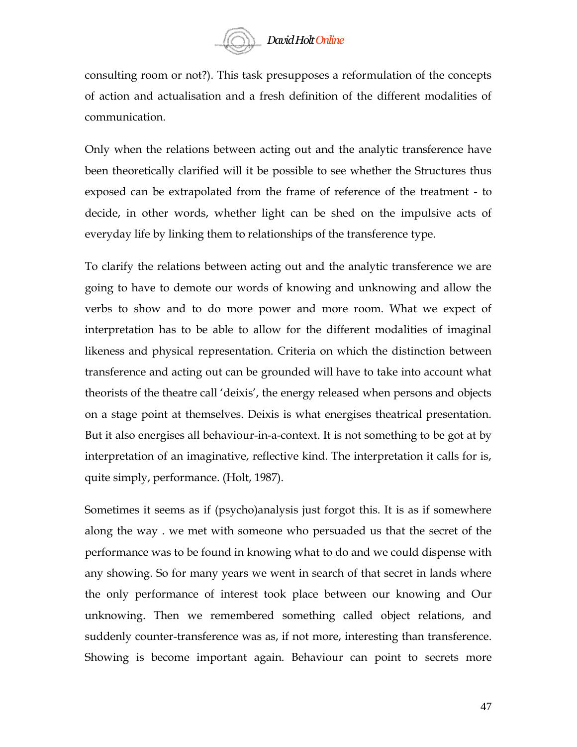

consulting room or not?). This task presupposes a reformulation of the concepts of action and actualisation and a fresh definition of the different modalities of communication.

Only when the relations between acting out and the analytic transference have been theoretically clarified will it be possible to see whether the Structures thus exposed can be extrapolated from the frame of reference of the treatment - to decide, in other words, whether light can be shed on the impulsive acts of everyday life by linking them to relationships of the transference type.

To clarify the relations between acting out and the analytic transference we are going to have to demote our words of knowing and unknowing and allow the verbs to show and to do more power and more room. What we expect of interpretation has to be able to allow for the different modalities of imaginal likeness and physical representation. Criteria on which the distinction between transference and acting out can be grounded will have to take into account what theorists of the theatre call "deixis", the energy released when persons and objects on a stage point at themselves. Deixis is what energises theatrical presentation. But it also energises all behaviour-in-a-context. It is not something to be got at by interpretation of an imaginative, reflective kind. The interpretation it calls for is, quite simply, performance. (Holt, 1987).

Sometimes it seems as if (psycho)analysis just forgot this. It is as if somewhere along the way . we met with someone who persuaded us that the secret of the performance was to be found in knowing what to do and we could dispense with any showing. So for many years we went in search of that secret in lands where the only performance of interest took place between our knowing and Our unknowing. Then we remembered something called object relations, and suddenly counter-transference was as, if not more, interesting than transference. Showing is become important again. Behaviour can point to secrets more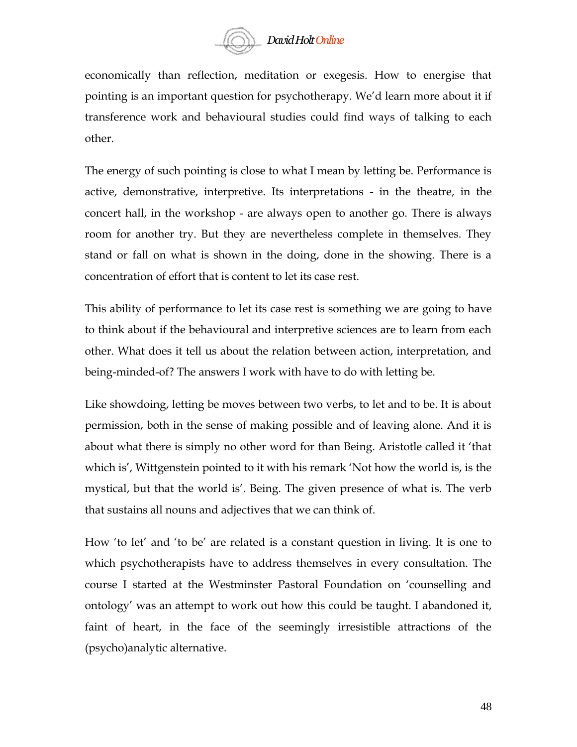

economically than reflection, meditation or exegesis. How to energise that pointing is an important question for psychotherapy. We"d learn more about it if transference work and behavioural studies could find ways of talking to each other.

The energy of such pointing is close to what I mean by letting be. Performance is active, demonstrative, interpretive. Its interpretations - in the theatre, in the concert hall, in the workshop - are always open to another go. There is always room for another try. But they are nevertheless complete in themselves. They stand or fall on what is shown in the doing, done in the showing. There is a concentration of effort that is content to let its case rest.

This ability of performance to let its case rest is something we are going to have to think about if the behavioural and interpretive sciences are to learn from each other. What does it tell us about the relation between action, interpretation, and being-minded-of? The answers I work with have to do with letting be.

Like showdoing, letting be moves between two verbs, to let and to be. It is about permission, both in the sense of making possible and of leaving alone. And it is about what there is simply no other word for than Being. Aristotle called it "that which is', Wittgenstein pointed to it with his remark 'Not how the world is, is the mystical, but that the world is'. Being. The given presence of what is. The verb that sustains all nouns and adjectives that we can think of.

How 'to let' and 'to be' are related is a constant question in living. It is one to which psychotherapists have to address themselves in every consultation. The course I started at the Westminster Pastoral Foundation on "counselling and ontology" was an attempt to work out how this could be taught. I abandoned it, faint of heart, in the face of the seemingly irresistible attractions of the (psycho)analytic alternative.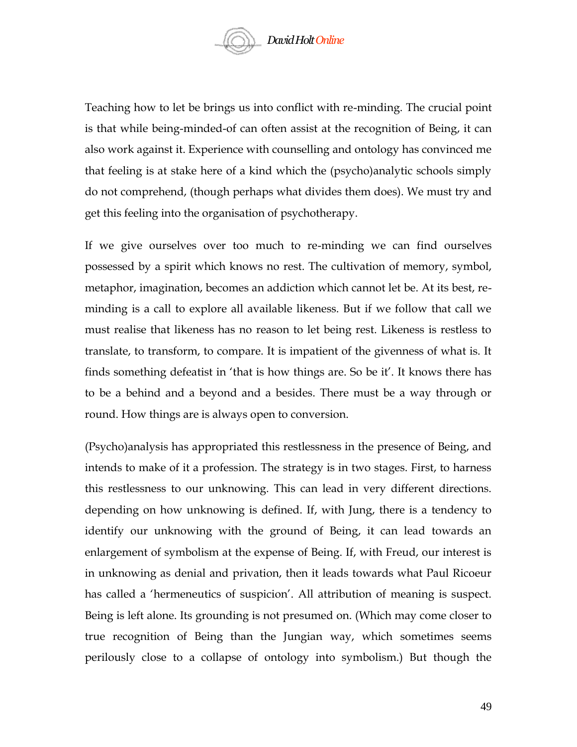

Teaching how to let be brings us into conflict with re-minding. The crucial point is that while being-minded-of can often assist at the recognition of Being, it can also work against it. Experience with counselling and ontology has convinced me that feeling is at stake here of a kind which the (psycho)analytic schools simply do not comprehend, (though perhaps what divides them does). We must try and get this feeling into the organisation of psychotherapy.

If we give ourselves over too much to re-minding we can find ourselves possessed by a spirit which knows no rest. The cultivation of memory, symbol, metaphor, imagination, becomes an addiction which cannot let be. At its best, reminding is a call to explore all available likeness. But if we follow that call we must realise that likeness has no reason to let being rest. Likeness is restless to translate, to transform, to compare. It is impatient of the givenness of what is. It finds something defeatist in "that is how things are. So be it". It knows there has to be a behind and a beyond and a besides. There must be a way through or round. How things are is always open to conversion.

(Psycho)analysis has appropriated this restlessness in the presence of Being, and intends to make of it a profession. The strategy is in two stages. First, to harness this restlessness to our unknowing. This can lead in very different directions. depending on how unknowing is defined. If, with Jung, there is a tendency to identify our unknowing with the ground of Being, it can lead towards an enlargement of symbolism at the expense of Being. If, with Freud, our interest is in unknowing as denial and privation, then it leads towards what Paul Ricoeur has called a 'hermeneutics of suspicion'. All attribution of meaning is suspect. Being is left alone. Its grounding is not presumed on. (Which may come closer to true recognition of Being than the Jungian way, which sometimes seems perilously close to a collapse of ontology into symbolism.) But though the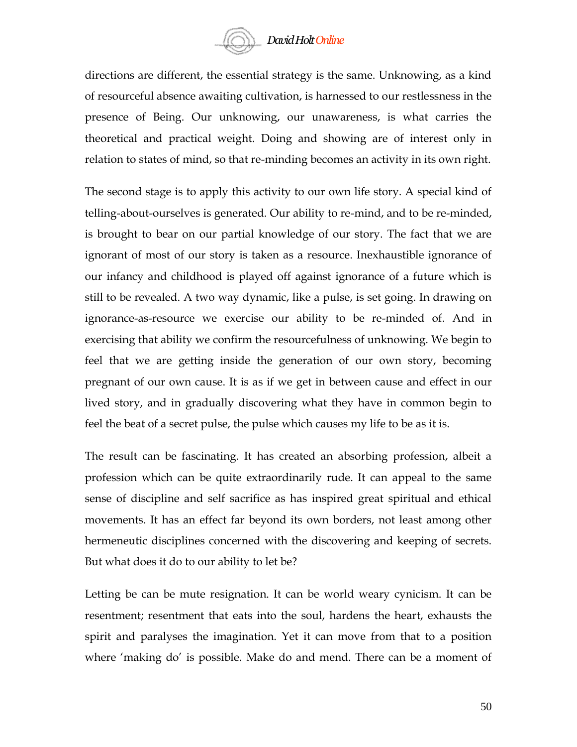

directions are different, the essential strategy is the same. Unknowing, as a kind of resourceful absence awaiting cultivation, is harnessed to our restlessness in the presence of Being. Our unknowing, our unawareness, is what carries the theoretical and practical weight. Doing and showing are of interest only in relation to states of mind, so that re-minding becomes an activity in its own right.

The second stage is to apply this activity to our own life story. A special kind of telling-about-ourselves is generated. Our ability to re-mind, and to be re-minded, is brought to bear on our partial knowledge of our story. The fact that we are ignorant of most of our story is taken as a resource. Inexhaustible ignorance of our infancy and childhood is played off against ignorance of a future which is still to be revealed. A two way dynamic, like a pulse, is set going. In drawing on ignorance-as-resource we exercise our ability to be re-minded of. And in exercising that ability we confirm the resourcefulness of unknowing. We begin to feel that we are getting inside the generation of our own story, becoming pregnant of our own cause. It is as if we get in between cause and effect in our lived story, and in gradually discovering what they have in common begin to feel the beat of a secret pulse, the pulse which causes my life to be as it is.

The result can be fascinating. It has created an absorbing profession, albeit a profession which can be quite extraordinarily rude. It can appeal to the same sense of discipline and self sacrifice as has inspired great spiritual and ethical movements. It has an effect far beyond its own borders, not least among other hermeneutic disciplines concerned with the discovering and keeping of secrets. But what does it do to our ability to let be?

Letting be can be mute resignation. It can be world weary cynicism. It can be resentment; resentment that eats into the soul, hardens the heart, exhausts the spirit and paralyses the imagination. Yet it can move from that to a position where 'making do' is possible. Make do and mend. There can be a moment of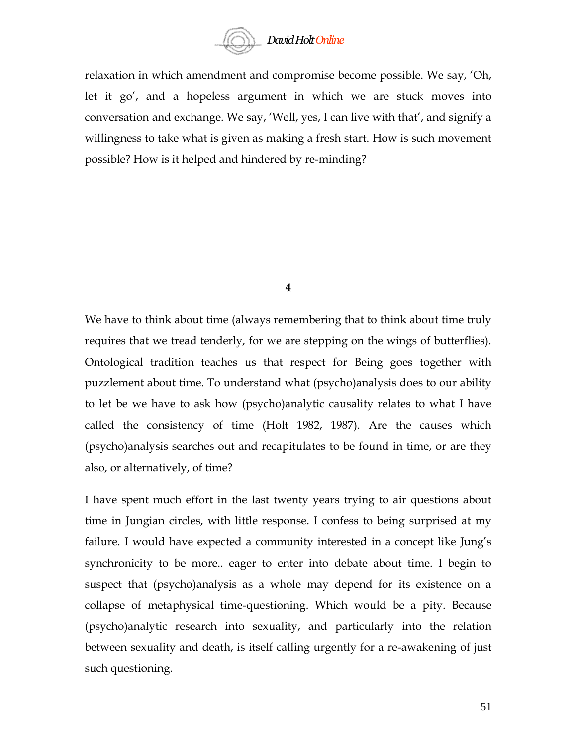

relaxation in which amendment and compromise become possible. We say, "Oh, let it go', and a hopeless argument in which we are stuck moves into conversation and exchange. We say, "Well, yes, I can live with that", and signify a willingness to take what is given as making a fresh start. How is such movement possible? How is it helped and hindered by re-minding?

**4**

We have to think about time (always remembering that to think about time truly requires that we tread tenderly, for we are stepping on the wings of butterflies). Ontological tradition teaches us that respect for Being goes together with puzzlement about time. To understand what (psycho)analysis does to our ability to let be we have to ask how (psycho)analytic causality relates to what I have called the consistency of time (Holt 1982, 1987). Are the causes which (psycho)analysis searches out and recapitulates to be found in time, or are they also, or alternatively, of time?

I have spent much effort in the last twenty years trying to air questions about time in Jungian circles, with little response. I confess to being surprised at my failure. I would have expected a community interested in a concept like Jung's synchronicity to be more.. eager to enter into debate about time. I begin to suspect that (psycho)analysis as a whole may depend for its existence on a collapse of metaphysical time-questioning. Which would be a pity. Because (psycho)analytic research into sexuality, and particularly into the relation between sexuality and death, is itself calling urgently for a re-awakening of just such questioning.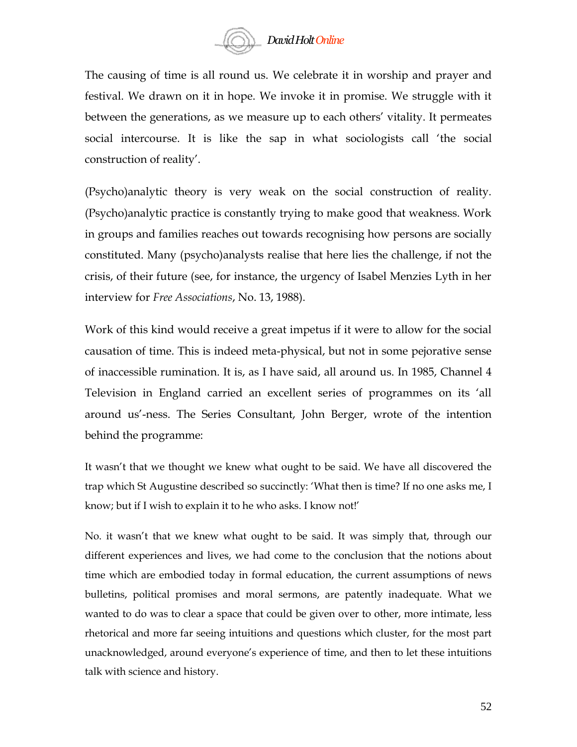

The causing of time is all round us. We celebrate it in worship and prayer and festival. We drawn on it in hope. We invoke it in promise. We struggle with it between the generations, as we measure up to each others" vitality. It permeates social intercourse. It is like the sap in what sociologists call "the social construction of reality".

(Psycho)analytic theory is very weak on the social construction of reality. (Psycho)analytic practice is constantly trying to make good that weakness. Work in groups and families reaches out towards recognising how persons are socially constituted. Many (psycho)analysts realise that here lies the challenge, if not the crisis, of their future (see, for instance, the urgency of Isabel Menzies Lyth in her interview for *Free Associations*, No. 13, 1988).

Work of this kind would receive a great impetus if it were to allow for the social causation of time. This is indeed meta-physical, but not in some pejorative sense of inaccessible rumination. It is, as I have said, all around us. In 1985, Channel 4 Television in England carried an excellent series of programmes on its "all around us"-ness. The Series Consultant, John Berger, wrote of the intention behind the programme:

It wasn't that we thought we knew what ought to be said. We have all discovered the trap which St Augustine described so succinctly: "What then is time? If no one asks me, I know; but if I wish to explain it to he who asks. I know not!"

No. it wasn"t that we knew what ought to be said. It was simply that, through our different experiences and lives, we had come to the conclusion that the notions about time which are embodied today in formal education, the current assumptions of news bulletins, political promises and moral sermons, are patently inadequate. What we wanted to do was to clear a space that could be given over to other, more intimate, less rhetorical and more far seeing intuitions and questions which cluster, for the most part unacknowledged, around everyone's experience of time, and then to let these intuitions talk with science and history.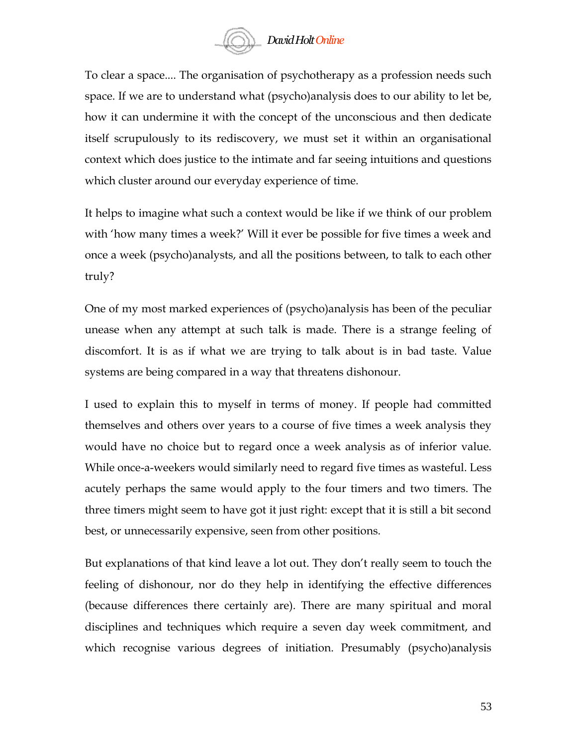

To clear a space.... The organisation of psychotherapy as a profession needs such space. If we are to understand what (psycho)analysis does to our ability to let be, how it can undermine it with the concept of the unconscious and then dedicate itself scrupulously to its rediscovery, we must set it within an organisational context which does justice to the intimate and far seeing intuitions and questions which cluster around our everyday experience of time.

It helps to imagine what such a context would be like if we think of our problem with 'how many times a week?' Will it ever be possible for five times a week and once a week (psycho)analysts, and all the positions between, to talk to each other truly?

One of my most marked experiences of (psycho)analysis has been of the peculiar unease when any attempt at such talk is made. There is a strange feeling of discomfort. It is as if what we are trying to talk about is in bad taste. Value systems are being compared in a way that threatens dishonour.

I used to explain this to myself in terms of money. If people had committed themselves and others over years to a course of five times a week analysis they would have no choice but to regard once a week analysis as of inferior value. While once-a-weekers would similarly need to regard five times as wasteful. Less acutely perhaps the same would apply to the four timers and two timers. The three timers might seem to have got it just right: except that it is still a bit second best, or unnecessarily expensive, seen from other positions.

But explanations of that kind leave a lot out. They don"t really seem to touch the feeling of dishonour, nor do they help in identifying the effective differences (because differences there certainly are). There are many spiritual and moral disciplines and techniques which require a seven day week commitment, and which recognise various degrees of initiation. Presumably (psycho)analysis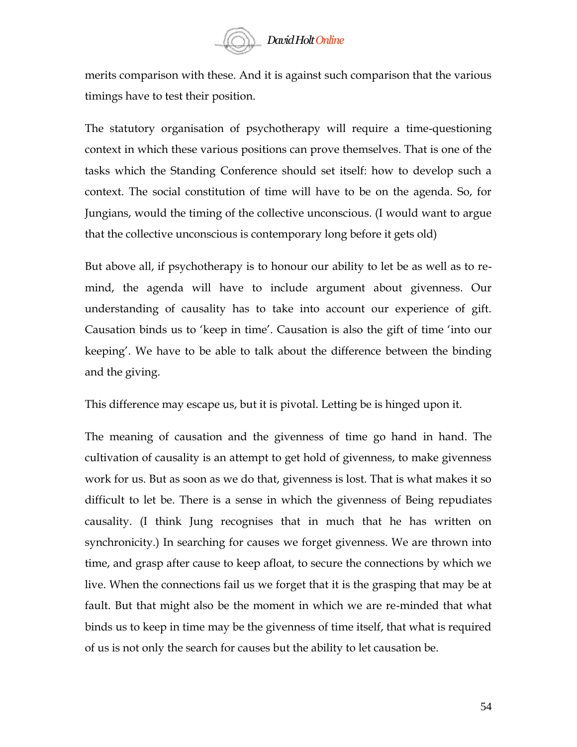

merits comparison with these. And it is against such comparison that the various timings have to test their position.

The statutory organisation of psychotherapy will require a time-questioning context in which these various positions can prove themselves. That is one of the tasks which the Standing Conference should set itself: how to develop such a context. The social constitution of time will have to be on the agenda. So, for Jungians, would the timing of the collective unconscious. (I would want to argue that the collective unconscious is contemporary long before it gets old)

But above all, if psychotherapy is to honour our ability to let be as well as to remind, the agenda will have to include argument about givenness. Our understanding of causality has to take into account our experience of gift. Causation binds us to "keep in time". Causation is also the gift of time "into our keeping'. We have to be able to talk about the difference between the binding and the giving.

This difference may escape us, but it is pivotal. Letting be is hinged upon it.

The meaning of causation and the givenness of time go hand in hand. The cultivation of causality is an attempt to get hold of givenness, to make givenness work for us. But as soon as we do that, givenness is lost. That is what makes it so difficult to let be. There is a sense in which the givenness of Being repudiates causality. (I think Jung recognises that in much that he has written on synchronicity.) In searching for causes we forget givenness. We are thrown into time, and grasp after cause to keep afloat, to secure the connections by which we live. When the connections fail us we forget that it is the grasping that may be at fault. But that might also be the moment in which we are re-minded that what binds us to keep in time may be the givenness of time itself, that what is required of us is not only the search for causes but the ability to let causation be.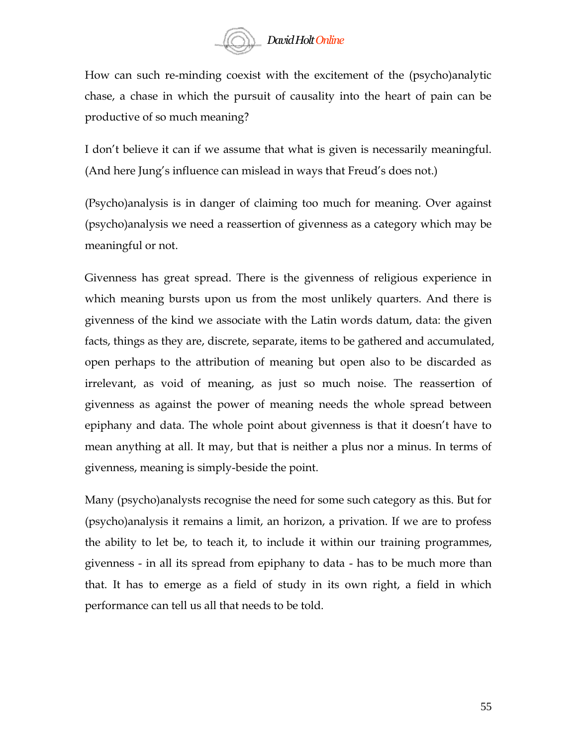

How can such re-minding coexist with the excitement of the (psycho)analytic chase, a chase in which the pursuit of causality into the heart of pain can be productive of so much meaning?

I don't believe it can if we assume that what is given is necessarily meaningful. (And here Jung's influence can mislead in ways that Freud's does not.)

(Psycho)analysis is in danger of claiming too much for meaning. Over against (psycho)analysis we need a reassertion of givenness as a category which may be meaningful or not.

Givenness has great spread. There is the givenness of religious experience in which meaning bursts upon us from the most unlikely quarters. And there is givenness of the kind we associate with the Latin words datum, data: the given facts, things as they are, discrete, separate, items to be gathered and accumulated, open perhaps to the attribution of meaning but open also to be discarded as irrelevant, as void of meaning, as just so much noise. The reassertion of givenness as against the power of meaning needs the whole spread between epiphany and data. The whole point about givenness is that it doesn"t have to mean anything at all. It may, but that is neither a plus nor a minus. In terms of givenness, meaning is simply-beside the point.

Many (psycho)analysts recognise the need for some such category as this. But for (psycho)analysis it remains a limit, an horizon, a privation. If we are to profess the ability to let be, to teach it, to include it within our training programmes, givenness - in all its spread from epiphany to data - has to be much more than that. It has to emerge as a field of study in its own right, a field in which performance can tell us all that needs to be told.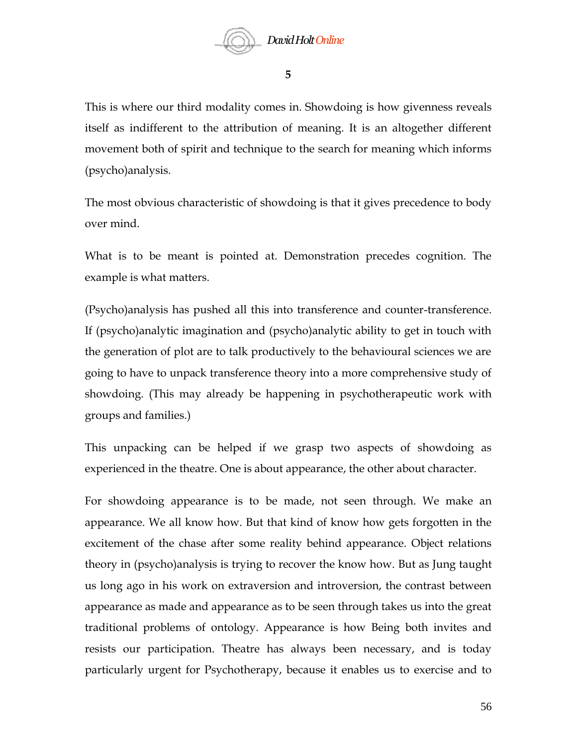

**5**

This is where our third modality comes in. Showdoing is how givenness reveals itself as indifferent to the attribution of meaning. It is an altogether different movement both of spirit and technique to the search for meaning which informs (psycho)analysis.

The most obvious characteristic of showdoing is that it gives precedence to body over mind.

What is to be meant is pointed at. Demonstration precedes cognition. The example is what matters.

(Psycho)analysis has pushed all this into transference and counter-transference. If (psycho)analytic imagination and (psycho)analytic ability to get in touch with the generation of plot are to talk productively to the behavioural sciences we are going to have to unpack transference theory into a more comprehensive study of showdoing. (This may already be happening in psychotherapeutic work with groups and families.)

This unpacking can be helped if we grasp two aspects of showdoing as experienced in the theatre. One is about appearance, the other about character.

For showdoing appearance is to be made, not seen through. We make an appearance. We all know how. But that kind of know how gets forgotten in the excitement of the chase after some reality behind appearance. Object relations theory in (psycho)analysis is trying to recover the know how. But as Jung taught us long ago in his work on extraversion and introversion, the contrast between appearance as made and appearance as to be seen through takes us into the great traditional problems of ontology. Appearance is how Being both invites and resists our participation. Theatre has always been necessary, and is today particularly urgent for Psychotherapy, because it enables us to exercise and to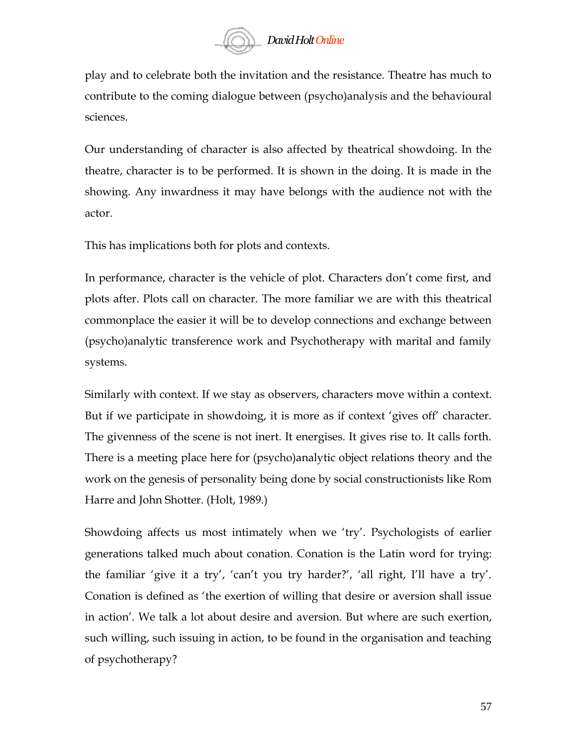

play and to celebrate both the invitation and the resistance. Theatre has much to contribute to the coming dialogue between (psycho)analysis and the behavioural sciences.

Our understanding of character is also affected by theatrical showdoing. In the theatre, character is to be performed. It is shown in the doing. It is made in the showing. Any inwardness it may have belongs with the audience not with the actor.

This has implications both for plots and contexts.

In performance, character is the vehicle of plot. Characters don't come first, and plots after. Plots call on character. The more familiar we are with this theatrical commonplace the easier it will be to develop connections and exchange between (psycho)analytic transference work and Psychotherapy with marital and family systems.

Similarly with context. If we stay as observers, characters move within a context. But if we participate in showdoing, it is more as if context 'gives off' character. The givenness of the scene is not inert. It energises. It gives rise to. It calls forth. There is a meeting place here for (psycho)analytic object relations theory and the work on the genesis of personality being done by social constructionists like Rom Harre and John Shotter. (Holt, 1989.)

Showdoing affects us most intimately when we "try". Psychologists of earlier generations talked much about conation. Conation is the Latin word for trying: the familiar 'give it a try', 'can't you try harder?', 'all right, I'll have a try'. Conation is defined as 'the exertion of willing that desire or aversion shall issue in action". We talk a lot about desire and aversion. But where are such exertion, such willing, such issuing in action, to be found in the organisation and teaching of psychotherapy?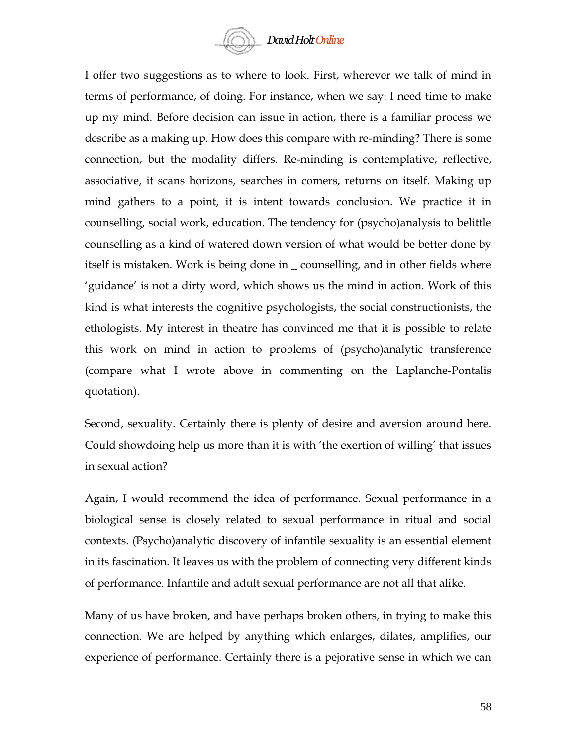

I offer two suggestions as to where to look. First, wherever we talk of mind in terms of performance, of doing. For instance, when we say: I need time to make up my mind. Before decision can issue in action, there is a familiar process we describe as a making up. How does this compare with re-minding? There is some connection, but the modality differs. Re-minding is contemplative, reflective, associative, it scans horizons, searches in comers, returns on itself. Making up mind gathers to a point, it is intent towards conclusion. We practice it in counselling, social work, education. The tendency for (psycho)analysis to belittle counselling as a kind of watered down version of what would be better done by itself is mistaken. Work is being done in \_ counselling, and in other fields where "guidance" is not a dirty word, which shows us the mind in action. Work of this kind is what interests the cognitive psychologists, the social constructionists, the ethologists. My interest in theatre has convinced me that it is possible to relate this work on mind in action to problems of (psycho)analytic transference (compare what I wrote above in commenting on the Laplanche-Pontalis quotation).

Second, sexuality. Certainly there is plenty of desire and aversion around here. Could showdoing help us more than it is with "the exertion of willing" that issues in sexual action?

Again, I would recommend the idea of performance. Sexual performance in a biological sense is closely related to sexual performance in ritual and social contexts. (Psycho)analytic discovery of infantile sexuality is an essential element in its fascination. It leaves us with the problem of connecting very different kinds of performance. Infantile and adult sexual performance are not all that alike.

Many of us have broken, and have perhaps broken others, in trying to make this connection. We are helped by anything which enlarges, dilates, amplifies, our experience of performance. Certainly there is a pejorative sense in which we can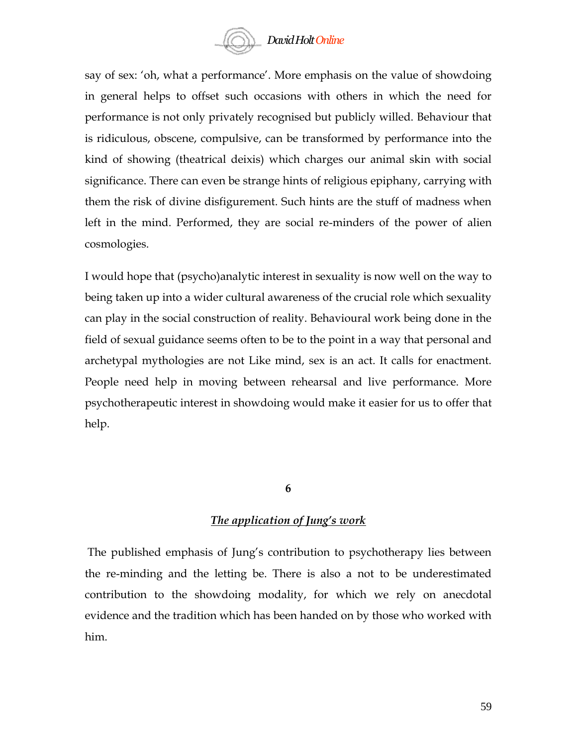

say of sex: 'oh, what a performance'. More emphasis on the value of showdoing in general helps to offset such occasions with others in which the need for performance is not only privately recognised but publicly willed. Behaviour that is ridiculous, obscene, compulsive, can be transformed by performance into the kind of showing (theatrical deixis) which charges our animal skin with social significance. There can even be strange hints of religious epiphany, carrying with them the risk of divine disfigurement. Such hints are the stuff of madness when left in the mind. Performed, they are social re-minders of the power of alien cosmologies.

I would hope that (psycho)analytic interest in sexuality is now well on the way to being taken up into a wider cultural awareness of the crucial role which sexuality can play in the social construction of reality. Behavioural work being done in the field of sexual guidance seems often to be to the point in a way that personal and archetypal mythologies are not Like mind, sex is an act. It calls for enactment. People need help in moving between rehearsal and live performance. More psychotherapeutic interest in showdoing would make it easier for us to offer that help.

#### **6**

#### *The application of Jung's work*

The published emphasis of Jung"s contribution to psychotherapy lies between the re-minding and the letting be. There is also a not to be underestimated contribution to the showdoing modality, for which we rely on anecdotal evidence and the tradition which has been handed on by those who worked with him.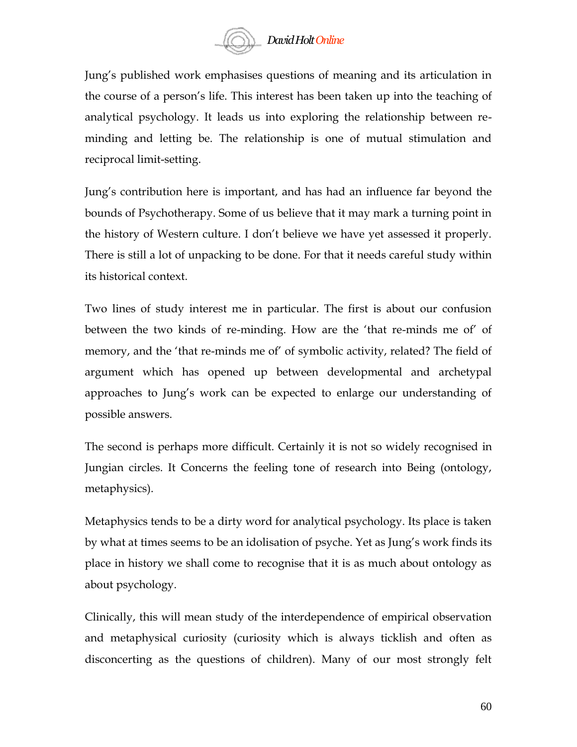

Jung"s published work emphasises questions of meaning and its articulation in the course of a person"s life. This interest has been taken up into the teaching of analytical psychology. It leads us into exploring the relationship between reminding and letting be. The relationship is one of mutual stimulation and reciprocal limit-setting.

Jung's contribution here is important, and has had an influence far beyond the bounds of Psychotherapy. Some of us believe that it may mark a turning point in the history of Western culture. I don"t believe we have yet assessed it properly. There is still a lot of unpacking to be done. For that it needs careful study within its historical context.

Two lines of study interest me in particular. The first is about our confusion between the two kinds of re-minding. How are the 'that re-minds me of' of memory, and the 'that re-minds me of' of symbolic activity, related? The field of argument which has opened up between developmental and archetypal approaches to Jung's work can be expected to enlarge our understanding of possible answers.

The second is perhaps more difficult. Certainly it is not so widely recognised in Jungian circles. It Concerns the feeling tone of research into Being (ontology, metaphysics).

Metaphysics tends to be a dirty word for analytical psychology. Its place is taken by what at times seems to be an idolisation of psyche. Yet as Jung's work finds its place in history we shall come to recognise that it is as much about ontology as about psychology.

Clinically, this will mean study of the interdependence of empirical observation and metaphysical curiosity (curiosity which is always ticklish and often as disconcerting as the questions of children). Many of our most strongly felt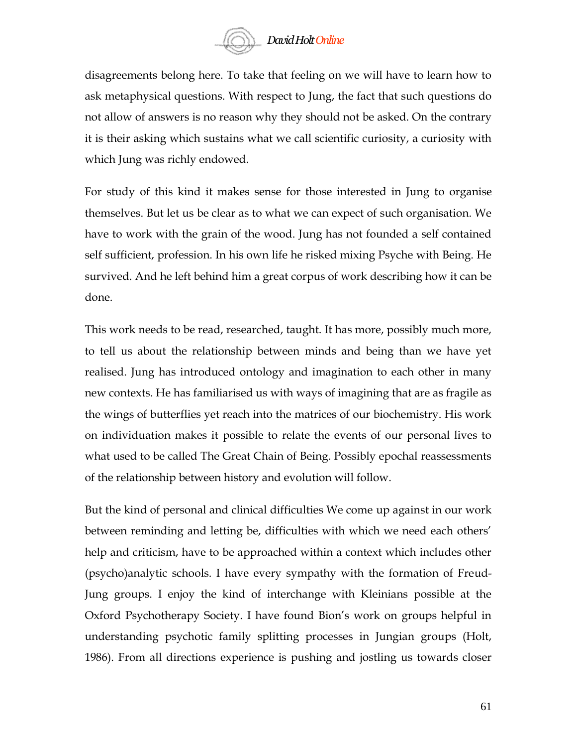

disagreements belong here. To take that feeling on we will have to learn how to ask metaphysical questions. With respect to Jung, the fact that such questions do not allow of answers is no reason why they should not be asked. On the contrary it is their asking which sustains what we call scientific curiosity, a curiosity with which Jung was richly endowed.

For study of this kind it makes sense for those interested in Jung to organise themselves. But let us be clear as to what we can expect of such organisation. We have to work with the grain of the wood. Jung has not founded a self contained self sufficient, profession. In his own life he risked mixing Psyche with Being. He survived. And he left behind him a great corpus of work describing how it can be done.

This work needs to be read, researched, taught. It has more, possibly much more, to tell us about the relationship between minds and being than we have yet realised. Jung has introduced ontology and imagination to each other in many new contexts. He has familiarised us with ways of imagining that are as fragile as the wings of butterflies yet reach into the matrices of our biochemistry. His work on individuation makes it possible to relate the events of our personal lives to what used to be called The Great Chain of Being. Possibly epochal reassessments of the relationship between history and evolution will follow.

But the kind of personal and clinical difficulties We come up against in our work between reminding and letting be, difficulties with which we need each others" help and criticism, have to be approached within a context which includes other (psycho)analytic schools. I have every sympathy with the formation of Freud-Jung groups. I enjoy the kind of interchange with Kleinians possible at the Oxford Psychotherapy Society. I have found Bion"s work on groups helpful in understanding psychotic family splitting processes in Jungian groups (Holt, 1986). From all directions experience is pushing and jostling us towards closer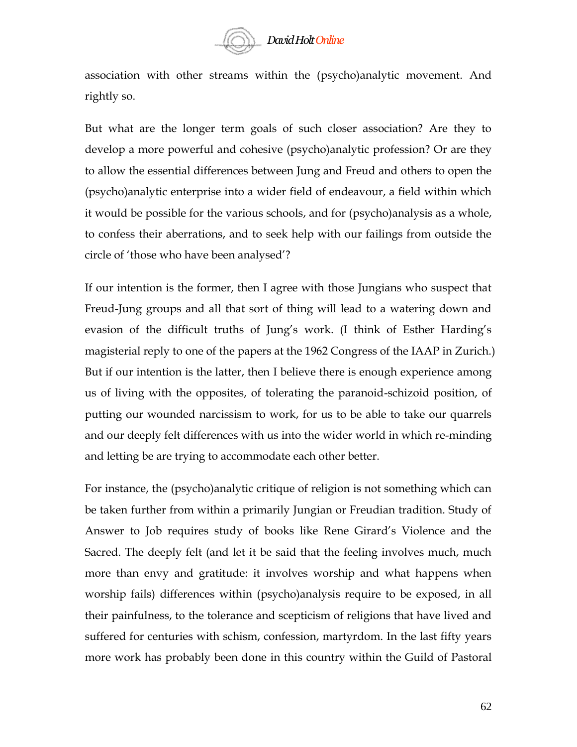

association with other streams within the (psycho)analytic movement. And rightly so.

But what are the longer term goals of such closer association? Are they to develop a more powerful and cohesive (psycho)analytic profession? Or are they to allow the essential differences between Jung and Freud and others to open the (psycho)analytic enterprise into a wider field of endeavour, a field within which it would be possible for the various schools, and for (psycho)analysis as a whole, to confess their aberrations, and to seek help with our failings from outside the circle of "those who have been analysed"?

If our intention is the former, then I agree with those Jungians who suspect that Freud-Jung groups and all that sort of thing will lead to a watering down and evasion of the difficult truths of Jung's work. (I think of Esther Harding's magisterial reply to one of the papers at the 1962 Congress of the IAAP in Zurich.) But if our intention is the latter, then I believe there is enough experience among us of living with the opposites, of tolerating the paranoid-schizoid position, of putting our wounded narcissism to work, for us to be able to take our quarrels and our deeply felt differences with us into the wider world in which re-minding and letting be are trying to accommodate each other better.

For instance, the (psycho)analytic critique of religion is not something which can be taken further from within a primarily Jungian or Freudian tradition. Study of Answer to Job requires study of books like Rene Girard"s Violence and the Sacred. The deeply felt (and let it be said that the feeling involves much, much more than envy and gratitude: it involves worship and what happens when worship fails) differences within (psycho)analysis require to be exposed, in all their painfulness, to the tolerance and scepticism of religions that have lived and suffered for centuries with schism, confession, martyrdom. In the last fifty years more work has probably been done in this country within the Guild of Pastoral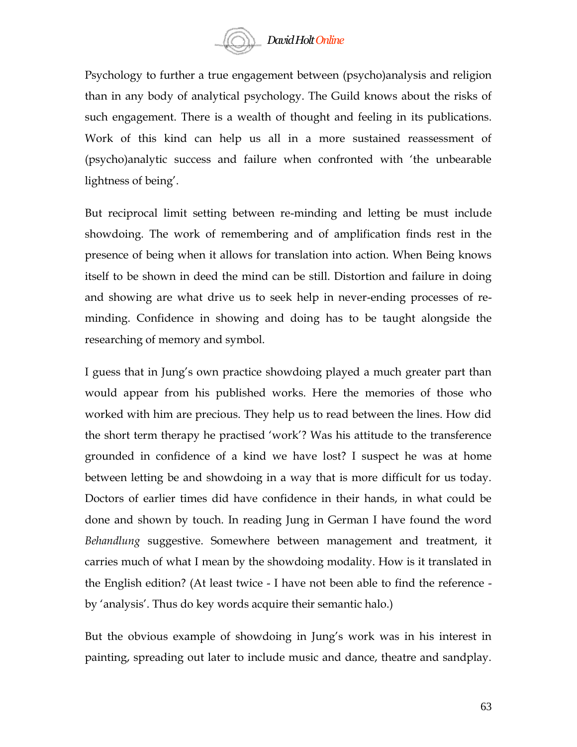

Psychology to further a true engagement between (psycho)analysis and religion than in any body of analytical psychology. The Guild knows about the risks of such engagement. There is a wealth of thought and feeling in its publications. Work of this kind can help us all in a more sustained reassessment of (psycho)analytic success and failure when confronted with "the unbearable lightness of being'.

But reciprocal limit setting between re-minding and letting be must include showdoing. The work of remembering and of amplification finds rest in the presence of being when it allows for translation into action. When Being knows itself to be shown in deed the mind can be still. Distortion and failure in doing and showing are what drive us to seek help in never-ending processes of reminding. Confidence in showing and doing has to be taught alongside the researching of memory and symbol.

I guess that in Jung's own practice showdoing played a much greater part than would appear from his published works. Here the memories of those who worked with him are precious. They help us to read between the lines. How did the short term therapy he practised "work"? Was his attitude to the transference grounded in confidence of a kind we have lost? I suspect he was at home between letting be and showdoing in a way that is more difficult for us today. Doctors of earlier times did have confidence in their hands, in what could be done and shown by touch. In reading Jung in German I have found the word *Behandlung* suggestive. Somewhere between management and treatment, it carries much of what I mean by the showdoing modality. How is it translated in the English edition? (At least twice - I have not been able to find the reference by "analysis". Thus do key words acquire their semantic halo.)

But the obvious example of showdoing in Jung's work was in his interest in painting, spreading out later to include music and dance, theatre and sandplay.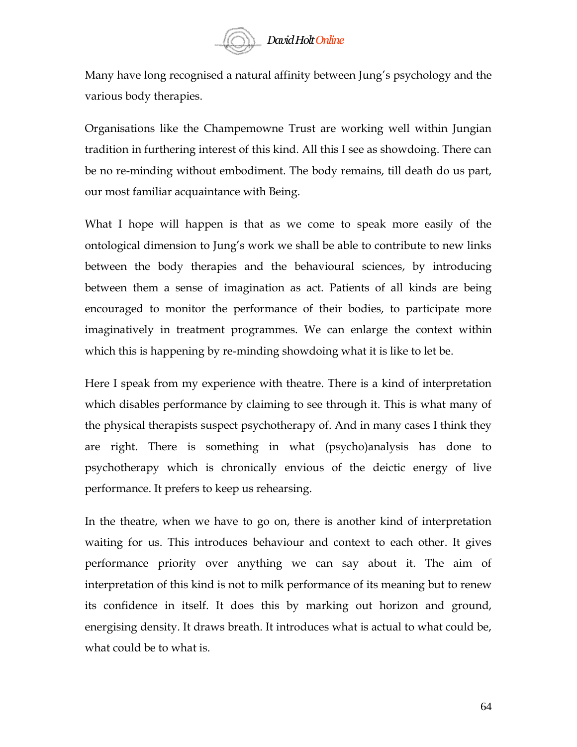

Many have long recognised a natural affinity between Jung"s psychology and the various body therapies.

Organisations like the Champemowne Trust are working well within Jungian tradition in furthering interest of this kind. All this I see as showdoing. There can be no re-minding without embodiment. The body remains, till death do us part, our most familiar acquaintance with Being.

What I hope will happen is that as we come to speak more easily of the ontological dimension to Jung"s work we shall be able to contribute to new links between the body therapies and the behavioural sciences, by introducing between them a sense of imagination as act. Patients of all kinds are being encouraged to monitor the performance of their bodies, to participate more imaginatively in treatment programmes. We can enlarge the context within which this is happening by re-minding showdoing what it is like to let be.

Here I speak from my experience with theatre. There is a kind of interpretation which disables performance by claiming to see through it. This is what many of the physical therapists suspect psychotherapy of. And in many cases I think they are right. There is something in what (psycho)analysis has done to psychotherapy which is chronically envious of the deictic energy of live performance. It prefers to keep us rehearsing.

In the theatre, when we have to go on, there is another kind of interpretation waiting for us. This introduces behaviour and context to each other. It gives performance priority over anything we can say about it. The aim of interpretation of this kind is not to milk performance of its meaning but to renew its confidence in itself. It does this by marking out horizon and ground, energising density. It draws breath. It introduces what is actual to what could be, what could be to what is.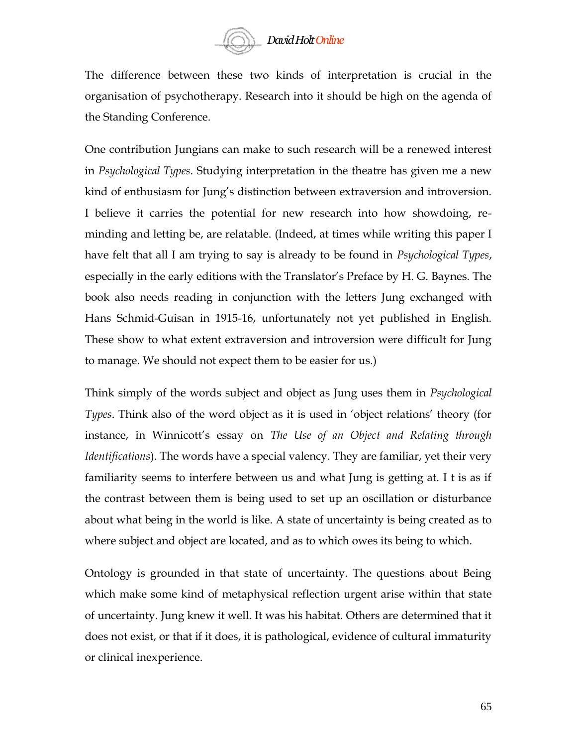

The difference between these two kinds of interpretation is crucial in the organisation of psychotherapy. Research into it should be high on the agenda of the Standing Conference.

One contribution Jungians can make to such research will be a renewed interest in *Psychological Types*. Studying interpretation in the theatre has given me a new kind of enthusiasm for Jung's distinction between extraversion and introversion. I believe it carries the potential for new research into how showdoing, reminding and letting be, are relatable. (Indeed, at times while writing this paper I have felt that all I am trying to say is already to be found in *Psychological Types*, especially in the early editions with the Translator's Preface by H. G. Baynes. The book also needs reading in conjunction with the letters Jung exchanged with Hans Schmid-Guisan in 1915-16, unfortunately not yet published in English. These show to what extent extraversion and introversion were difficult for Jung to manage. We should not expect them to be easier for us.)

Think simply of the words subject and object as Jung uses them in *Psychological Types*. Think also of the word object as it is used in "object relations" theory (for instance, in Winnicott"s essay on *The Use of an Object and Relating through Identifications*). The words have a special valency. They are familiar, yet their very familiarity seems to interfere between us and what Jung is getting at. I t is as if the contrast between them is being used to set up an oscillation or disturbance about what being in the world is like. A state of uncertainty is being created as to where subject and object are located, and as to which owes its being to which.

Ontology is grounded in that state of uncertainty. The questions about Being which make some kind of metaphysical reflection urgent arise within that state of uncertainty. Jung knew it well. It was his habitat. Others are determined that it does not exist, or that if it does, it is pathological, evidence of cultural immaturity or clinical inexperience.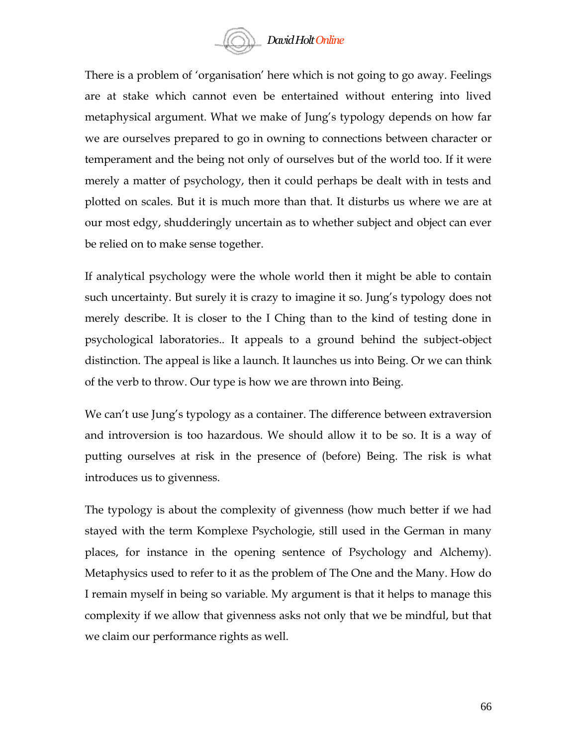

There is a problem of 'organisation' here which is not going to go away. Feelings are at stake which cannot even be entertained without entering into lived metaphysical argument. What we make of Jung"s typology depends on how far we are ourselves prepared to go in owning to connections between character or temperament and the being not only of ourselves but of the world too. If it were merely a matter of psychology, then it could perhaps be dealt with in tests and plotted on scales. But it is much more than that. It disturbs us where we are at our most edgy, shudderingly uncertain as to whether subject and object can ever be relied on to make sense together.

If analytical psychology were the whole world then it might be able to contain such uncertainty. But surely it is crazy to imagine it so. Jung's typology does not merely describe. It is closer to the I Ching than to the kind of testing done in psychological laboratories.. It appeals to a ground behind the subject-object distinction. The appeal is like a launch. It launches us into Being. Or we can think of the verb to throw. Our type is how we are thrown into Being.

We can't use Jung's typology as a container. The difference between extraversion and introversion is too hazardous. We should allow it to be so. It is a way of putting ourselves at risk in the presence of (before) Being. The risk is what introduces us to givenness.

The typology is about the complexity of givenness (how much better if we had stayed with the term Komplexe Psychologie, still used in the German in many places, for instance in the opening sentence of Psychology and Alchemy). Metaphysics used to refer to it as the problem of The One and the Many. How do I remain myself in being so variable. My argument is that it helps to manage this complexity if we allow that givenness asks not only that we be mindful, but that we claim our performance rights as well.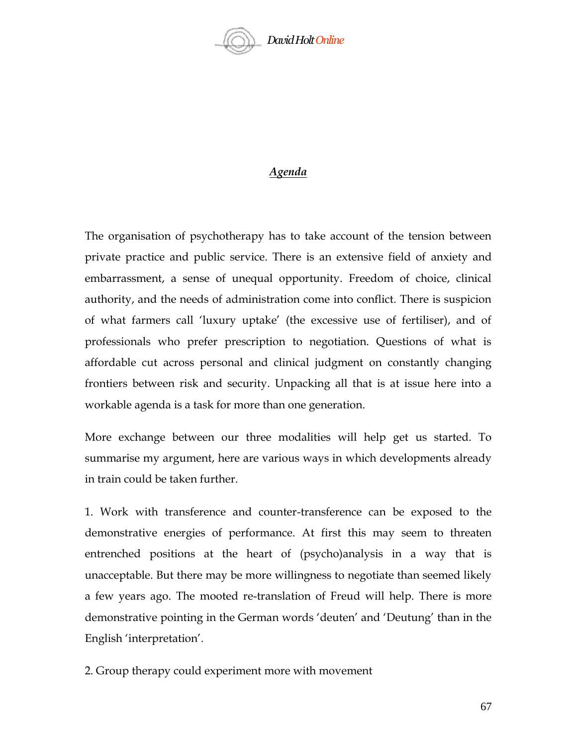

### *Agenda*

The organisation of psychotherapy has to take account of the tension between private practice and public service. There is an extensive field of anxiety and embarrassment, a sense of unequal opportunity. Freedom of choice, clinical authority, and the needs of administration come into conflict. There is suspicion of what farmers call "luxury uptake" (the excessive use of fertiliser), and of professionals who prefer prescription to negotiation. Questions of what is affordable cut across personal and clinical judgment on constantly changing frontiers between risk and security. Unpacking all that is at issue here into a workable agenda is a task for more than one generation.

More exchange between our three modalities will help get us started. To summarise my argument, here are various ways in which developments already in train could be taken further.

1. Work with transference and counter-transference can be exposed to the demonstrative energies of performance. At first this may seem to threaten entrenched positions at the heart of (psycho)analysis in a way that is unacceptable. But there may be more willingness to negotiate than seemed likely a few years ago. The mooted re-translation of Freud will help. There is more demonstrative pointing in the German words "deuten" and "Deutung" than in the English 'interpretation'.

2. Group therapy could experiment more with movement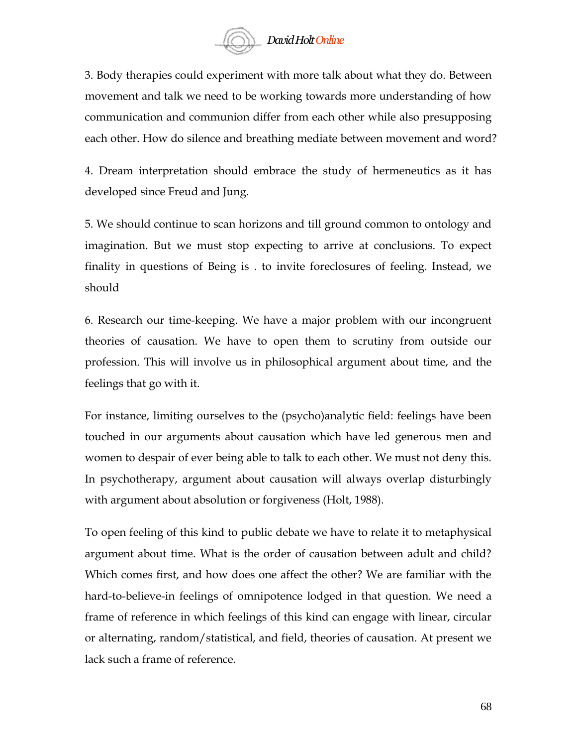

3. Body therapies could experiment with more talk about what they do. Between movement and talk we need to be working towards more understanding of how communication and communion differ from each other while also presupposing each other. How do silence and breathing mediate between movement and word?

4. Dream interpretation should embrace the study of hermeneutics as it has developed since Freud and Jung.

5. We should continue to scan horizons and till ground common to ontology and imagination. But we must stop expecting to arrive at conclusions. To expect finality in questions of Being is . to invite foreclosures of feeling. Instead, we should

6. Research our time-keeping. We have a major problem with our incongruent theories of causation. We have to open them to scrutiny from outside our profession. This will involve us in philosophical argument about time, and the feelings that go with it.

For instance, limiting ourselves to the (psycho)analytic field: feelings have been touched in our arguments about causation which have led generous men and women to despair of ever being able to talk to each other. We must not deny this. In psychotherapy, argument about causation will always overlap disturbingly with argument about absolution or forgiveness (Holt, 1988).

To open feeling of this kind to public debate we have to relate it to metaphysical argument about time. What is the order of causation between adult and child? Which comes first, and how does one affect the other? We are familiar with the hard-to-believe-in feelings of omnipotence lodged in that question. We need a frame of reference in which feelings of this kind can engage with linear, circular or alternating, random/statistical, and field, theories of causation. At present we lack such a frame of reference.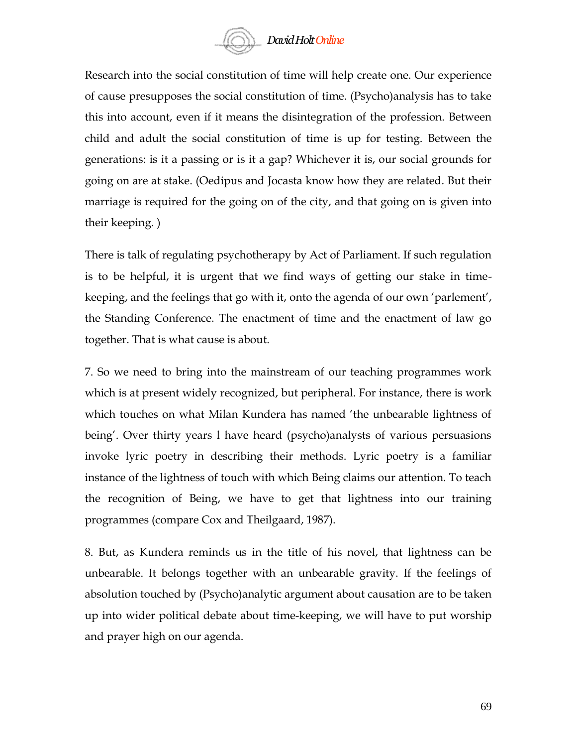

Research into the social constitution of time will help create one. Our experience of cause presupposes the social constitution of time. (Psycho)analysis has to take this into account, even if it means the disintegration of the profession. Between child and adult the social constitution of time is up for testing. Between the generations: is it a passing or is it a gap? Whichever it is, our social grounds for going on are at stake. (Oedipus and Jocasta know how they are related. But their marriage is required for the going on of the city, and that going on is given into their keeping. )

There is talk of regulating psychotherapy by Act of Parliament. If such regulation is to be helpful, it is urgent that we find ways of getting our stake in timekeeping, and the feelings that go with it, onto the agenda of our own "parlement", the Standing Conference. The enactment of time and the enactment of law go together. That is what cause is about.

7. So we need to bring into the mainstream of our teaching programmes work which is at present widely recognized, but peripheral. For instance, there is work which touches on what Milan Kundera has named 'the unbearable lightness of being". Over thirty years l have heard (psycho)analysts of various persuasions invoke lyric poetry in describing their methods. Lyric poetry is a familiar instance of the lightness of touch with which Being claims our attention. To teach the recognition of Being, we have to get that lightness into our training programmes (compare Cox and Theilgaard, 1987).

8. But, as Kundera reminds us in the title of his novel, that lightness can be unbearable. It belongs together with an unbearable gravity. If the feelings of absolution touched by (Psycho)analytic argument about causation are to be taken up into wider political debate about time-keeping, we will have to put worship and prayer high on our agenda.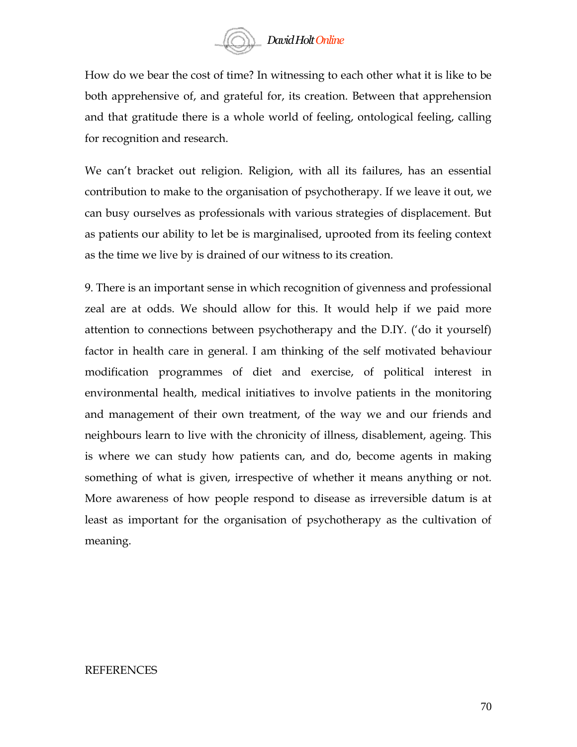

How do we bear the cost of time? In witnessing to each other what it is like to be both apprehensive of, and grateful for, its creation. Between that apprehension and that gratitude there is a whole world of feeling, ontological feeling, calling for recognition and research.

We can't bracket out religion. Religion, with all its failures, has an essential contribution to make to the organisation of psychotherapy. If we leave it out, we can busy ourselves as professionals with various strategies of displacement. But as patients our ability to let be is marginalised, uprooted from its feeling context as the time we live by is drained of our witness to its creation.

9. There is an important sense in which recognition of givenness and professional zeal are at odds. We should allow for this. It would help if we paid more attention to connections between psychotherapy and the D.IY. ("do it yourself) factor in health care in general. I am thinking of the self motivated behaviour modification programmes of diet and exercise, of political interest in environmental health, medical initiatives to involve patients in the monitoring and management of their own treatment, of the way we and our friends and neighbours learn to live with the chronicity of illness, disablement, ageing. This is where we can study how patients can, and do, become agents in making something of what is given, irrespective of whether it means anything or not. More awareness of how people respond to disease as irreversible datum is at least as important for the organisation of psychotherapy as the cultivation of meaning.

#### **REFERENCES**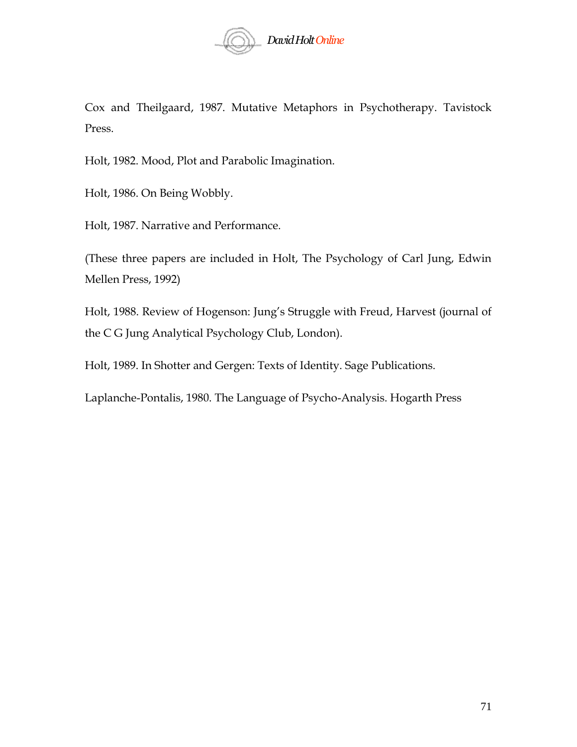

Cox and Theilgaard, 1987. Mutative Metaphors in Psychotherapy. Tavistock Press.

Holt, 1982. Mood, Plot and Parabolic Imagination.

Holt, 1986. On Being Wobbly.

Holt, 1987. Narrative and Performance.

(These three papers are included in Holt, The Psychology of Carl Jung, Edwin Mellen Press, 1992)

Holt, 1988. Review of Hogenson: Jung's Struggle with Freud, Harvest (journal of the C G Jung Analytical Psychology Club, London).

Holt, 1989. In Shotter and Gergen: Texts of Identity. Sage Publications.

Laplanche-Pontalis, 1980. The Language of Psycho-Analysis. Hogarth Press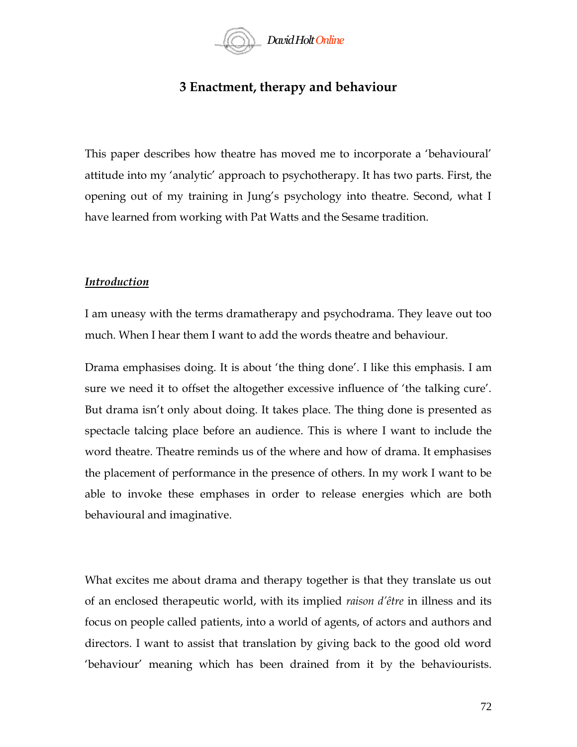

## **3 Enactment, therapy and behaviour**

This paper describes how theatre has moved me to incorporate a "behavioural" attitude into my "analytic" approach to psychotherapy. It has two parts. First, the opening out of my training in Jung"s psychology into theatre. Second, what I have learned from working with Pat Watts and the Sesame tradition.

### *Introduction*

I am uneasy with the terms dramatherapy and psychodrama. They leave out too much. When I hear them I want to add the words theatre and behaviour.

Drama emphasises doing. It is about "the thing done". I like this emphasis. I am sure we need it to offset the altogether excessive influence of 'the talking cure'. But drama isn't only about doing. It takes place. The thing done is presented as spectacle talcing place before an audience. This is where I want to include the word theatre. Theatre reminds us of the where and how of drama. It emphasises the placement of performance in the presence of others. In my work I want to be able to invoke these emphases in order to release energies which are both behavioural and imaginative.

What excites me about drama and therapy together is that they translate us out of an enclosed therapeutic world, with its implied *raison d'être* in illness and its focus on people called patients, into a world of agents, of actors and authors and directors. I want to assist that translation by giving back to the good old word "behaviour" meaning which has been drained from it by the behaviourists.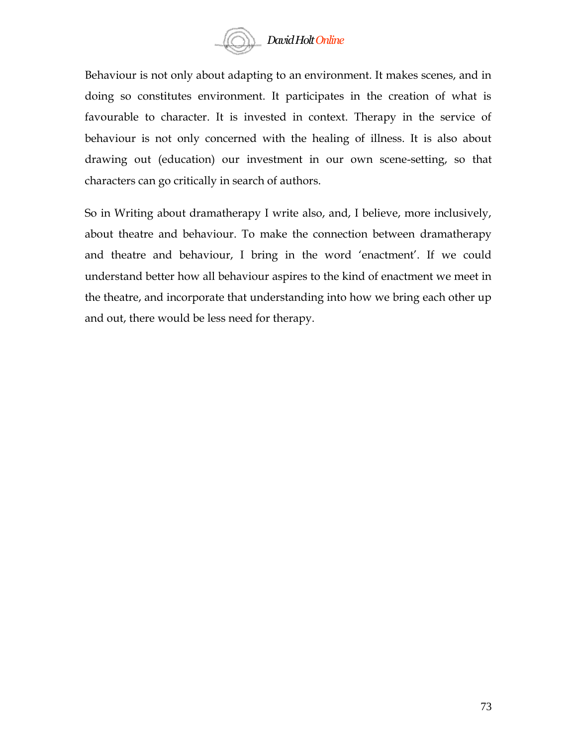

Behaviour is not only about adapting to an environment. It makes scenes, and in doing so constitutes environment. It participates in the creation of what is favourable to character. It is invested in context. Therapy in the service of behaviour is not only concerned with the healing of illness. It is also about drawing out (education) our investment in our own scene-setting, so that characters can go critically in search of authors.

So in Writing about dramatherapy I write also, and, I believe, more inclusively, about theatre and behaviour. To make the connection between dramatherapy and theatre and behaviour, I bring in the word 'enactment'. If we could understand better how all behaviour aspires to the kind of enactment we meet in the theatre, and incorporate that understanding into how we bring each other up and out, there would be less need for therapy.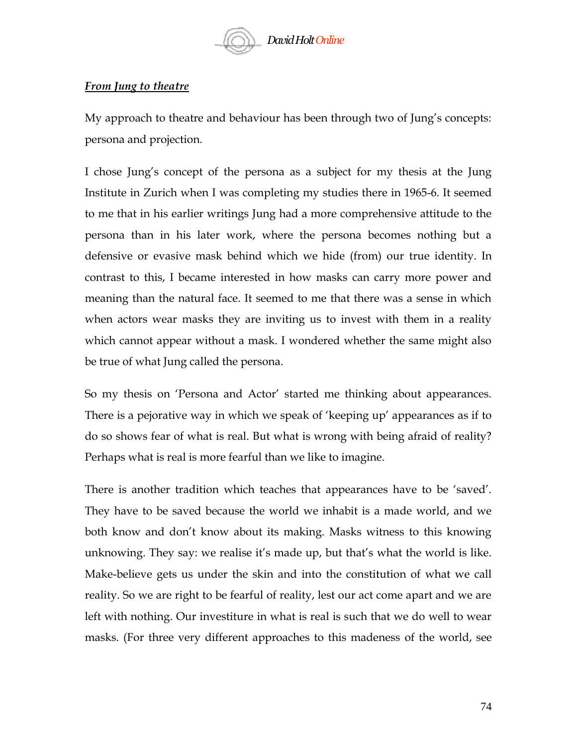

## *From Jung to theatre*

My approach to theatre and behaviour has been through two of Jung's concepts: persona and projection.

I chose Jung's concept of the persona as a subject for my thesis at the Jung Institute in Zurich when I was completing my studies there in 1965-6. It seemed to me that in his earlier writings Jung had a more comprehensive attitude to the persona than in his later work, where the persona becomes nothing but a defensive or evasive mask behind which we hide (from) our true identity. In contrast to this, I became interested in how masks can carry more power and meaning than the natural face. It seemed to me that there was a sense in which when actors wear masks they are inviting us to invest with them in a reality which cannot appear without a mask. I wondered whether the same might also be true of what Jung called the persona.

So my thesis on 'Persona and Actor' started me thinking about appearances. There is a pejorative way in which we speak of 'keeping up' appearances as if to do so shows fear of what is real. But what is wrong with being afraid of reality? Perhaps what is real is more fearful than we like to imagine.

There is another tradition which teaches that appearances have to be "saved". They have to be saved because the world we inhabit is a made world, and we both know and don"t know about its making. Masks witness to this knowing unknowing. They say: we realise it's made up, but that's what the world is like. Make-believe gets us under the skin and into the constitution of what we call reality. So we are right to be fearful of reality, lest our act come apart and we are left with nothing. Our investiture in what is real is such that we do well to wear masks. (For three very different approaches to this madeness of the world, see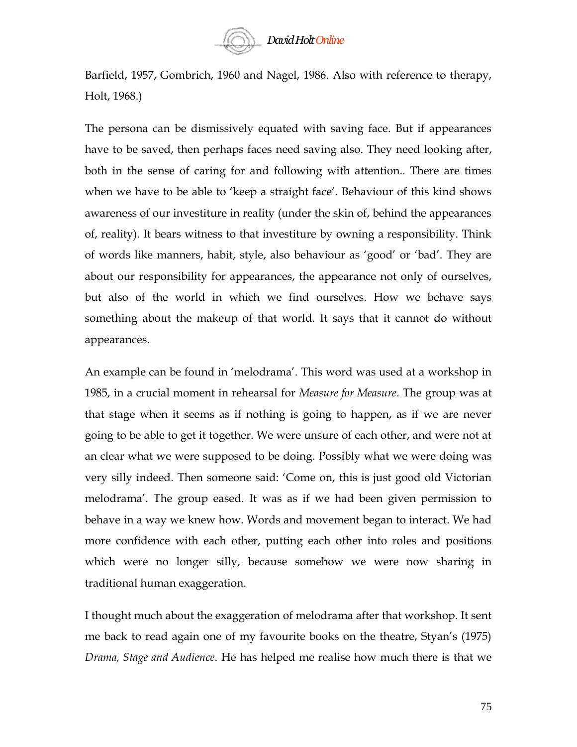

Barfield, 1957, Gombrich, 1960 and Nagel, 1986. Also with reference to therapy, Holt, 1968.)

The persona can be dismissively equated with saving face. But if appearances have to be saved, then perhaps faces need saving also. They need looking after, both in the sense of caring for and following with attention.. There are times when we have to be able to 'keep a straight face'. Behaviour of this kind shows awareness of our investiture in reality (under the skin of, behind the appearances of, reality). It bears witness to that investiture by owning a responsibility. Think of words like manners, habit, style, also behaviour as "good" or "bad". They are about our responsibility for appearances, the appearance not only of ourselves, but also of the world in which we find ourselves. How we behave says something about the makeup of that world. It says that it cannot do without appearances.

An example can be found in 'melodrama'. This word was used at a workshop in 1985, in a crucial moment in rehearsal for *Measure for Measure*. The group was at that stage when it seems as if nothing is going to happen, as if we are never going to be able to get it together. We were unsure of each other, and were not at an clear what we were supposed to be doing. Possibly what we were doing was very silly indeed. Then someone said: "Come on, this is just good old Victorian melodrama". The group eased. It was as if we had been given permission to behave in a way we knew how. Words and movement began to interact. We had more confidence with each other, putting each other into roles and positions which were no longer silly, because somehow we were now sharing in traditional human exaggeration.

I thought much about the exaggeration of melodrama after that workshop. It sent me back to read again one of my favourite books on the theatre, Styan's (1975) *Drama, Stage and Audience*. He has helped me realise how much there is that we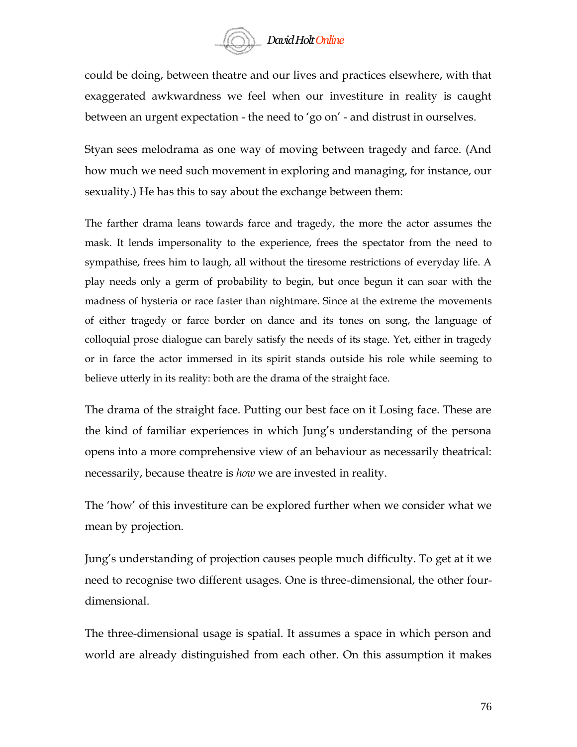

could be doing, between theatre and our lives and practices elsewhere, with that exaggerated awkwardness we feel when our investiture in reality is caught between an urgent expectation - the need to 'go on' - and distrust in ourselves.

Styan sees melodrama as one way of moving between tragedy and farce. (And how much we need such movement in exploring and managing, for instance, our sexuality.) He has this to say about the exchange between them:

The farther drama leans towards farce and tragedy, the more the actor assumes the mask. It lends impersonality to the experience, frees the spectator from the need to sympathise, frees him to laugh, all without the tiresome restrictions of everyday life. A play needs only a germ of probability to begin, but once begun it can soar with the madness of hysteria or race faster than nightmare. Since at the extreme the movements of either tragedy or farce border on dance and its tones on song, the language of colloquial prose dialogue can barely satisfy the needs of its stage. Yet, either in tragedy or in farce the actor immersed in its spirit stands outside his role while seeming to believe utterly in its reality: both are the drama of the straight face.

The drama of the straight face. Putting our best face on it Losing face. These are the kind of familiar experiences in which Jung"s understanding of the persona opens into a more comprehensive view of an behaviour as necessarily theatrical: necessarily, because theatre is *how* we are invested in reality.

The "how" of this investiture can be explored further when we consider what we mean by projection.

Jung"s understanding of projection causes people much difficulty. To get at it we need to recognise two different usages. One is three-dimensional, the other fourdimensional.

The three-dimensional usage is spatial. It assumes a space in which person and world are already distinguished from each other. On this assumption it makes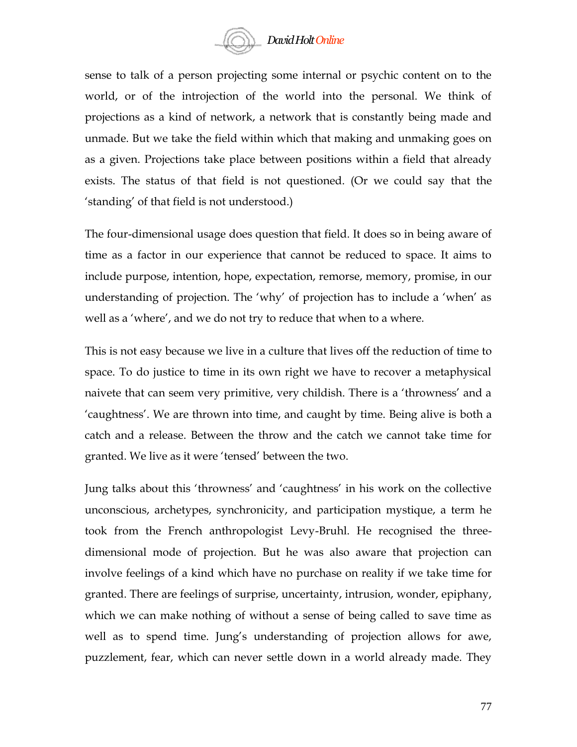

sense to talk of a person projecting some internal or psychic content on to the world, or of the introjection of the world into the personal. We think of projections as a kind of network, a network that is constantly being made and unmade. But we take the field within which that making and unmaking goes on as a given. Projections take place between positions within a field that already exists. The status of that field is not questioned. (Or we could say that the "standing" of that field is not understood.)

The four-dimensional usage does question that field. It does so in being aware of time as a factor in our experience that cannot be reduced to space. It aims to include purpose, intention, hope, expectation, remorse, memory, promise, in our understanding of projection. The 'why' of projection has to include a 'when' as well as a 'where', and we do not try to reduce that when to a where.

This is not easy because we live in a culture that lives off the reduction of time to space. To do justice to time in its own right we have to recover a metaphysical naivete that can seem very primitive, very childish. There is a "throwness" and a "caughtness". We are thrown into time, and caught by time. Being alive is both a catch and a release. Between the throw and the catch we cannot take time for granted. We live as it were "tensed" between the two.

Jung talks about this "throwness" and "caughtness" in his work on the collective unconscious, archetypes, synchronicity, and participation mystique, a term he took from the French anthropologist Levy-Bruhl. He recognised the threedimensional mode of projection. But he was also aware that projection can involve feelings of a kind which have no purchase on reality if we take time for granted. There are feelings of surprise, uncertainty, intrusion, wonder, epiphany, which we can make nothing of without a sense of being called to save time as well as to spend time. Jung's understanding of projection allows for awe, puzzlement, fear, which can never settle down in a world already made. They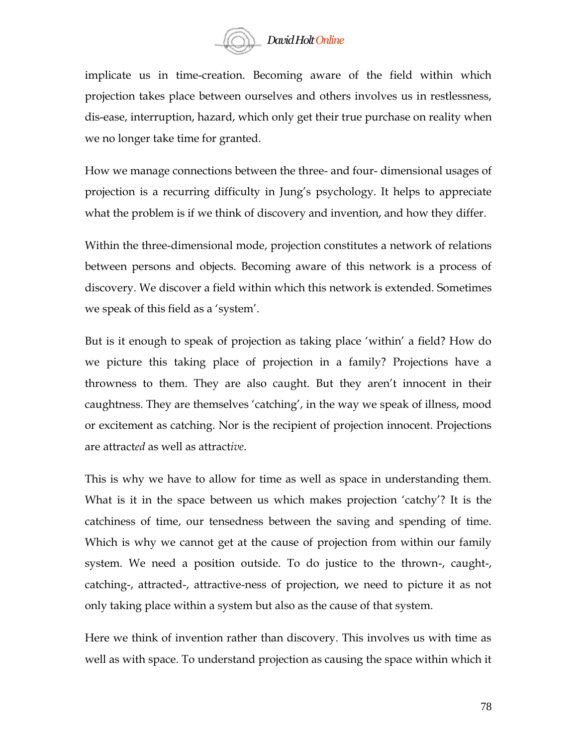

implicate us in time-creation. Becoming aware of the field within which projection takes place between ourselves and others involves us in restlessness, dis-ease, interruption, hazard, which only get their true purchase on reality when we no longer take time for granted.

How we manage connections between the three- and four- dimensional usages of projection is a recurring difficulty in Jung"s psychology. It helps to appreciate what the problem is if we think of discovery and invention, and how they differ.

Within the three-dimensional mode, projection constitutes a network of relations between persons and objects. Becoming aware of this network is a process of discovery. We discover a field within which this network is extended. Sometimes we speak of this field as a 'system'.

But is it enough to speak of projection as taking place 'within' a field? How do we picture this taking place of projection in a family? Projections have a throwness to them. They are also caught. But they aren"t innocent in their caughtness. They are themselves 'catching', in the way we speak of illness, mood or excitement as catching. Nor is the recipient of projection innocent. Projections are attract*ed* as well as attract*ive*.

This is why we have to allow for time as well as space in understanding them. What is it in the space between us which makes projection 'catchy'? It is the catchiness of time, our tensedness between the saving and spending of time. Which is why we cannot get at the cause of projection from within our family system. We need a position outside. To do justice to the thrown-, caught-, catching-, attracted-, attractive-ness of projection, we need to picture it as not only taking place within a system but also as the cause of that system.

Here we think of invention rather than discovery. This involves us with time as well as with space. To understand projection as causing the space within which it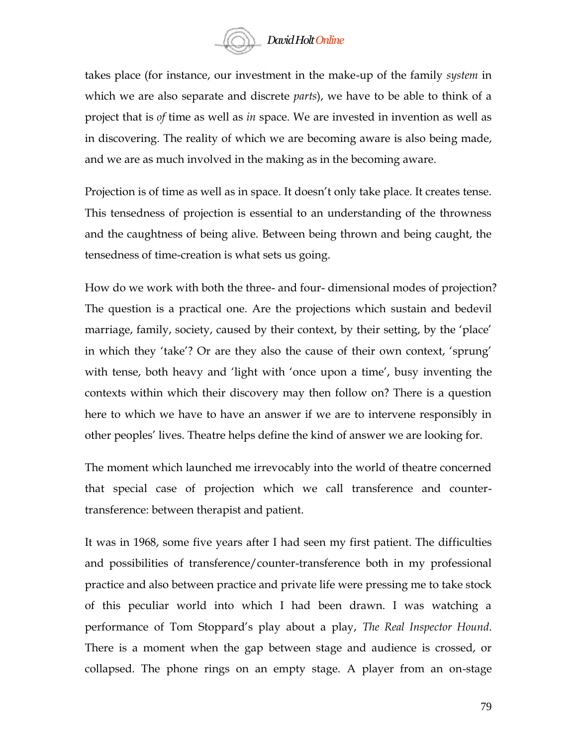

takes place (for instance, our investment in the make-up of the family *system* in which we are also separate and discrete *parts*), we have to be able to think of a project that is *of* time as well as *in* space. We are invested in invention as well as in discovering. The reality of which we are becoming aware is also being made, and we are as much involved in the making as in the becoming aware.

Projection is of time as well as in space. It doesn't only take place. It creates tense. This tensedness of projection is essential to an understanding of the throwness and the caughtness of being alive. Between being thrown and being caught, the tensedness of time-creation is what sets us going.

How do we work with both the three- and four- dimensional modes of projection? The question is a practical one. Are the projections which sustain and bedevil marriage, family, society, caused by their context, by their setting, by the 'place' in which they 'take'? Or are they also the cause of their own context, 'sprung' with tense, both heavy and 'light with 'once upon a time', busy inventing the contexts within which their discovery may then follow on? There is a question here to which we have to have an answer if we are to intervene responsibly in other peoples" lives. Theatre helps define the kind of answer we are looking for.

The moment which launched me irrevocably into the world of theatre concerned that special case of projection which we call transference and countertransference: between therapist and patient.

It was in 1968, some five years after I had seen my first patient. The difficulties and possibilities of transference/counter-transference both in my professional practice and also between practice and private life were pressing me to take stock of this peculiar world into which I had been drawn. I was watching a performance of Tom Stoppard"s play about a play, *The Real Inspector Hound*. There is a moment when the gap between stage and audience is crossed, or collapsed. The phone rings on an empty stage. A player from an on-stage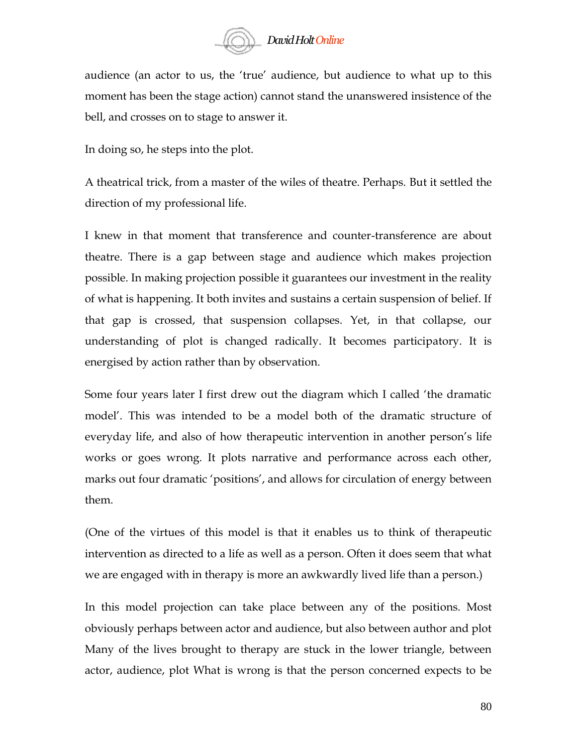

audience (an actor to us, the "true" audience, but audience to what up to this moment has been the stage action) cannot stand the unanswered insistence of the bell, and crosses on to stage to answer it.

In doing so, he steps into the plot.

A theatrical trick, from a master of the wiles of theatre. Perhaps. But it settled the direction of my professional life.

I knew in that moment that transference and counter-transference are about theatre. There is a gap between stage and audience which makes projection possible. In making projection possible it guarantees our investment in the reality of what is happening. It both invites and sustains a certain suspension of belief. If that gap is crossed, that suspension collapses. Yet, in that collapse, our understanding of plot is changed radically. It becomes participatory. It is energised by action rather than by observation.

Some four years later I first drew out the diagram which I called "the dramatic model". This was intended to be a model both of the dramatic structure of everyday life, and also of how therapeutic intervention in another person's life works or goes wrong. It plots narrative and performance across each other, marks out four dramatic "positions", and allows for circulation of energy between them.

(One of the virtues of this model is that it enables us to think of therapeutic intervention as directed to a life as well as a person. Often it does seem that what we are engaged with in therapy is more an awkwardly lived life than a person.)

In this model projection can take place between any of the positions. Most obviously perhaps between actor and audience, but also between author and plot Many of the lives brought to therapy are stuck in the lower triangle, between actor, audience, plot What is wrong is that the person concerned expects to be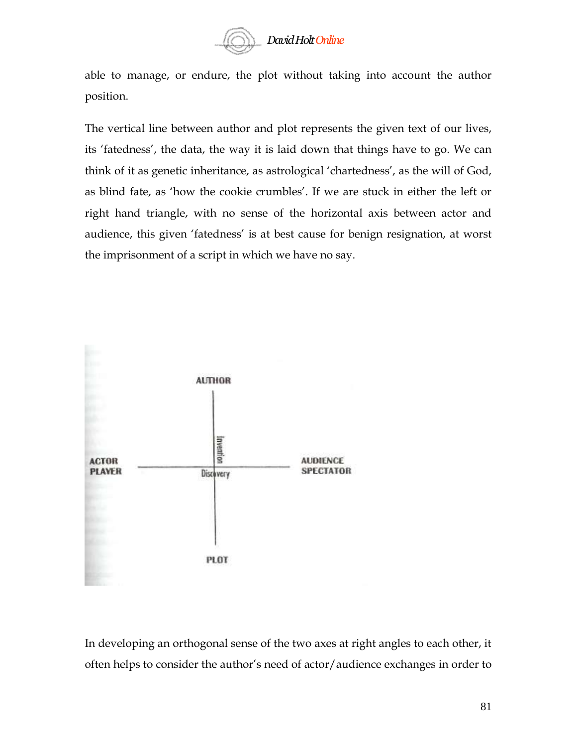

able to manage, or endure, the plot without taking into account the author position.

The vertical line between author and plot represents the given text of our lives, its 'fatedness', the data, the way it is laid down that things have to go. We can think of it as genetic inheritance, as astrological "chartedness", as the will of God, as blind fate, as 'how the cookie crumbles'. If we are stuck in either the left or right hand triangle, with no sense of the horizontal axis between actor and audience, this given 'fatedness' is at best cause for benign resignation, at worst the imprisonment of a script in which we have no say.



In developing an orthogonal sense of the two axes at right angles to each other, it often helps to consider the author"s need of actor/audience exchanges in order to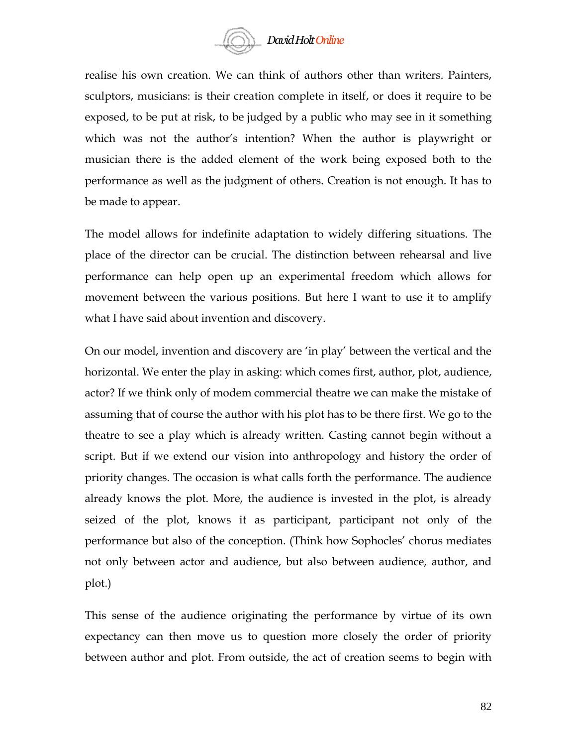

realise his own creation. We can think of authors other than writers. Painters, sculptors, musicians: is their creation complete in itself, or does it require to be exposed, to be put at risk, to be judged by a public who may see in it something which was not the author's intention? When the author is playwright or musician there is the added element of the work being exposed both to the performance as well as the judgment of others. Creation is not enough. It has to be made to appear.

The model allows for indefinite adaptation to widely differing situations. The place of the director can be crucial. The distinction between rehearsal and live performance can help open up an experimental freedom which allows for movement between the various positions. But here I want to use it to amplify what I have said about invention and discovery.

On our model, invention and discovery are "in play" between the vertical and the horizontal. We enter the play in asking: which comes first, author, plot, audience, actor? If we think only of modem commercial theatre we can make the mistake of assuming that of course the author with his plot has to be there first. We go to the theatre to see a play which is already written. Casting cannot begin without a script. But if we extend our vision into anthropology and history the order of priority changes. The occasion is what calls forth the performance. The audience already knows the plot. More, the audience is invested in the plot, is already seized of the plot, knows it as participant, participant not only of the performance but also of the conception. (Think how Sophocles" chorus mediates not only between actor and audience, but also between audience, author, and plot.)

This sense of the audience originating the performance by virtue of its own expectancy can then move us to question more closely the order of priority between author and plot. From outside, the act of creation seems to begin with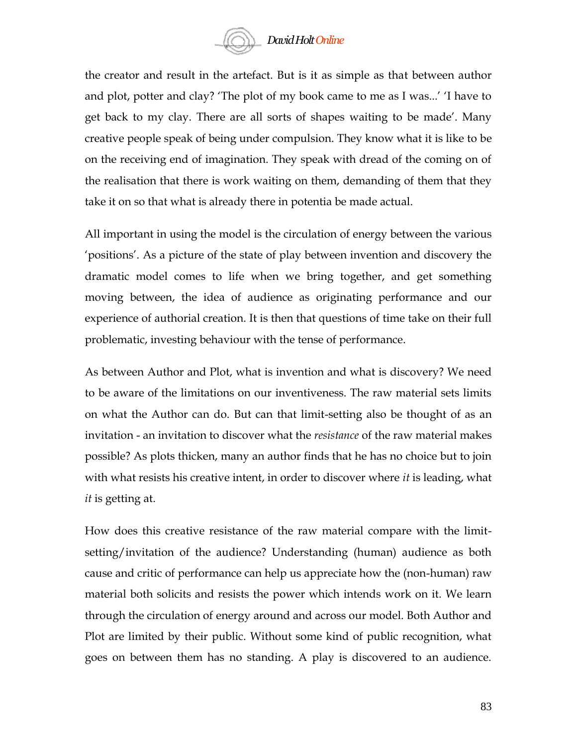

the creator and result in the artefact. But is it as simple as that between author and plot, potter and clay? 'The plot of my book came to me as I was...' 'I have to get back to my clay. There are all sorts of shapes waiting to be made". Many creative people speak of being under compulsion. They know what it is like to be on the receiving end of imagination. They speak with dread of the coming on of the realisation that there is work waiting on them, demanding of them that they take it on so that what is already there in potentia be made actual.

All important in using the model is the circulation of energy between the various "positions". As a picture of the state of play between invention and discovery the dramatic model comes to life when we bring together, and get something moving between, the idea of audience as originating performance and our experience of authorial creation. It is then that questions of time take on their full problematic, investing behaviour with the tense of performance.

As between Author and Plot, what is invention and what is discovery? We need to be aware of the limitations on our inventiveness. The raw material sets limits on what the Author can do. But can that limit-setting also be thought of as an invitation - an invitation to discover what the *resistance* of the raw material makes possible? As plots thicken, many an author finds that he has no choice but to join with what resists his creative intent, in order to discover where *it* is leading, what *it* is getting at.

How does this creative resistance of the raw material compare with the limitsetting/invitation of the audience? Understanding (human) audience as both cause and critic of performance can help us appreciate how the (non-human) raw material both solicits and resists the power which intends work on it. We learn through the circulation of energy around and across our model. Both Author and Plot are limited by their public. Without some kind of public recognition, what goes on between them has no standing. A play is discovered to an audience.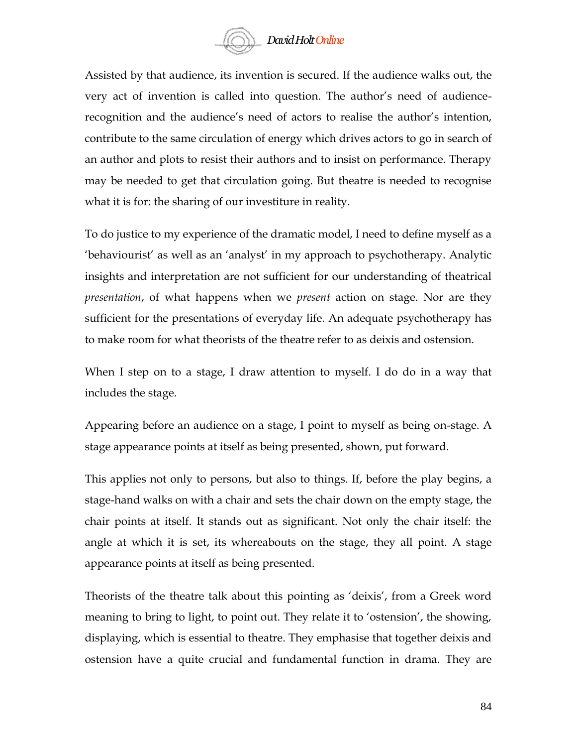

Assisted by that audience, its invention is secured. If the audience walks out, the very act of invention is called into question. The author's need of audiencerecognition and the audience's need of actors to realise the author's intention, contribute to the same circulation of energy which drives actors to go in search of an author and plots to resist their authors and to insist on performance. Therapy may be needed to get that circulation going. But theatre is needed to recognise what it is for: the sharing of our investiture in reality.

To do justice to my experience of the dramatic model, I need to define myself as a "behaviourist" as well as an "analyst" in my approach to psychotherapy. Analytic insights and interpretation are not sufficient for our understanding of theatrical *presentation*, of what happens when we *present* action on stage. Nor are they sufficient for the presentations of everyday life. An adequate psychotherapy has to make room for what theorists of the theatre refer to as deixis and ostension.

When I step on to a stage, I draw attention to myself. I do do in a way that includes the stage.

Appearing before an audience on a stage, I point to myself as being on-stage. A stage appearance points at itself as being presented, shown, put forward.

This applies not only to persons, but also to things. If, before the play begins, a stage-hand walks on with a chair and sets the chair down on the empty stage, the chair points at itself. It stands out as significant. Not only the chair itself: the angle at which it is set, its whereabouts on the stage, they all point. A stage appearance points at itself as being presented.

Theorists of the theatre talk about this pointing as "deixis", from a Greek word meaning to bring to light, to point out. They relate it to "ostension", the showing, displaying, which is essential to theatre. They emphasise that together deixis and ostension have a quite crucial and fundamental function in drama. They are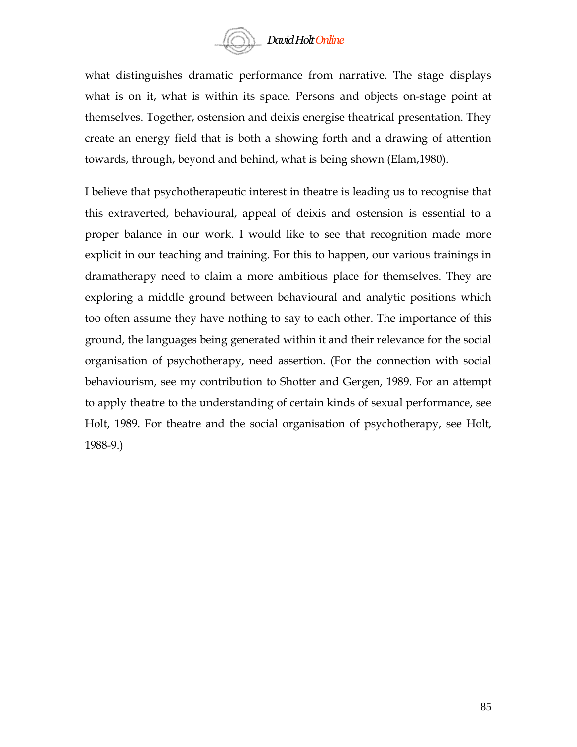

what distinguishes dramatic performance from narrative. The stage displays what is on it, what is within its space. Persons and objects on-stage point at themselves. Together, ostension and deixis energise theatrical presentation. They create an energy field that is both a showing forth and a drawing of attention towards, through, beyond and behind, what is being shown (Elam,1980).

I believe that psychotherapeutic interest in theatre is leading us to recognise that this extraverted, behavioural, appeal of deixis and ostension is essential to a proper balance in our work. I would like to see that recognition made more explicit in our teaching and training. For this to happen, our various trainings in dramatherapy need to claim a more ambitious place for themselves. They are exploring a middle ground between behavioural and analytic positions which too often assume they have nothing to say to each other. The importance of this ground, the languages being generated within it and their relevance for the social organisation of psychotherapy, need assertion. (For the connection with social behaviourism, see my contribution to Shotter and Gergen, 1989. For an attempt to apply theatre to the understanding of certain kinds of sexual performance, see Holt, 1989. For theatre and the social organisation of psychotherapy, see Holt, 1988-9.)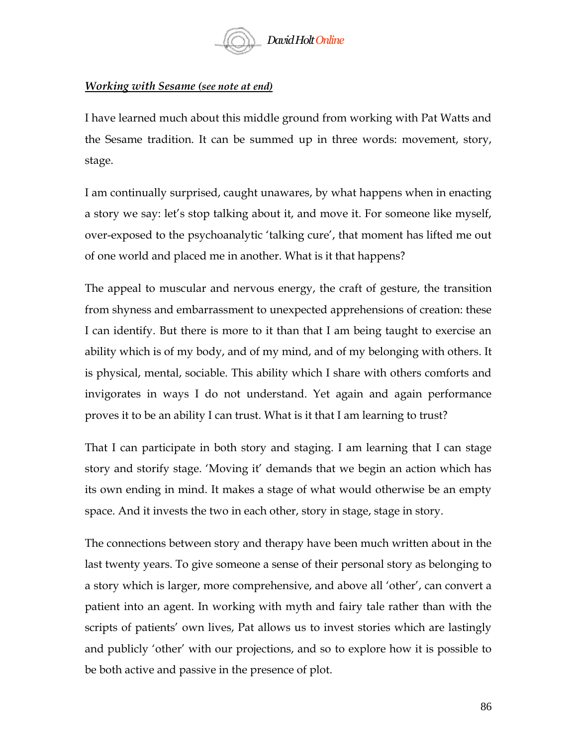

#### *Working with Sesame (see note at end)*

I have learned much about this middle ground from working with Pat Watts and the Sesame tradition. It can be summed up in three words: movement, story, stage.

I am continually surprised, caught unawares, by what happens when in enacting a story we say: let"s stop talking about it, and move it. For someone like myself, over-exposed to the psychoanalytic "talking cure", that moment has lifted me out of one world and placed me in another. What is it that happens?

The appeal to muscular and nervous energy, the craft of gesture, the transition from shyness and embarrassment to unexpected apprehensions of creation: these I can identify. But there is more to it than that I am being taught to exercise an ability which is of my body, and of my mind, and of my belonging with others. It is physical, mental, sociable. This ability which I share with others comforts and invigorates in ways I do not understand. Yet again and again performance proves it to be an ability I can trust. What is it that I am learning to trust?

That I can participate in both story and staging. I am learning that I can stage story and storify stage. "Moving it" demands that we begin an action which has its own ending in mind. It makes a stage of what would otherwise be an empty space. And it invests the two in each other, story in stage, stage in story.

The connections between story and therapy have been much written about in the last twenty years. To give someone a sense of their personal story as belonging to a story which is larger, more comprehensive, and above all "other", can convert a patient into an agent. In working with myth and fairy tale rather than with the scripts of patients' own lives, Pat allows us to invest stories which are lastingly and publicly "other" with our projections, and so to explore how it is possible to be both active and passive in the presence of plot.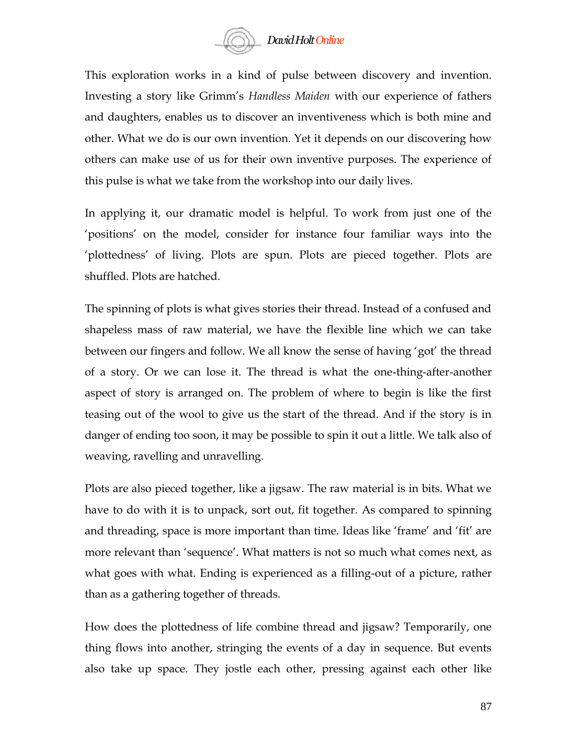

This exploration works in a kind of pulse between discovery and invention. Investing a story like Grimm"s *Handless Maiden* with our experience of fathers and daughters, enables us to discover an inventiveness which is both mine and other. What we do is our own invention. Yet it depends on our discovering how others can make use of us for their own inventive purposes. The experience of this pulse is what we take from the workshop into our daily lives.

In applying it, our dramatic model is helpful. To work from just one of the "positions" on the model, consider for instance four familiar ways into the "plottedness" of living. Plots are spun. Plots are pieced together. Plots are shuffled. Plots are hatched.

The spinning of plots is what gives stories their thread. Instead of a confused and shapeless mass of raw material, we have the flexible line which we can take between our fingers and follow. We all know the sense of having 'got' the thread of a story. Or we can lose it. The thread is what the one-thing-after-another aspect of story is arranged on. The problem of where to begin is like the first teasing out of the wool to give us the start of the thread. And if the story is in danger of ending too soon, it may be possible to spin it out a little. We talk also of weaving, ravelling and unravelling.

Plots are also pieced together, like a jigsaw. The raw material is in bits. What we have to do with it is to unpack, sort out, fit together. As compared to spinning and threading, space is more important than time. Ideas like "frame" and "fit" are more relevant than "sequence". What matters is not so much what comes next, as what goes with what. Ending is experienced as a filling-out of a picture, rather than as a gathering together of threads.

How does the plottedness of life combine thread and jigsaw? Temporarily, one thing flows into another, stringing the events of a day in sequence. But events also take up space. They jostle each other, pressing against each other like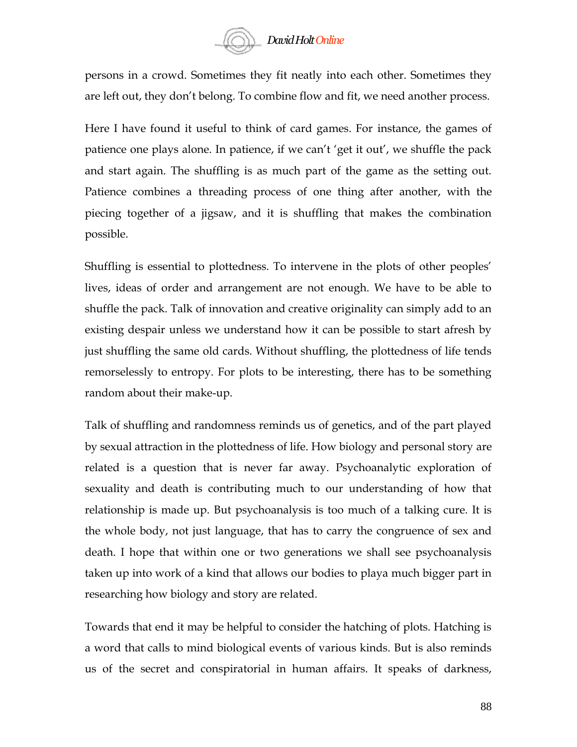

persons in a crowd. Sometimes they fit neatly into each other. Sometimes they are left out, they don't belong. To combine flow and fit, we need another process.

Here I have found it useful to think of card games. For instance, the games of patience one plays alone. In patience, if we can't 'get it out', we shuffle the pack and start again. The shuffling is as much part of the game as the setting out. Patience combines a threading process of one thing after another, with the piecing together of a jigsaw, and it is shuffling that makes the combination possible.

Shuffling is essential to plottedness. To intervene in the plots of other peoples" lives, ideas of order and arrangement are not enough. We have to be able to shuffle the pack. Talk of innovation and creative originality can simply add to an existing despair unless we understand how it can be possible to start afresh by just shuffling the same old cards. Without shuffling, the plottedness of life tends remorselessly to entropy. For plots to be interesting, there has to be something random about their make-up.

Talk of shuffling and randomness reminds us of genetics, and of the part played by sexual attraction in the plottedness of life. How biology and personal story are related is a question that is never far away. Psychoanalytic exploration of sexuality and death is contributing much to our understanding of how that relationship is made up. But psychoanalysis is too much of a talking cure. It is the whole body, not just language, that has to carry the congruence of sex and death. I hope that within one or two generations we shall see psychoanalysis taken up into work of a kind that allows our bodies to playa much bigger part in researching how biology and story are related.

Towards that end it may be helpful to consider the hatching of plots. Hatching is a word that calls to mind biological events of various kinds. But is also reminds us of the secret and conspiratorial in human affairs. It speaks of darkness,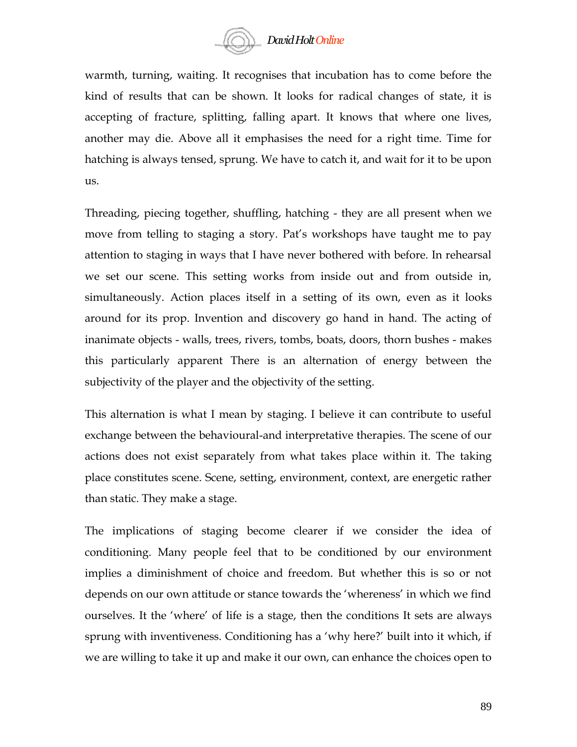

warmth, turning, waiting. It recognises that incubation has to come before the kind of results that can be shown. It looks for radical changes of state, it is accepting of fracture, splitting, falling apart. It knows that where one lives, another may die. Above all it emphasises the need for a right time. Time for hatching is always tensed, sprung. We have to catch it, and wait for it to be upon us.

Threading, piecing together, shuffling, hatching - they are all present when we move from telling to staging a story. Pat"s workshops have taught me to pay attention to staging in ways that I have never bothered with before. In rehearsal we set our scene. This setting works from inside out and from outside in, simultaneously. Action places itself in a setting of its own, even as it looks around for its prop. Invention and discovery go hand in hand. The acting of inanimate objects - walls, trees, rivers, tombs, boats, doors, thorn bushes - makes this particularly apparent There is an alternation of energy between the subjectivity of the player and the objectivity of the setting.

This alternation is what I mean by staging. I believe it can contribute to useful exchange between the behavioural-and interpretative therapies. The scene of our actions does not exist separately from what takes place within it. The taking place constitutes scene. Scene, setting, environment, context, are energetic rather than static. They make a stage.

The implications of staging become clearer if we consider the idea of conditioning. Many people feel that to be conditioned by our environment implies a diminishment of choice and freedom. But whether this is so or not depends on our own attitude or stance towards the "whereness" in which we find ourselves. It the "where" of life is a stage, then the conditions It sets are always sprung with inventiveness. Conditioning has a 'why here?' built into it which, if we are willing to take it up and make it our own, can enhance the choices open to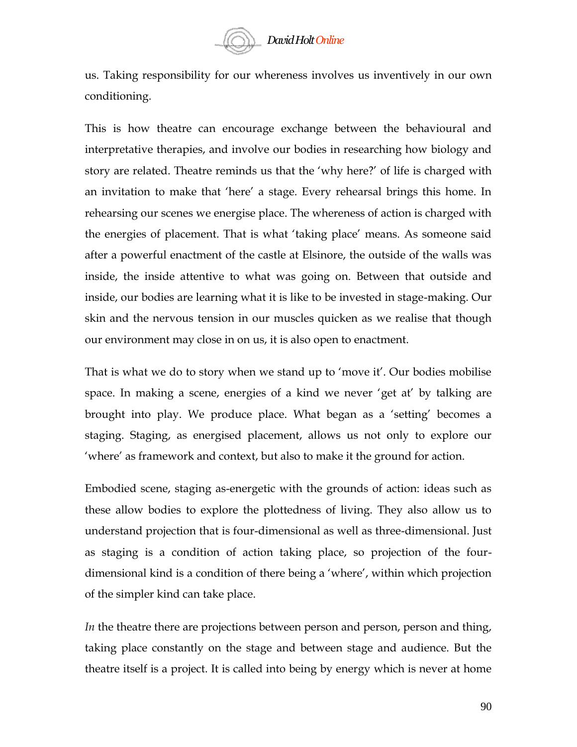

us. Taking responsibility for our whereness involves us inventively in our own conditioning.

This is how theatre can encourage exchange between the behavioural and interpretative therapies, and involve our bodies in researching how biology and story are related. Theatre reminds us that the "why here?" of life is charged with an invitation to make that "here" a stage. Every rehearsal brings this home. In rehearsing our scenes we energise place. The whereness of action is charged with the energies of placement. That is what "taking place" means. As someone said after a powerful enactment of the castle at Elsinore, the outside of the walls was inside, the inside attentive to what was going on. Between that outside and inside, our bodies are learning what it is like to be invested in stage-making. Our skin and the nervous tension in our muscles quicken as we realise that though our environment may close in on us, it is also open to enactment.

That is what we do to story when we stand up to 'move it'. Our bodies mobilise space. In making a scene, energies of a kind we never "get at" by talking are brought into play. We produce place. What began as a "setting" becomes a staging. Staging, as energised placement, allows us not only to explore our 'where' as framework and context, but also to make it the ground for action.

Embodied scene, staging as-energetic with the grounds of action: ideas such as these allow bodies to explore the plottedness of living. They also allow us to understand projection that is four-dimensional as well as three-dimensional. Just as staging is a condition of action taking place, so projection of the fourdimensional kind is a condition of there being a "where", within which projection of the simpler kind can take place.

*In* the theatre there are projections between person and person, person and thing, taking place constantly on the stage and between stage and audience. But the theatre itself is a project. It is called into being by energy which is never at home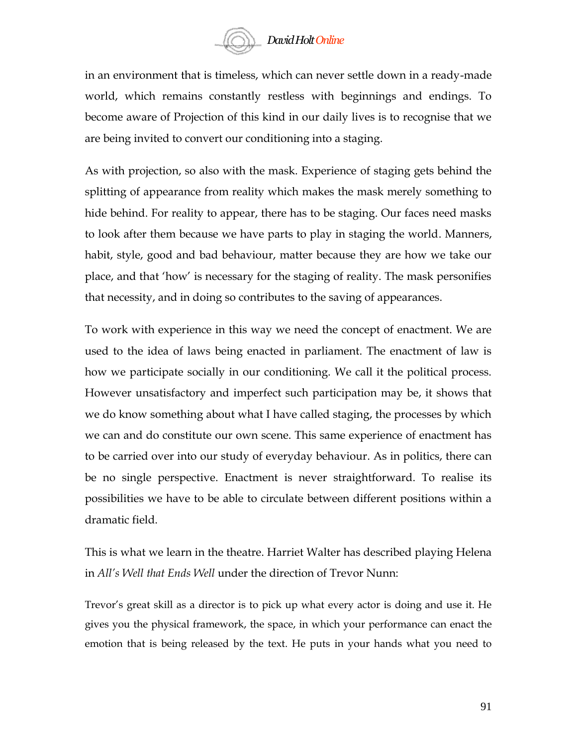

in an environment that is timeless, which can never settle down in a ready-made world, which remains constantly restless with beginnings and endings. To become aware of Projection of this kind in our daily lives is to recognise that we are being invited to convert our conditioning into a staging.

As with projection, so also with the mask. Experience of staging gets behind the splitting of appearance from reality which makes the mask merely something to hide behind. For reality to appear, there has to be staging. Our faces need masks to look after them because we have parts to play in staging the world. Manners, habit, style, good and bad behaviour, matter because they are how we take our place, and that "how" is necessary for the staging of reality. The mask personifies that necessity, and in doing so contributes to the saving of appearances.

To work with experience in this way we need the concept of enactment. We are used to the idea of laws being enacted in parliament. The enactment of law is how we participate socially in our conditioning. We call it the political process. However unsatisfactory and imperfect such participation may be, it shows that we do know something about what I have called staging, the processes by which we can and do constitute our own scene. This same experience of enactment has to be carried over into our study of everyday behaviour. As in politics, there can be no single perspective. Enactment is never straightforward. To realise its possibilities we have to be able to circulate between different positions within a dramatic field.

This is what we learn in the theatre. Harriet Walter has described playing Helena in *All's Well that Ends Well* under the direction of Trevor Nunn:

Trevor"s great skill as a director is to pick up what every actor is doing and use it. He gives you the physical framework, the space, in which your performance can enact the emotion that is being released by the text. He puts in your hands what you need to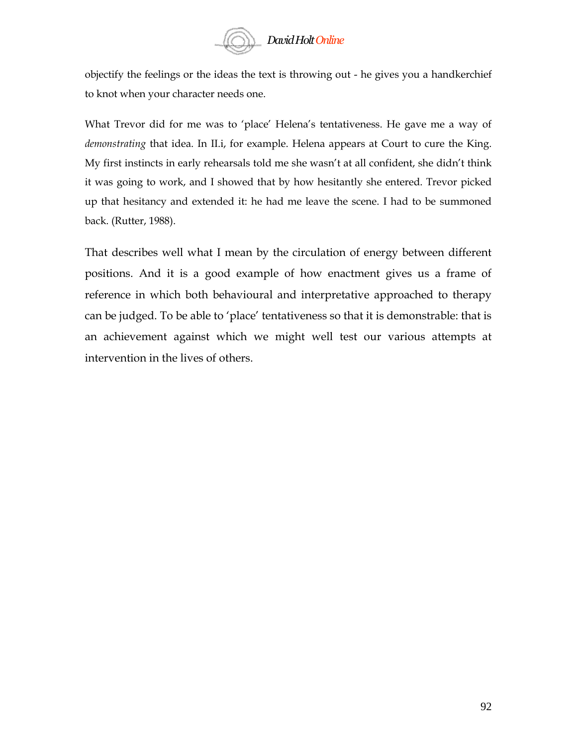

objectify the feelings or the ideas the text is throwing out - he gives you a handkerchief to knot when your character needs one.

What Trevor did for me was to 'place' Helena's tentativeness. He gave me a way of *demonstrating* that idea. In II.i, for example. Helena appears at Court to cure the King. My first instincts in early rehearsals told me she wasn't at all confident, she didn't think it was going to work, and I showed that by how hesitantly she entered. Trevor picked up that hesitancy and extended it: he had me leave the scene. I had to be summoned back. (Rutter, 1988).

That describes well what I mean by the circulation of energy between different positions. And it is a good example of how enactment gives us a frame of reference in which both behavioural and interpretative approached to therapy can be judged. To be able to "place" tentativeness so that it is demonstrable: that is an achievement against which we might well test our various attempts at intervention in the lives of others.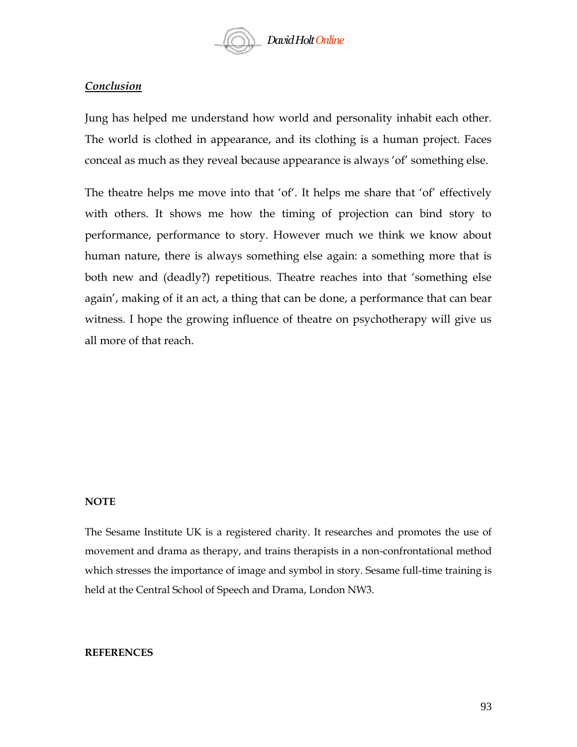

#### *Conclusion*

Jung has helped me understand how world and personality inhabit each other. The world is clothed in appearance, and its clothing is a human project. Faces conceal as much as they reveal because appearance is always 'of' something else.

The theatre helps me move into that 'of'. It helps me share that 'of' effectively with others. It shows me how the timing of projection can bind story to performance, performance to story. However much we think we know about human nature, there is always something else again: a something more that is both new and (deadly?) repetitious. Theatre reaches into that "something else again', making of it an act, a thing that can be done, a performance that can bear witness. I hope the growing influence of theatre on psychotherapy will give us all more of that reach.

#### **NOTE**

The Sesame Institute UK is a registered charity. It researches and promotes the use of movement and drama as therapy, and trains therapists in a non-confrontational method which stresses the importance of image and symbol in story. Sesame full-time training is held at the Central School of Speech and Drama, London NW3.

#### **REFERENCES**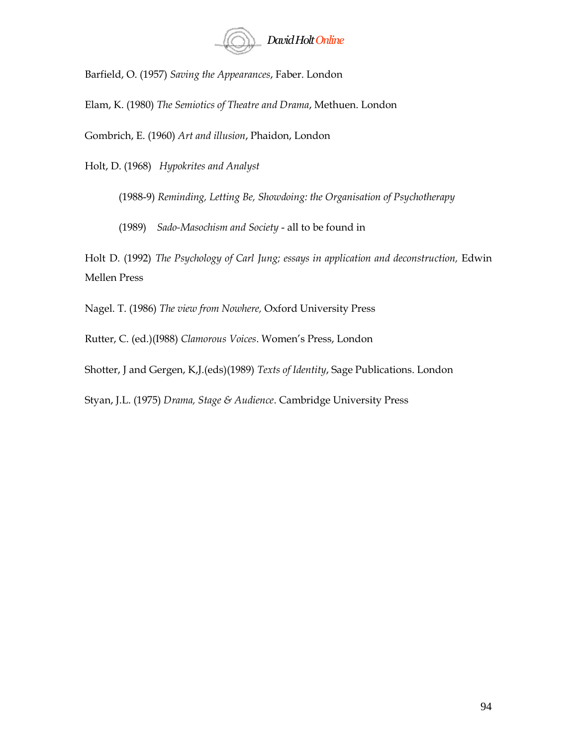

Barfield, O. (1957) *Saving the Appearances*, Faber. London

Elam, K. (1980) *The Semiotics of Theatre and Drama*, Methuen. London

Gombrich, E. (1960) *Art and illusion*, Phaidon, London

Holt, D. (1968) *Hypokrites and Analyst*

(1988-9) *Reminding, Letting Be, Showdoing: the Organisation of Psychotherapy* 

(1989) *Sado-Masochism and Society* - all to be found in

Holt D. (1992) *The Psychology of Carl Jung; essays in application and deconstruction*, Edwin Mellen Press

Nagel. T. (1986) *The view from Nowhere,* Oxford University Press

Rutter, C. (ed.)(I988) *Clamorous Voices*. Women"s Press, London

Shotter, J and Gergen, K,J.(eds)(1989) *Texts of Identity*, Sage Publications. London

Styan, J.L. (1975) *Drama, Stage & Audience*. Cambridge University Press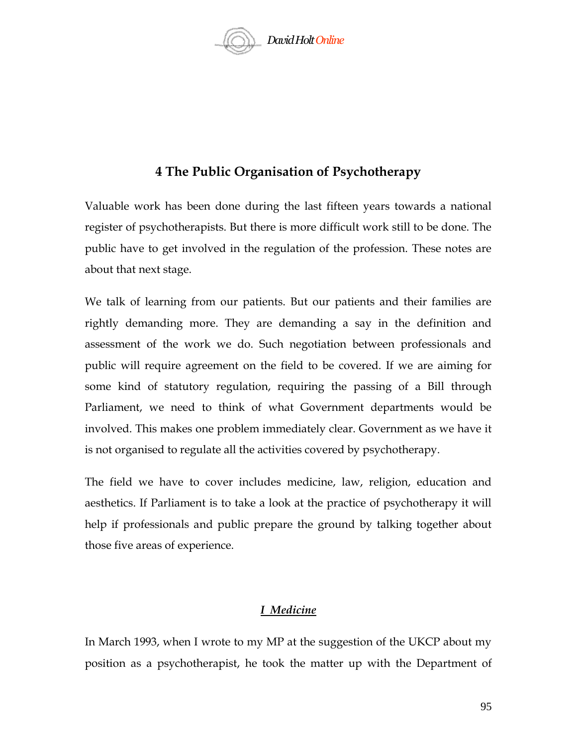

## **4 The Public Organisation of Psychotherapy**

Valuable work has been done during the last fifteen years towards a national register of psychotherapists. But there is more difficult work still to be done. The public have to get involved in the regulation of the profession. These notes are about that next stage.

We talk of learning from our patients. But our patients and their families are rightly demanding more. They are demanding a say in the definition and assessment of the work we do. Such negotiation between professionals and public will require agreement on the field to be covered. If we are aiming for some kind of statutory regulation, requiring the passing of a Bill through Parliament, we need to think of what Government departments would be involved. This makes one problem immediately clear. Government as we have it is not organised to regulate all the activities covered by psychotherapy.

The field we have to cover includes medicine, law, religion, education and aesthetics. If Parliament is to take a look at the practice of psychotherapy it will help if professionals and public prepare the ground by talking together about those five areas of experience.

### *I Medicine*

In March 1993, when I wrote to my MP at the suggestion of the UKCP about my position as a psychotherapist, he took the matter up with the Department of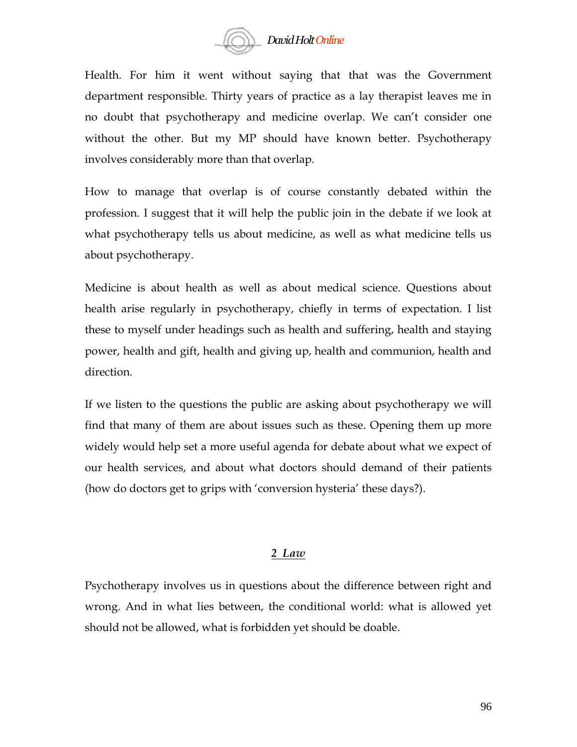

Health. For him it went without saying that that was the Government department responsible. Thirty years of practice as a lay therapist leaves me in no doubt that psychotherapy and medicine overlap. We can"t consider one without the other. But my MP should have known better. Psychotherapy involves considerably more than that overlap.

How to manage that overlap is of course constantly debated within the profession. I suggest that it will help the public join in the debate if we look at what psychotherapy tells us about medicine, as well as what medicine tells us about psychotherapy.

Medicine is about health as well as about medical science. Questions about health arise regularly in psychotherapy, chiefly in terms of expectation. I list these to myself under headings such as health and suffering, health and staying power, health and gift, health and giving up, health and communion, health and direction.

If we listen to the questions the public are asking about psychotherapy we will find that many of them are about issues such as these. Opening them up more widely would help set a more useful agenda for debate about what we expect of our health services, and about what doctors should demand of their patients (how do doctors get to grips with 'conversion hysteria' these days?).

### *2 Law*

Psychotherapy involves us in questions about the difference between right and wrong. And in what lies between, the conditional world: what is allowed yet should not be allowed, what is forbidden yet should be doable.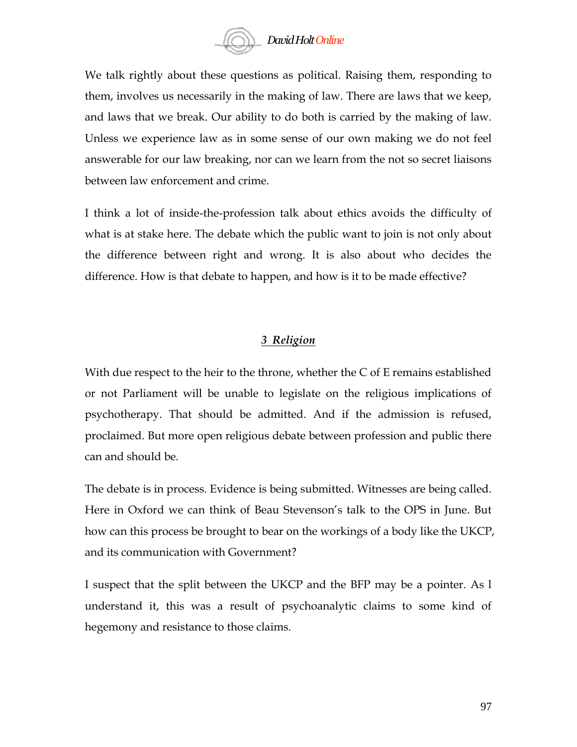

We talk rightly about these questions as political. Raising them, responding to them, involves us necessarily in the making of law. There are laws that we keep, and laws that we break. Our ability to do both is carried by the making of law. Unless we experience law as in some sense of our own making we do not feel answerable for our law breaking, nor can we learn from the not so secret liaisons between law enforcement and crime.

I think a lot of inside-the-profession talk about ethics avoids the difficulty of what is at stake here. The debate which the public want to join is not only about the difference between right and wrong. It is also about who decides the difference. How is that debate to happen, and how is it to be made effective?

## *3 Religion*

With due respect to the heir to the throne, whether the C of E remains established or not Parliament will be unable to legislate on the religious implications of psychotherapy. That should be admitted. And if the admission is refused, proclaimed. But more open religious debate between profession and public there can and should be.

The debate is in process. Evidence is being submitted. Witnesses are being called. Here in Oxford we can think of Beau Stevenson's talk to the OPS in June. But how can this process be brought to bear on the workings of a body like the UKCP, and its communication with Government?

I suspect that the split between the UKCP and the BFP may be a pointer. As l understand it, this was a result of psychoanalytic claims to some kind of hegemony and resistance to those claims.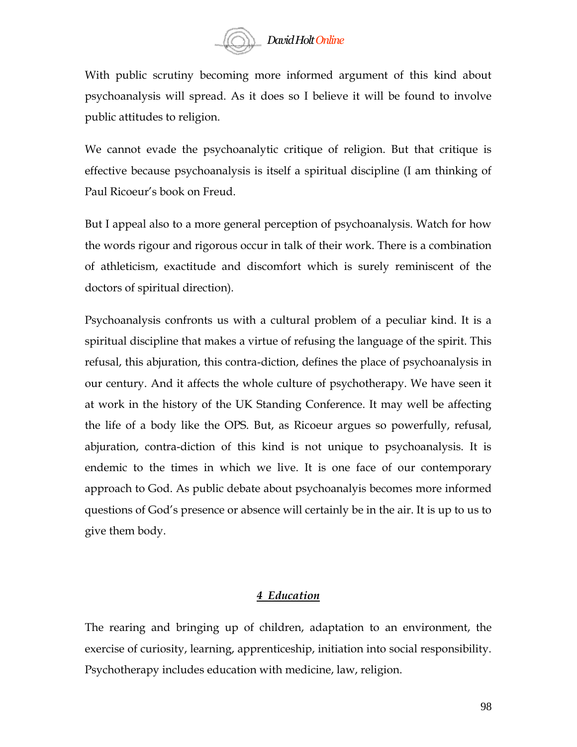

With public scrutiny becoming more informed argument of this kind about psychoanalysis will spread. As it does so I believe it will be found to involve public attitudes to religion.

We cannot evade the psychoanalytic critique of religion. But that critique is effective because psychoanalysis is itself a spiritual discipline (I am thinking of Paul Ricoeur"s book on Freud.

But I appeal also to a more general perception of psychoanalysis. Watch for how the words rigour and rigorous occur in talk of their work. There is a combination of athleticism, exactitude and discomfort which is surely reminiscent of the doctors of spiritual direction).

Psychoanalysis confronts us with a cultural problem of a peculiar kind. It is a spiritual discipline that makes a virtue of refusing the language of the spirit. This refusal, this abjuration, this contra-diction, defines the place of psychoanalysis in our century. And it affects the whole culture of psychotherapy. We have seen it at work in the history of the UK Standing Conference. It may well be affecting the life of a body like the OPS. But, as Ricoeur argues so powerfully, refusal, abjuration, contra-diction of this kind is not unique to psychoanalysis. It is endemic to the times in which we live. It is one face of our contemporary approach to God. As public debate about psychoanalyis becomes more informed questions of God"s presence or absence will certainly be in the air. It is up to us to give them body.

## *4 Education*

The rearing and bringing up of children, adaptation to an environment, the exercise of curiosity, learning, apprenticeship, initiation into social responsibility. Psychotherapy includes education with medicine, law, religion.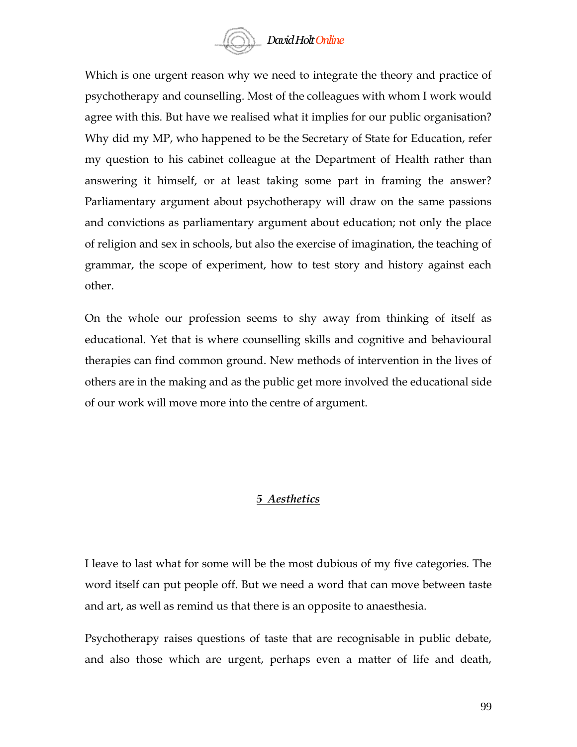

Which is one urgent reason why we need to integrate the theory and practice of psychotherapy and counselling. Most of the colleagues with whom I work would agree with this. But have we realised what it implies for our public organisation? Why did my MP, who happened to be the Secretary of State for Education, refer my question to his cabinet colleague at the Department of Health rather than answering it himself, or at least taking some part in framing the answer? Parliamentary argument about psychotherapy will draw on the same passions and convictions as parliamentary argument about education; not only the place of religion and sex in schools, but also the exercise of imagination, the teaching of grammar, the scope of experiment, how to test story and history against each other.

On the whole our profession seems to shy away from thinking of itself as educational. Yet that is where counselling skills and cognitive and behavioural therapies can find common ground. New methods of intervention in the lives of others are in the making and as the public get more involved the educational side of our work will move more into the centre of argument.

### *5 Aesthetics*

I leave to last what for some will be the most dubious of my five categories. The word itself can put people off. But we need a word that can move between taste and art, as well as remind us that there is an opposite to anaesthesia.

Psychotherapy raises questions of taste that are recognisable in public debate, and also those which are urgent, perhaps even a matter of life and death,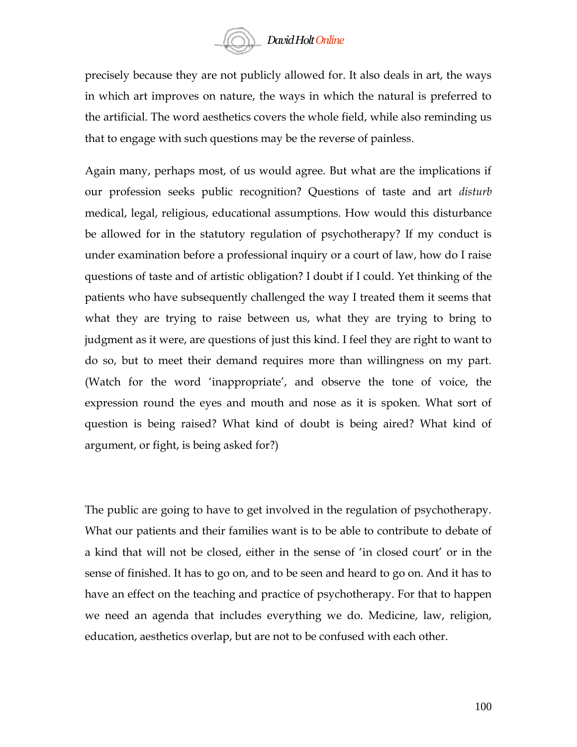

precisely because they are not publicly allowed for. It also deals in art, the ways in which art improves on nature, the ways in which the natural is preferred to the artificial. The word aesthetics covers the whole field, while also reminding us that to engage with such questions may be the reverse of painless.

Again many, perhaps most, of us would agree. But what are the implications if our profession seeks public recognition? Questions of taste and art *disturb* medical, legal, religious, educational assumptions. How would this disturbance be allowed for in the statutory regulation of psychotherapy? If my conduct is under examination before a professional inquiry or a court of law, how do I raise questions of taste and of artistic obligation? I doubt if I could. Yet thinking of the patients who have subsequently challenged the way I treated them it seems that what they are trying to raise between us, what they are trying to bring to judgment as it were, are questions of just this kind. I feel they are right to want to do so, but to meet their demand requires more than willingness on my part. (Watch for the word "inappropriate", and observe the tone of voice, the expression round the eyes and mouth and nose as it is spoken. What sort of question is being raised? What kind of doubt is being aired? What kind of argument, or fight, is being asked for?)

The public are going to have to get involved in the regulation of psychotherapy. What our patients and their families want is to be able to contribute to debate of a kind that will not be closed, either in the sense of "in closed court" or in the sense of finished. It has to go on, and to be seen and heard to go on. And it has to have an effect on the teaching and practice of psychotherapy. For that to happen we need an agenda that includes everything we do. Medicine, law, religion, education, aesthetics overlap, but are not to be confused with each other.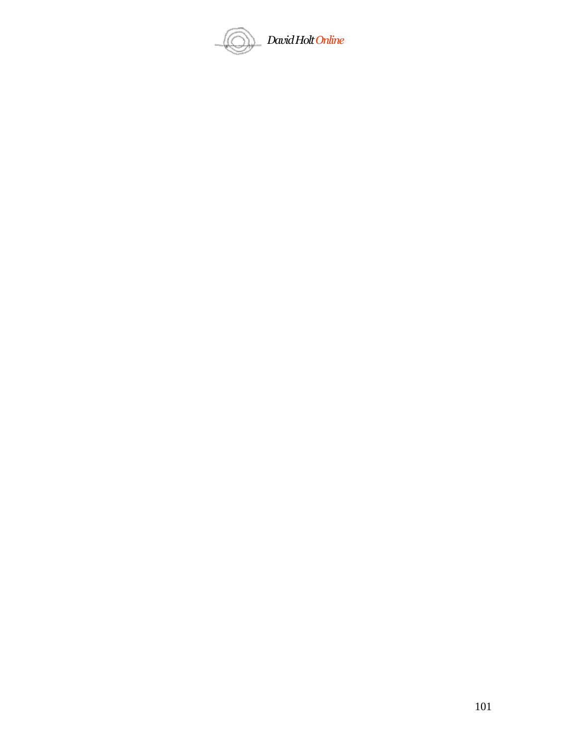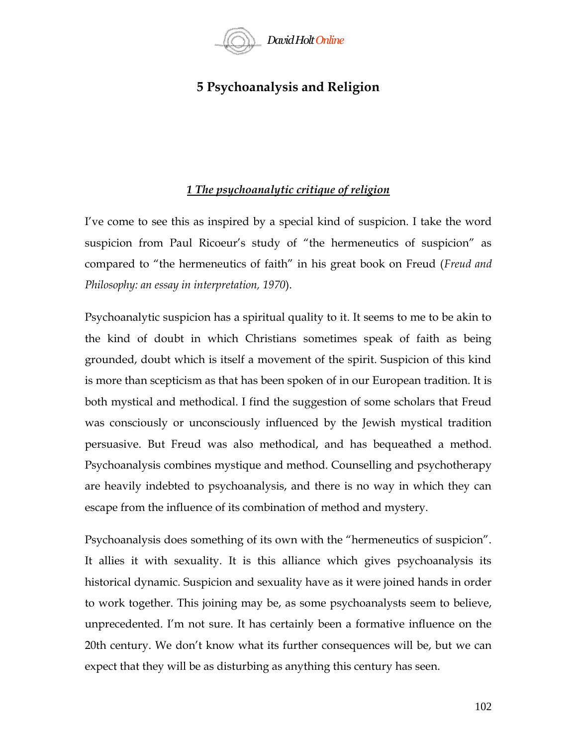

# **5 Psychoanalysis and Religion**

## *1 The psychoanalytic critique of religion*

I've come to see this as inspired by a special kind of suspicion. I take the word suspicion from Paul Ricoeur's study of "the hermeneutics of suspicion" as compared to "the hermeneutics of faith" in his great book on Freud (*Freud and Philosophy: an essay in interpretation, 1970*).

Psychoanalytic suspicion has a spiritual quality to it. It seems to me to be akin to the kind of doubt in which Christians sometimes speak of faith as being grounded, doubt which is itself a movement of the spirit. Suspicion of this kind is more than scepticism as that has been spoken of in our European tradition. It is both mystical and methodical. I find the suggestion of some scholars that Freud was consciously or unconsciously influenced by the Jewish mystical tradition persuasive. But Freud was also methodical, and has bequeathed a method. Psychoanalysis combines mystique and method. Counselling and psychotherapy are heavily indebted to psychoanalysis, and there is no way in which they can escape from the influence of its combination of method and mystery.

Psychoanalysis does something of its own with the "hermeneutics of suspicion". It allies it with sexuality. It is this alliance which gives psychoanalysis its historical dynamic. Suspicion and sexuality have as it were joined hands in order to work together. This joining may be, as some psychoanalysts seem to believe, unprecedented. I"m not sure. It has certainly been a formative influence on the 20th century. We don't know what its further consequences will be, but we can expect that they will be as disturbing as anything this century has seen.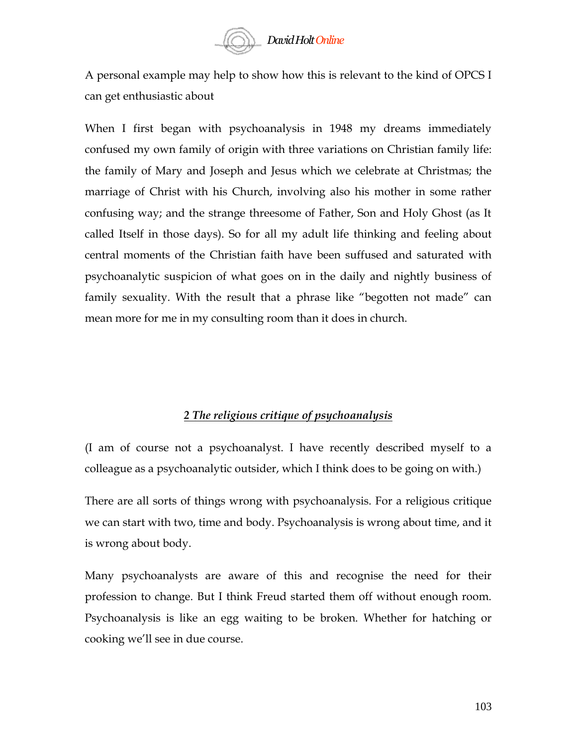

A personal example may help to show how this is relevant to the kind of OPCS I can get enthusiastic about

When I first began with psychoanalysis in 1948 my dreams immediately confused my own family of origin with three variations on Christian family life: the family of Mary and Joseph and Jesus which we celebrate at Christmas; the marriage of Christ with his Church, involving also his mother in some rather confusing way; and the strange threesome of Father, Son and Holy Ghost (as It called Itself in those days). So for all my adult life thinking and feeling about central moments of the Christian faith have been suffused and saturated with psychoanalytic suspicion of what goes on in the daily and nightly business of family sexuality. With the result that a phrase like "begotten not made" can mean more for me in my consulting room than it does in church.

### *2 The religious critique of psychoanalysis*

(I am of course not a psychoanalyst. I have recently described myself to a colleague as a psychoanalytic outsider, which I think does to be going on with.)

There are all sorts of things wrong with psychoanalysis. For a religious critique we can start with two, time and body. Psychoanalysis is wrong about time, and it is wrong about body.

Many psychoanalysts are aware of this and recognise the need for their profession to change. But I think Freud started them off without enough room. Psychoanalysis is like an egg waiting to be broken. Whether for hatching or cooking we"ll see in due course.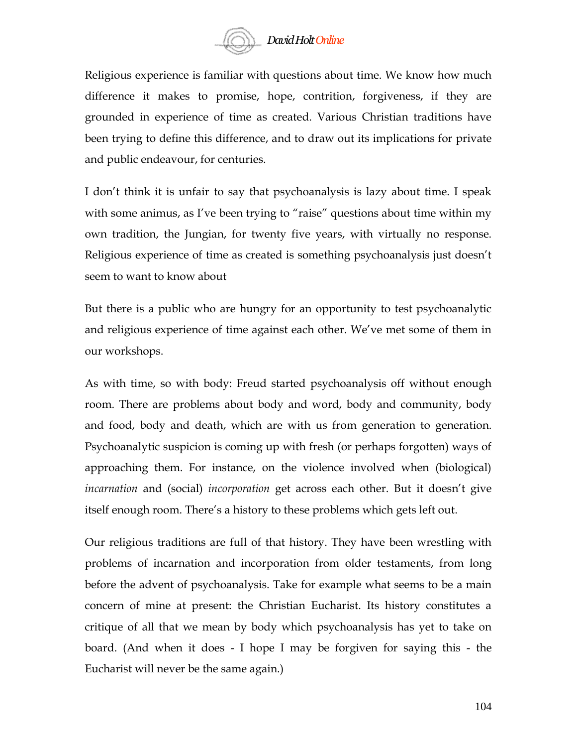

Religious experience is familiar with questions about time. We know how much difference it makes to promise, hope, contrition, forgiveness, if they are grounded in experience of time as created. Various Christian traditions have been trying to define this difference, and to draw out its implications for private and public endeavour, for centuries.

I don"t think it is unfair to say that psychoanalysis is lazy about time. I speak with some animus, as I've been trying to "raise" questions about time within my own tradition, the Jungian, for twenty five years, with virtually no response. Religious experience of time as created is something psychoanalysis just doesn't seem to want to know about

But there is a public who are hungry for an opportunity to test psychoanalytic and religious experience of time against each other. We"ve met some of them in our workshops.

As with time, so with body: Freud started psychoanalysis off without enough room. There are problems about body and word, body and community, body and food, body and death, which are with us from generation to generation. Psychoanalytic suspicion is coming up with fresh (or perhaps forgotten) ways of approaching them. For instance, on the violence involved when (biological) *incarnation* and (social) *incorporation* get across each other. But it doesn't give itself enough room. There"s a history to these problems which gets left out.

Our religious traditions are full of that history. They have been wrestling with problems of incarnation and incorporation from older testaments, from long before the advent of psychoanalysis. Take for example what seems to be a main concern of mine at present: the Christian Eucharist. Its history constitutes a critique of all that we mean by body which psychoanalysis has yet to take on board. (And when it does - I hope I may be forgiven for saying this - the Eucharist will never be the same again.)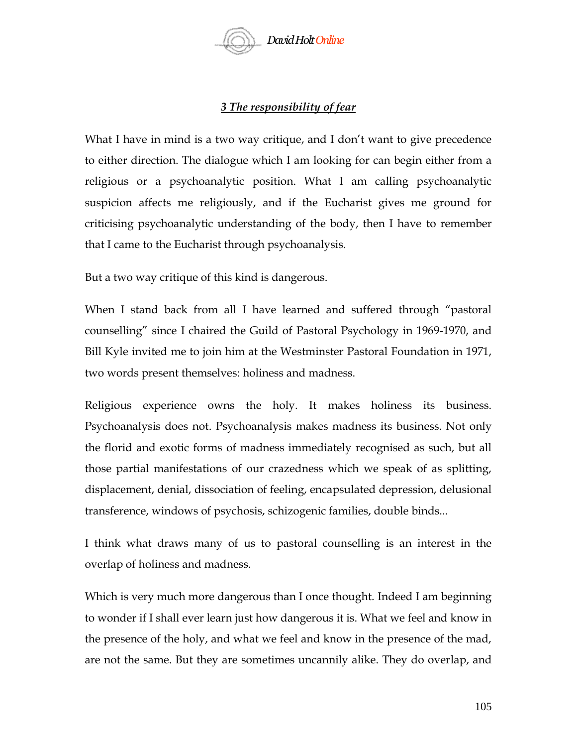

## *3 The responsibility of fear*

What I have in mind is a two way critique, and I don't want to give precedence to either direction. The dialogue which I am looking for can begin either from a religious or a psychoanalytic position. What I am calling psychoanalytic suspicion affects me religiously, and if the Eucharist gives me ground for criticising psychoanalytic understanding of the body, then I have to remember that I came to the Eucharist through psychoanalysis.

But a two way critique of this kind is dangerous.

When I stand back from all I have learned and suffered through "pastoral counselling" since I chaired the Guild of Pastoral Psychology in 1969-1970, and Bill Kyle invited me to join him at the Westminster Pastoral Foundation in 1971, two words present themselves: holiness and madness.

Religious experience owns the holy. It makes holiness its business. Psychoanalysis does not. Psychoanalysis makes madness its business. Not only the florid and exotic forms of madness immediately recognised as such, but all those partial manifestations of our crazedness which we speak of as splitting, displacement, denial, dissociation of feeling, encapsulated depression, delusional transference, windows of psychosis, schizogenic families, double binds...

I think what draws many of us to pastoral counselling is an interest in the overlap of holiness and madness.

Which is very much more dangerous than I once thought. Indeed I am beginning to wonder if I shall ever learn just how dangerous it is. What we feel and know in the presence of the holy, and what we feel and know in the presence of the mad, are not the same. But they are sometimes uncannily alike. They do overlap, and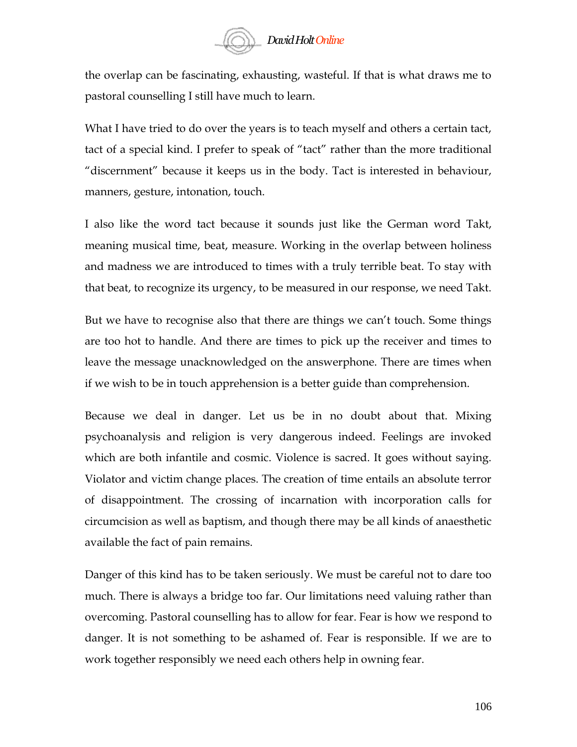

the overlap can be fascinating, exhausting, wasteful. If that is what draws me to pastoral counselling I still have much to learn.

What I have tried to do over the years is to teach myself and others a certain tact, tact of a special kind. I prefer to speak of "tact" rather than the more traditional "discernment" because it keeps us in the body. Tact is interested in behaviour, manners, gesture, intonation, touch.

I also like the word tact because it sounds just like the German word Takt, meaning musical time, beat, measure. Working in the overlap between holiness and madness we are introduced to times with a truly terrible beat. To stay with that beat, to recognize its urgency, to be measured in our response, we need Takt.

But we have to recognise also that there are things we can"t touch. Some things are too hot to handle. And there are times to pick up the receiver and times to leave the message unacknowledged on the answerphone. There are times when if we wish to be in touch apprehension is a better guide than comprehension.

Because we deal in danger. Let us be in no doubt about that. Mixing psychoanalysis and religion is very dangerous indeed. Feelings are invoked which are both infantile and cosmic. Violence is sacred. It goes without saying. Violator and victim change places. The creation of time entails an absolute terror of disappointment. The crossing of incarnation with incorporation calls for circumcision as well as baptism, and though there may be all kinds of anaesthetic available the fact of pain remains.

Danger of this kind has to be taken seriously. We must be careful not to dare too much. There is always a bridge too far. Our limitations need valuing rather than overcoming. Pastoral counselling has to allow for fear. Fear is how we respond to danger. It is not something to be ashamed of. Fear is responsible. If we are to work together responsibly we need each others help in owning fear.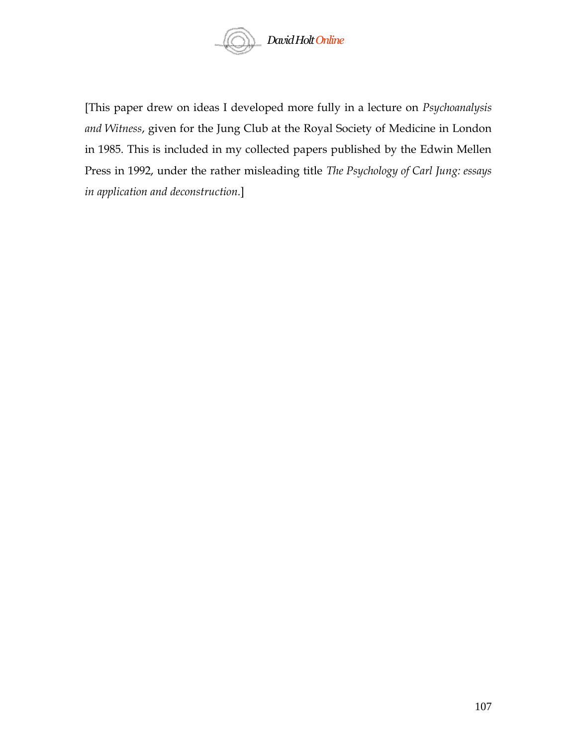

[This paper drew on ideas I developed more fully in a lecture on *Psychoanalysis and Witness*, given for the Jung Club at the Royal Society of Medicine in London in 1985. This is included in my collected papers published by the Edwin Mellen Press in 1992, under the rather misleading title *The Psychology of Carl Jung: essays in application and deconstruction.*]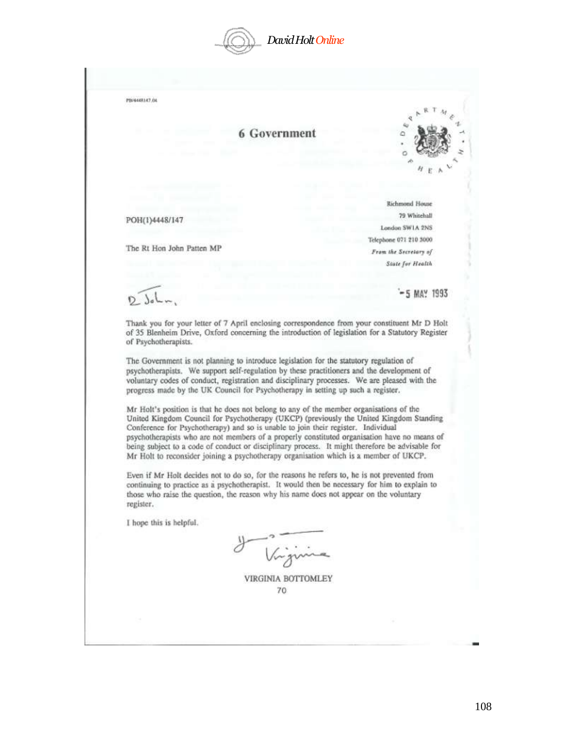

PEV4448147.04

#### **6 Government**



POH(1)4448/147

The Rt Hon John Patten MP

Richmond House 79 Whiteball London SW1A 2NS Telephone 071 210 3000 From the Secretary of State for Health

 $-5$  MAY 1993

Thank you for your letter of 7 April enclosing correspondence from your constituent Mr D Holt of 35 Blenheim Drive, Oxford concerning the introduction of legislation for a Statutory Register of Psychotherapists.

The Government is not planning to introduce legislation for the statutory regulation of psychotherapists. We support self-regulation by these practitioners and the development of voluntary codes of conduct, registration and disciplinary processes. We are pleased with the progress made by the UK Council for Psychotherapy in setting up such a register.

Mr Holt's position is that he does not belong to any of the member organisations of the United Kingdom Council for Psychotherapy (UKCP) (previously the United Kingdom Standing Conference for Psychotherapy) and so is unable to join their register. Individual psychotherapists who are not members of a properly constituted organisation have no means of being subject to a code of conduct or disciplinary process. It might therefore be advisable for Mr Holt to reconsider joining a psychotherapy organisation which is a member of UKCP.

Even if Mr Holt decides not to do so, for the reasons he refers to, he is not prevented from continuing to practice as a psychotherapist. It would then be necessary for him to explain to those who raise the question, the reason why his name does not appear on the voluntary register.

I hope this is helpful.

**VIRGINIA BOTTOMLEY** 70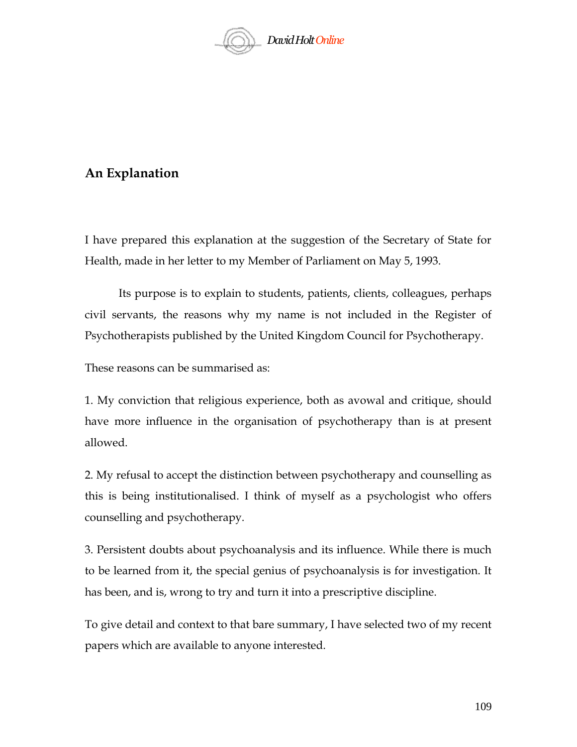

### **An Explanation**

I have prepared this explanation at the suggestion of the Secretary of State for Health, made in her letter to my Member of Parliament on May 5, 1993.

Its purpose is to explain to students, patients, clients, colleagues, perhaps civil servants, the reasons why my name is not included in the Register of Psychotherapists published by the United Kingdom Council for Psychotherapy.

These reasons can be summarised as:

1. My conviction that religious experience, both as avowal and critique, should have more influence in the organisation of psychotherapy than is at present allowed.

2. My refusal to accept the distinction between psychotherapy and counselling as this is being institutionalised. I think of myself as a psychologist who offers counselling and psychotherapy.

3. Persistent doubts about psychoanalysis and its influence. While there is much to be learned from it, the special genius of psychoanalysis is for investigation. It has been, and is, wrong to try and turn it into a prescriptive discipline.

To give detail and context to that bare summary, I have selected two of my recent papers which are available to anyone interested.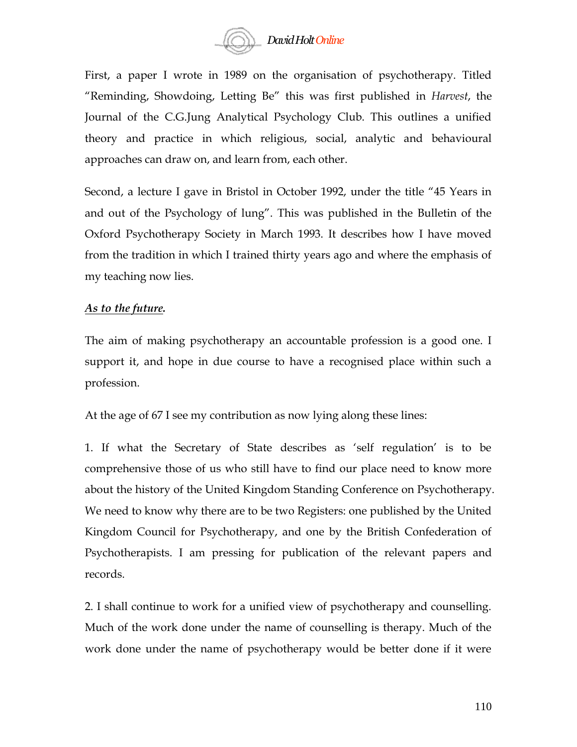

First, a paper I wrote in 1989 on the organisation of psychotherapy. Titled "Reminding, Showdoing, Letting Be" this was first published in *Harvest*, the Journal of the C.G.Jung Analytical Psychology Club. This outlines a unified theory and practice in which religious, social, analytic and behavioural approaches can draw on, and learn from, each other.

Second, a lecture I gave in Bristol in October 1992, under the title "45 Years in and out of the Psychology of lung". This was published in the Bulletin of the Oxford Psychotherapy Society in March 1993. It describes how I have moved from the tradition in which I trained thirty years ago and where the emphasis of my teaching now lies.

#### *As to the future.*

The aim of making psychotherapy an accountable profession is a good one. I support it, and hope in due course to have a recognised place within such a profession.

At the age of 67 I see my contribution as now lying along these lines:

1. If what the Secretary of State describes as "self regulation" is to be comprehensive those of us who still have to find our place need to know more about the history of the United Kingdom Standing Conference on Psychotherapy. We need to know why there are to be two Registers: one published by the United Kingdom Council for Psychotherapy, and one by the British Confederation of Psychotherapists. I am pressing for publication of the relevant papers and records.

2. I shall continue to work for a unified view of psychotherapy and counselling. Much of the work done under the name of counselling is therapy. Much of the work done under the name of psychotherapy would be better done if it were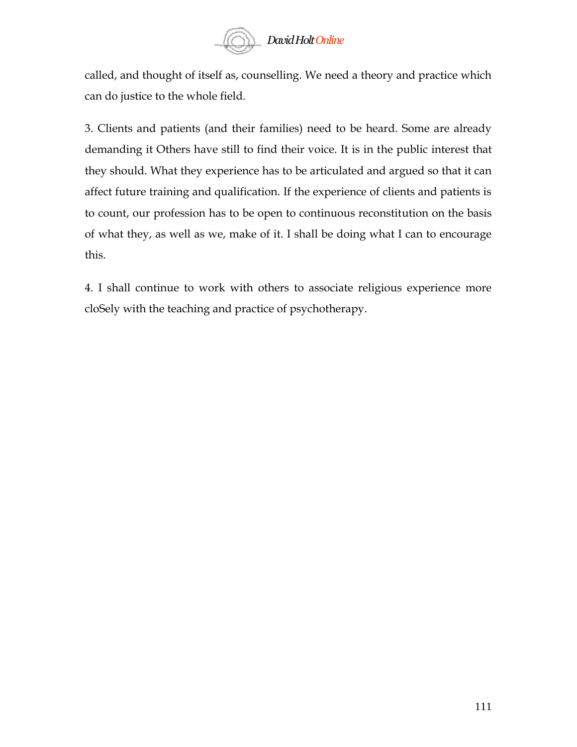

called, and thought of itself as, counselling. We need a theory and practice which can do justice to the whole field.

3. Clients and patients (and their families) need to be heard. Some are already demanding it Others have still to find their voice. It is in the public interest that they should. What they experience has to be articulated and argued so that it can affect future training and qualification. If the experience of clients and patients is to count, our profession has to be open to continuous reconstitution on the basis of what they, as well as we, make of it. I shall be doing what I can to encourage this.

4. I shall continue to work with others to associate religious experience more cloSely with the teaching and practice of psychotherapy.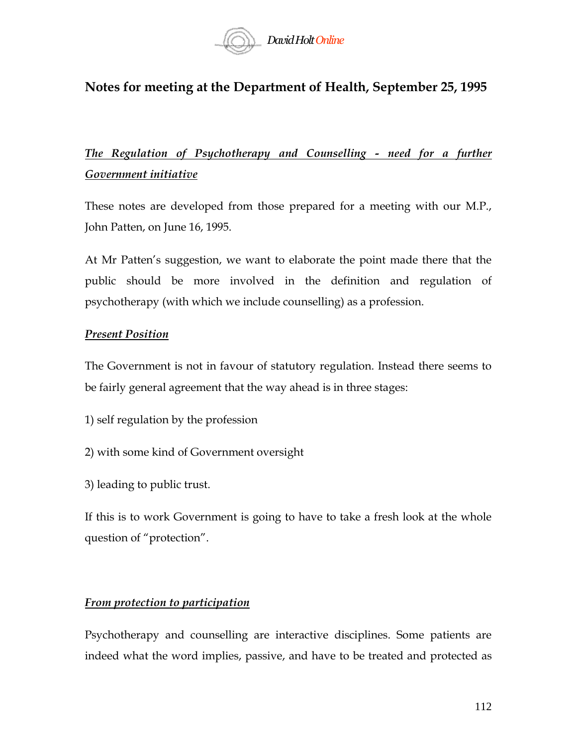

## **Notes for meeting at the Department of Health, September 25, 1995**

# *The Regulation of Psychotherapy and Counselling - need for a further Government initiative*

These notes are developed from those prepared for a meeting with our M.P., John Patten, on June 16, 1995.

At Mr Patten"s suggestion, we want to elaborate the point made there that the public should be more involved in the definition and regulation of psychotherapy (with which we include counselling) as a profession.

#### *Present Position*

The Government is not in favour of statutory regulation. Instead there seems to be fairly general agreement that the way ahead is in three stages:

- 1) self regulation by the profession
- 2) with some kind of Government oversight
- 3) leading to public trust.

If this is to work Government is going to have to take a fresh look at the whole question of "protection".

#### *From protection to participation*

Psychotherapy and counselling are interactive disciplines. Some patients are indeed what the word implies, passive, and have to be treated and protected as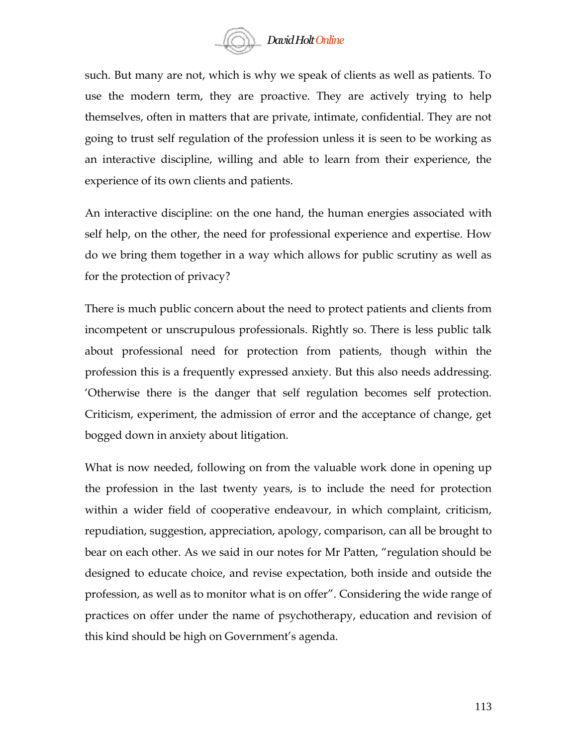

such. But many are not, which is why we speak of clients as well as patients. To use the modern term, they are proactive. They are actively trying to help themselves, often in matters that are private, intimate, confidential. They are not going to trust self regulation of the profession unless it is seen to be working as an interactive discipline, willing and able to learn from their experience, the experience of its own clients and patients.

An interactive discipline: on the one hand, the human energies associated with self help, on the other, the need for professional experience and expertise. How do we bring them together in a way which allows for public scrutiny as well as for the protection of privacy?

There is much public concern about the need to protect patients and clients from incompetent or unscrupulous professionals. Rightly so. There is less public talk about professional need for protection from patients, though within the profession this is a frequently expressed anxiety. But this also needs addressing. "Otherwise there is the danger that self regulation becomes self protection. Criticism, experiment, the admission of error and the acceptance of change, get bogged down in anxiety about litigation.

What is now needed, following on from the valuable work done in opening up the profession in the last twenty years, is to include the need for protection within a wider field of cooperative endeavour, in which complaint, criticism, repudiation, suggestion, appreciation, apology, comparison, can all be brought to bear on each other. As we said in our notes for Mr Patten, "regulation should be designed to educate choice, and revise expectation, both inside and outside the profession, as well as to monitor what is on offer". Considering the wide range of practices on offer under the name of psychotherapy, education and revision of this kind should be high on Government's agenda.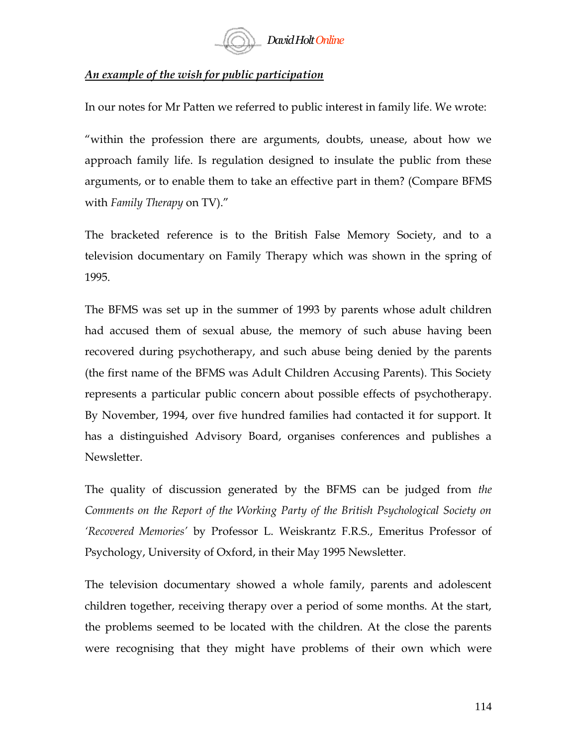

#### *An example of the wish for public participation*

In our notes for Mr Patten we referred to public interest in family life. We wrote:

"within the profession there are arguments, doubts, unease, about how we approach family life. Is regulation designed to insulate the public from these arguments, or to enable them to take an effective part in them? (Compare BFMS with *Family Therapy* on TV)."

The bracketed reference is to the British False Memory Society, and to a television documentary on Family Therapy which was shown in the spring of 1995.

The BFMS was set up in the summer of 1993 by parents whose adult children had accused them of sexual abuse, the memory of such abuse having been recovered during psychotherapy, and such abuse being denied by the parents (the first name of the BFMS was Adult Children Accusing Parents). This Society represents a particular public concern about possible effects of psychotherapy. By November, 1994, over five hundred families had contacted it for support. It has a distinguished Advisory Board, organises conferences and publishes a Newsletter.

The quality of discussion generated by the BFMS can be judged from *the Comments on the Report of the Working Party of the British Psychological Society on 'Recovered Memories'* by Professor L. Weiskrantz F.R.S., Emeritus Professor of Psychology, University of Oxford, in their May 1995 Newsletter.

The television documentary showed a whole family, parents and adolescent children together, receiving therapy over a period of some months. At the start, the problems seemed to be located with the children. At the close the parents were recognising that they might have problems of their own which were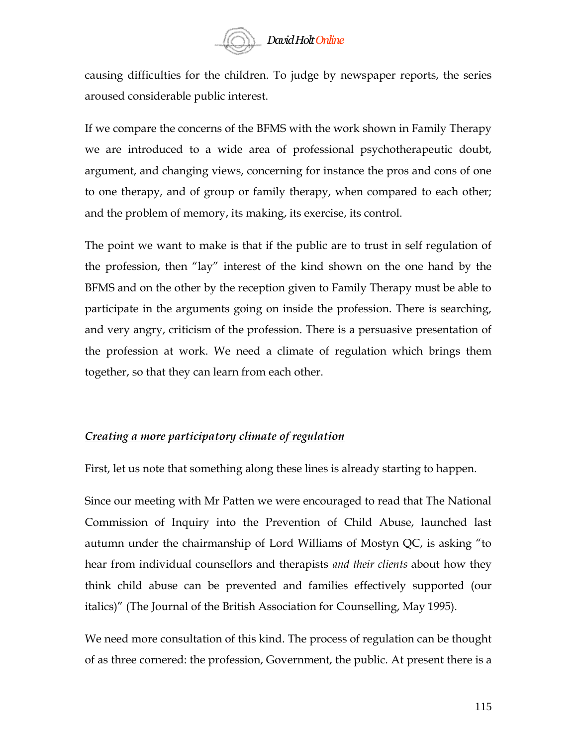

causing difficulties for the children. To judge by newspaper reports, the series aroused considerable public interest.

If we compare the concerns of the BFMS with the work shown in Family Therapy we are introduced to a wide area of professional psychotherapeutic doubt, argument, and changing views, concerning for instance the pros and cons of one to one therapy, and of group or family therapy, when compared to each other; and the problem of memory, its making, its exercise, its control.

The point we want to make is that if the public are to trust in self regulation of the profession, then "lay" interest of the kind shown on the one hand by the BFMS and on the other by the reception given to Family Therapy must be able to participate in the arguments going on inside the profession. There is searching, and very angry, criticism of the profession. There is a persuasive presentation of the profession at work. We need a climate of regulation which brings them together, so that they can learn from each other.

#### *Creating a more participatory climate of regulation*

First, let us note that something along these lines is already starting to happen.

Since our meeting with Mr Patten we were encouraged to read that The National Commission of Inquiry into the Prevention of Child Abuse, launched last autumn under the chairmanship of Lord Williams of Mostyn QC, is asking "to hear from individual counsellors and therapists *and their clients* about how they think child abuse can be prevented and families effectively supported (our italics)" (The Journal of the British Association for Counselling, May 1995).

We need more consultation of this kind. The process of regulation can be thought of as three cornered: the profession, Government, the public. At present there is a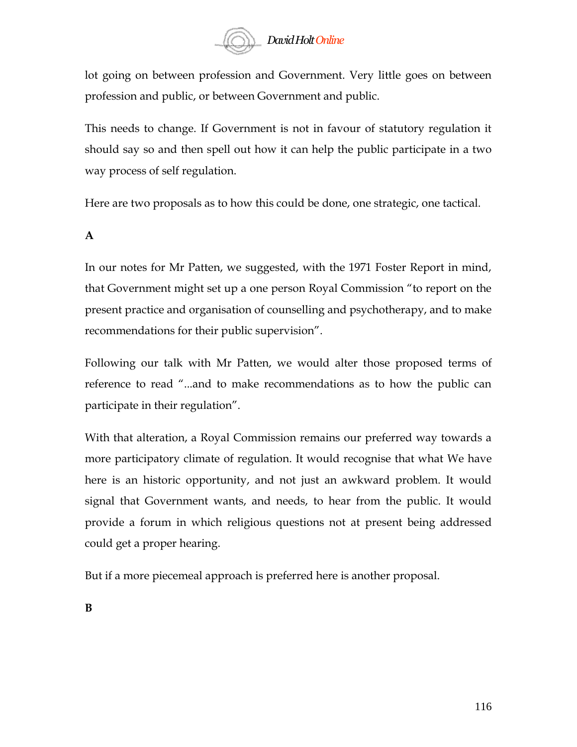

lot going on between profession and Government. Very little goes on between profession and public, or between Government and public.

This needs to change. If Government is not in favour of statutory regulation it should say so and then spell out how it can help the public participate in a two way process of self regulation.

Here are two proposals as to how this could be done, one strategic, one tactical.

**A** 

In our notes for Mr Patten, we suggested, with the 1971 Foster Report in mind, that Government might set up a one person Royal Commission "to report on the present practice and organisation of counselling and psychotherapy, and to make recommendations for their public supervision".

Following our talk with Mr Patten, we would alter those proposed terms of reference to read "...and to make recommendations as to how the public can participate in their regulation".

With that alteration, a Royal Commission remains our preferred way towards a more participatory climate of regulation. It would recognise that what We have here is an historic opportunity, and not just an awkward problem. It would signal that Government wants, and needs, to hear from the public. It would provide a forum in which religious questions not at present being addressed could get a proper hearing.

But if a more piecemeal approach is preferred here is another proposal.

**B**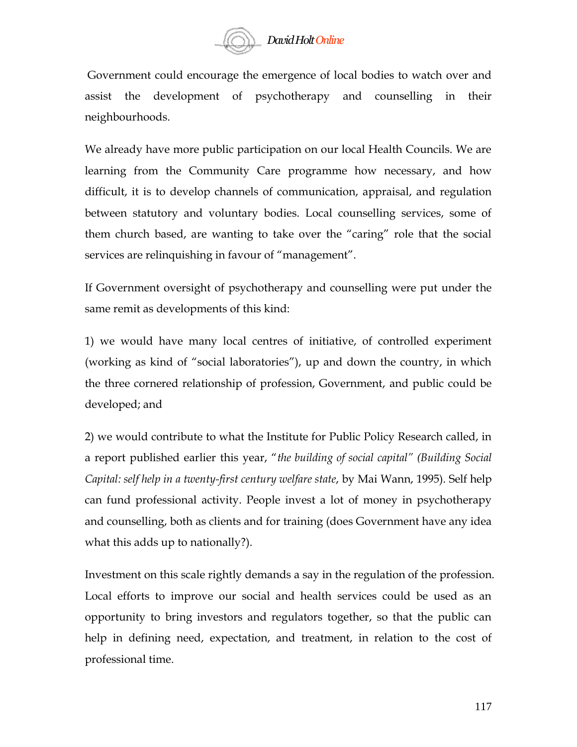

Government could encourage the emergence of local bodies to watch over and assist the development of psychotherapy and counselling in their neighbourhoods.

We already have more public participation on our local Health Councils. We are learning from the Community Care programme how necessary, and how difficult, it is to develop channels of communication, appraisal, and regulation between statutory and voluntary bodies. Local counselling services, some of them church based, are wanting to take over the "caring" role that the social services are relinquishing in favour of "management".

If Government oversight of psychotherapy and counselling were put under the same remit as developments of this kind:

1) we would have many local centres of initiative, of controlled experiment (working as kind of "social laboratories"), up and down the country, in which the three cornered relationship of profession, Government, and public could be developed; and

2) we would contribute to what the Institute for Public Policy Research called, in a report published earlier this year, "*the building of social capital" (Building Social Capital: self help in a twenty-first century welfare state*, by Mai Wann, 1995). Self help can fund professional activity. People invest a lot of money in psychotherapy and counselling, both as clients and for training (does Government have any idea what this adds up to nationally?).

Investment on this scale rightly demands a say in the regulation of the profession. Local efforts to improve our social and health services could be used as an opportunity to bring investors and regulators together, so that the public can help in defining need, expectation, and treatment, in relation to the cost of professional time.